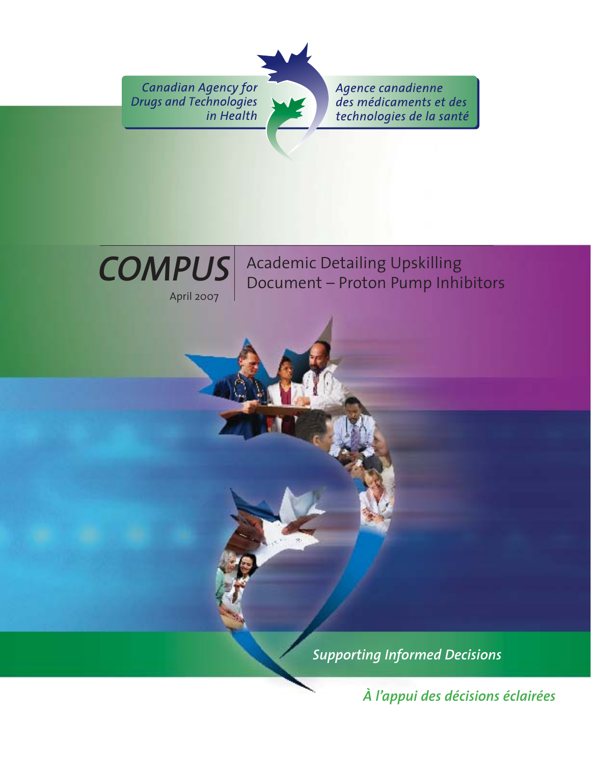**Canadian Agency for Drugs and Technologies** in Health

Agence canadienne des médicaments et des technologies de la santé



Academic Detailing Upskilling Document – Proton Pump Inhibitors

*Supporting Informed Decisions* 

*À l'appui des décisions éclairées*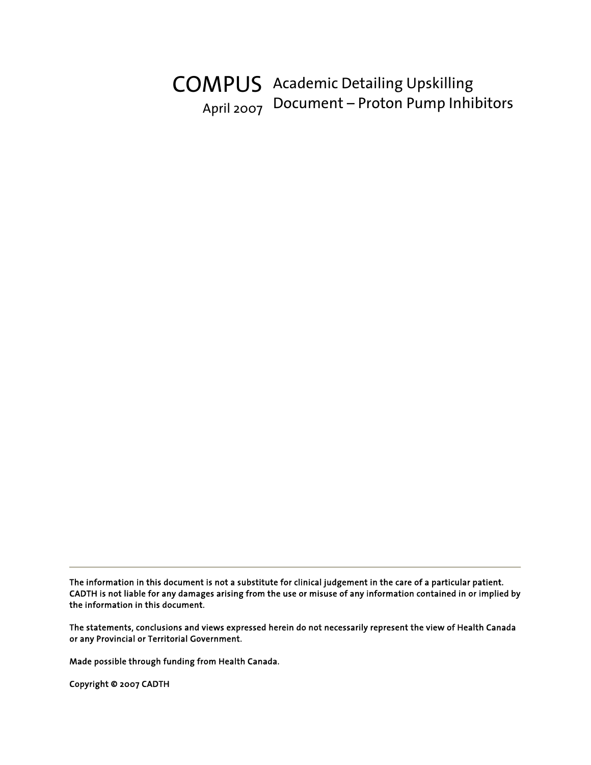# COMPUS Academic Detailing Upskilling April 2007 Document – Proton Pump Inhibitors

The information in this document is not a substitute for clinical judgement in the care of a particular patient. CADTH is not liable for any damages arising from the use or misuse of any information contained in or implied by the information in this document.

The statements, conclusions and views expressed herein do not necessarily represent the view of Health Canada or any Provincial or Territorial Government.

Made possible through funding from Health Canada.

Copyright © 2007 CADTH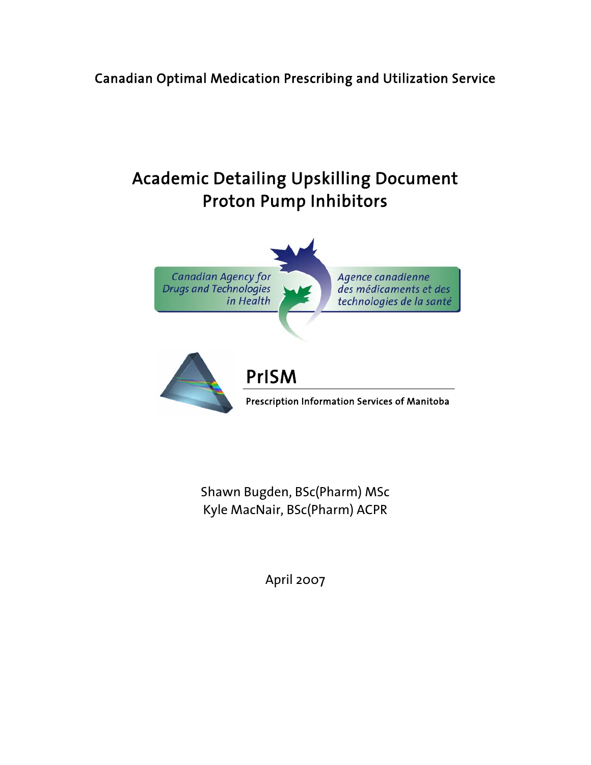## Canadian Optimal Medication Prescribing and Utilization Service

# Academic Detailing Upskilling Document Proton Pump Inhibitors



Shawn Bugden, BSc(Pharm) MSc Kyle MacNair, BSc(Pharm) ACPR

April 2007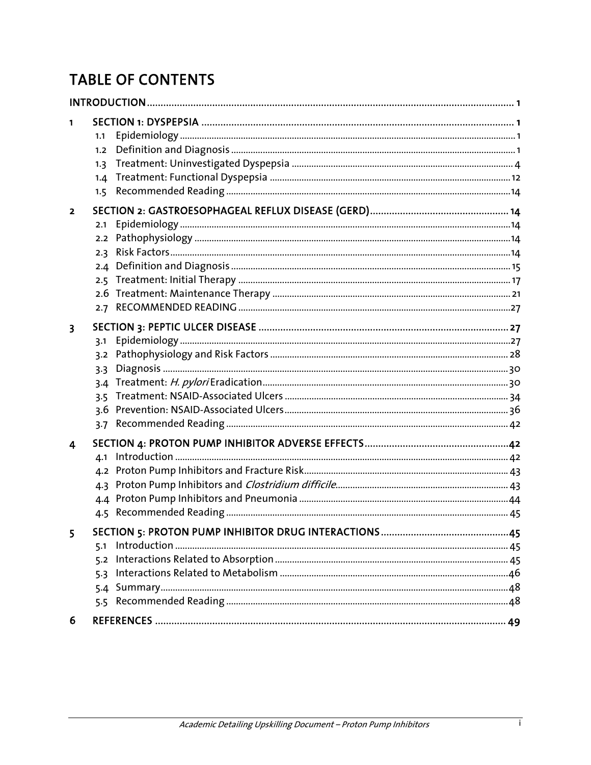# **TABLE OF CONTENTS**

| 1<br>1.1<br>1.2<br>1.3<br>1.5 | 1.4                                           |  |
|-------------------------------|-----------------------------------------------|--|
| 2                             | 2.1<br>2.2<br>2.3<br>2.4<br>2.5<br>2.6<br>2.7 |  |
| 3                             | 3.1<br>3.2<br>3.3<br>3.4<br>3.5<br>3.6<br>3.7 |  |
| 4                             | 4.1<br>4.2<br>4.3                             |  |
| 5<br>6                        | 5.1<br>5.2<br>5.3                             |  |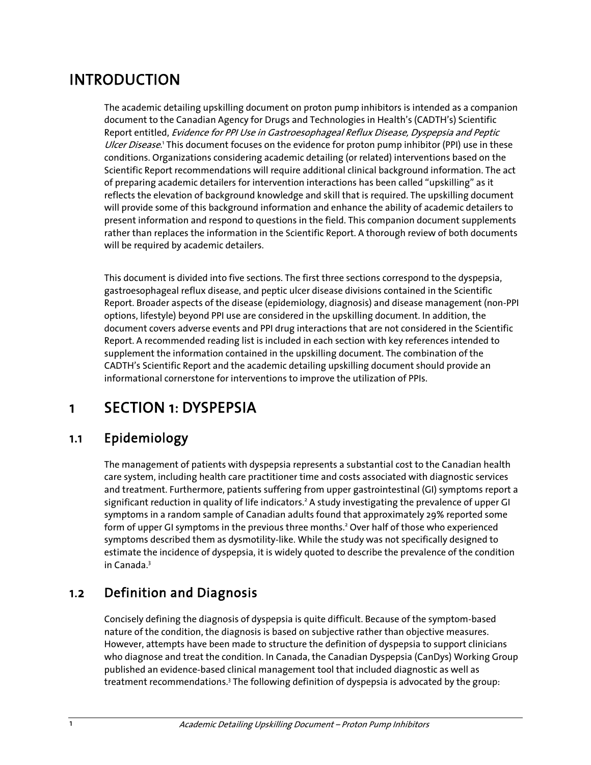# INTRODUCTION

The academic detailing upskilling document on proton pump inhibitors is intended as a companion document to the Canadian Agency for Drugs and Technologies in Health's (CADTH's) Scientific Report entitled, Evidence for PPI Use in Gastroesophageal Reflux Disease, Dyspepsia and Peptic Ulcer Disease.<sup>1</sup> This document focuses on the evidence for proton pump inhibitor (PPI) use in these conditions. Organizations considering academic detailing (or related) interventions based on the Scientific Report recommendations will require additional clinical background information. The act of preparing academic detailers for intervention interactions has been called "upskilling" as it reflects the elevation of background knowledge and skill that is required. The upskilling document will provide some of this background information and enhance the ability of academic detailers to present information and respond to questions in the field. This companion document supplements rather than replaces the information in the Scientific Report. A thorough review of both documents will be required by academic detailers.

This document is divided into five sections. The first three sections correspond to the dyspepsia, gastroesophageal reflux disease, and peptic ulcer disease divisions contained in the Scientific Report. Broader aspects of the disease (epidemiology, diagnosis) and disease management (non-PPI options, lifestyle) beyond PPI use are considered in the upskilling document. In addition, the document covers adverse events and PPI drug interactions that are not considered in the Scientific Report. A recommended reading list is included in each section with key references intended to supplement the information contained in the upskilling document. The combination of the CADTH's Scientific Report and the academic detailing upskilling document should provide an informational cornerstone for interventions to improve the utilization of PPIs.

# 1 SECTION 1: DYSPEPSIA

## 1.1 Epidemiology

The management of patients with dyspepsia represents a substantial cost to the Canadian health care system, including health care practitioner time and costs associated with diagnostic services and treatment. Furthermore, patients suffering from upper gastrointestinal (GI) symptoms report a significant reduction in quality of life indicators.<sup>2</sup> A study investigating the prevalence of upper GI symptoms in a random sample of Canadian adults found that approximately 29% reported some form of upper GI symptoms in the previous three months.<sup>2</sup> Over half of those who experienced symptoms described them as dysmotility-like. While the study was not specifically designed to estimate the incidence of dyspepsia, it is widely quoted to describe the prevalence of the condition in Canada.<sup>3</sup>

## 1.2 Definition and Diagnosis

Concisely defining the diagnosis of dyspepsia is quite difficult. Because of the symptom-based nature of the condition, the diagnosis is based on subjective rather than objective measures. However, attempts have been made to structure the definition of dyspepsia to support clinicians who diagnose and treat the condition. In Canada, the Canadian Dyspepsia (CanDys) Working Group published an evidence-based clinical management tool that included diagnostic as well as treatment recommendations.<sup>3</sup> The following definition of dyspepsia is advocated by the group: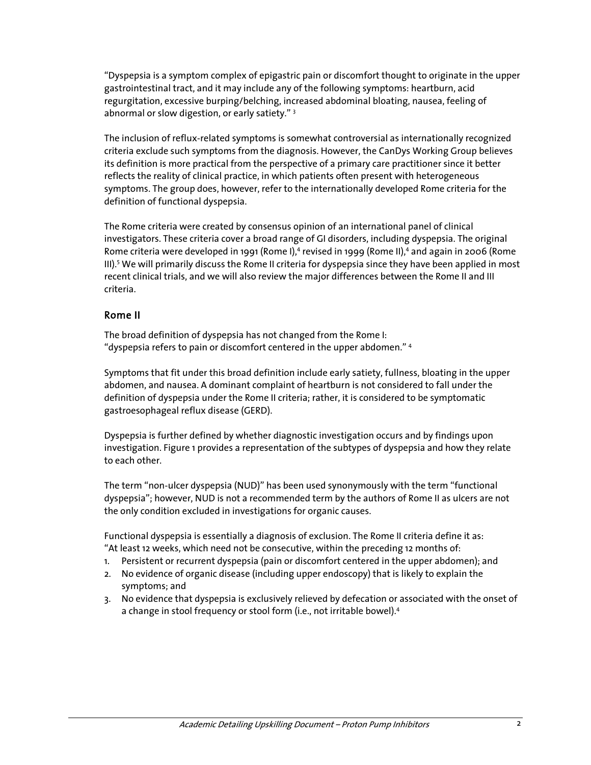"Dyspepsia is a symptom complex of epigastric pain or discomfort thought to originate in the upper gastrointestinal tract, and it may include any of the following symptoms: heartburn, acid regurgitation, excessive burping/belching, increased abdominal bloating, nausea, feeling of abnormal or slow digestion, or early satiety."<sup>3</sup>

The inclusion of reflux-related symptoms is somewhat controversial as internationally recognized criteria exclude such symptoms from the diagnosis. However, the CanDys Working Group believes its definition is more practical from the perspective of a primary care practitioner since it better reflects the reality of clinical practice, in which patients often present with heterogeneous symptoms. The group does, however, refer to the internationally developed Rome criteria for the definition of functional dyspepsia.

The Rome criteria were created by consensus opinion of an international panel of clinical investigators. These criteria cover a broad range of GI disorders, including dyspepsia. The original Rome criteria were developed in 1991 (Rome I),<sup>4</sup> revised in 1999 (Rome II),<sup>4</sup> and again in 2006 (Rome III).<sup>5</sup> We will primarily discuss the Rome II criteria for dyspepsia since they have been applied in most recent clinical trials, and we will also review the major differences between the Rome II and III criteria.

#### Rome II

The broad definition of dyspepsia has not changed from the Rome I: "dyspepsia refers to pain or discomfort centered in the upper abdomen." 4

Symptoms that fit under this broad definition include early satiety, fullness, bloating in the upper abdomen, and nausea. A dominant complaint of heartburn is not considered to fall under the definition of dyspepsia under the Rome II criteria; rather, it is considered to be symptomatic gastroesophageal reflux disease (GERD).

Dyspepsia is further defined by whether diagnostic investigation occurs and by findings upon investigation. Figure 1 provides a representation of the subtypes of dyspepsia and how they relate to each other.

The term "non-ulcer dyspepsia (NUD)" has been used synonymously with the term "functional dyspepsia"; however, NUD is not a recommended term by the authors of Rome II as ulcers are not the only condition excluded in investigations for organic causes.

Functional dyspepsia is essentially a diagnosis of exclusion. The Rome II criteria define it as: "At least 12 weeks, which need not be consecutive, within the preceding 12 months of:

- 1. Persistent or recurrent dyspepsia (pain or discomfort centered in the upper abdomen); and
- 2. No evidence of organic disease (including upper endoscopy) that is likely to explain the symptoms; and
- 3. No evidence that dyspepsia is exclusively relieved by defecation or associated with the onset of a change in stool frequency or stool form (i.e., not irritable bowel).<sup>4</sup>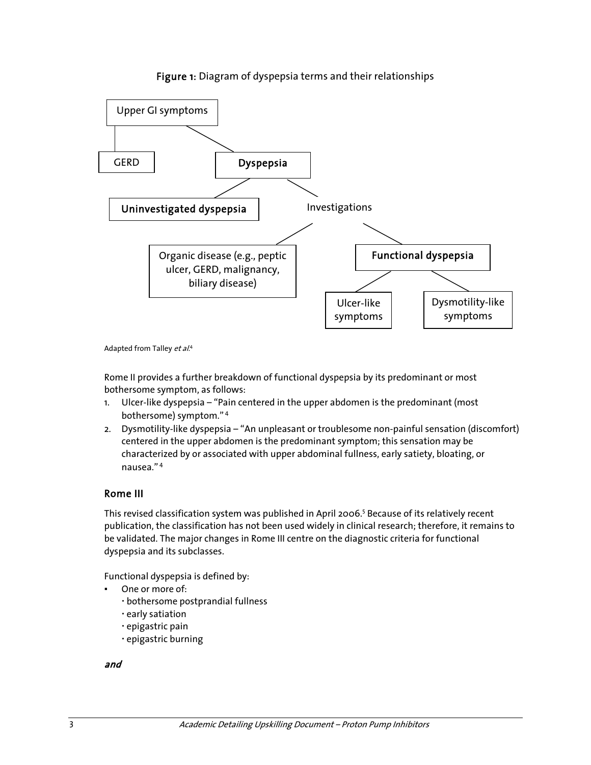

#### Figure 1: Diagram of dyspepsia terms and their relationships

Adapted from Talley et al.<sup>4</sup>

Rome II provides a further breakdown of functional dyspepsia by its predominant or most bothersome symptom, as follows:

- 1. Ulcer-like dyspepsia "Pain centered in the upper abdomen is the predominant (most bothersome) symptom." 4
- 2. Dysmotility-like dyspepsia "An unpleasant or troublesome non-painful sensation (discomfort) centered in the upper abdomen is the predominant symptom; this sensation may be characterized by or associated with upper abdominal fullness, early satiety, bloating, or nausea." 4

### Rome III

This revised classification system was published in April 2006.<sup>5</sup> Because of its relatively recent publication, the classification has not been used widely in clinical research; therefore, it remains to be validated. The major changes in Rome III centre on the diagnostic criteria for functional dyspepsia and its subclasses.

Functional dyspepsia is defined by:

- One or more of:
	- bothersome postprandial fullness
	- early satiation
	- epigastric pain
	- epigastric burning

and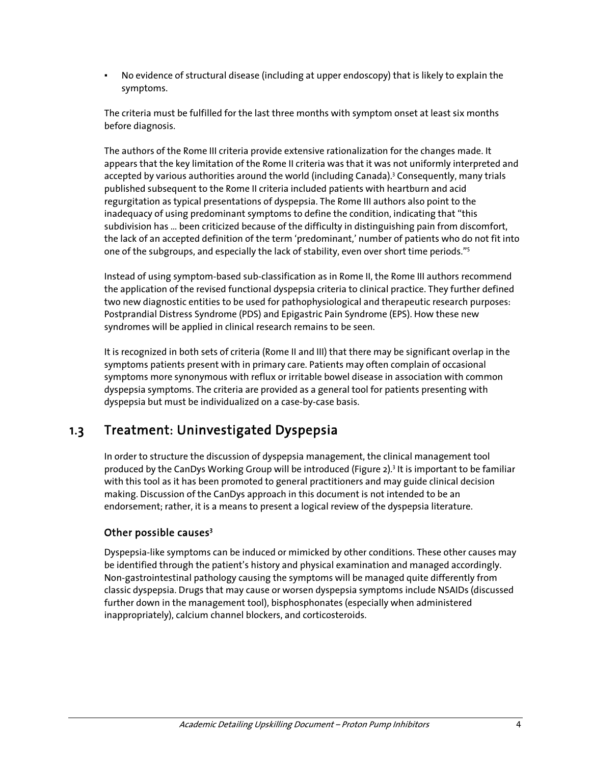No evidence of structural disease (including at upper endoscopy) that is likely to explain the symptoms.

The criteria must be fulfilled for the last three months with symptom onset at least six months before diagnosis.

The authors of the Rome III criteria provide extensive rationalization for the changes made. It appears that the key limitation of the Rome II criteria was that it was not uniformly interpreted and accepted by various authorities around the world (including Canada).<sup>3</sup> Consequently, many trials published subsequent to the Rome II criteria included patients with heartburn and acid regurgitation as typical presentations of dyspepsia. The Rome III authors also point to the inadequacy of using predominant symptoms to define the condition, indicating that "this subdivision has … been criticized because of the difficulty in distinguishing pain from discomfort, the lack of an accepted definition of the term 'predominant,' number of patients who do not fit into one of the subgroups, and especially the lack of stability, even over short time periods."<sup>5</sup>

Instead of using symptom-based sub-classification as in Rome II, the Rome III authors recommend the application of the revised functional dyspepsia criteria to clinical practice. They further defined two new diagnostic entities to be used for pathophysiological and therapeutic research purposes: Postprandial Distress Syndrome (PDS) and Epigastric Pain Syndrome (EPS). How these new syndromes will be applied in clinical research remains to be seen.

It is recognized in both sets of criteria (Rome II and III) that there may be significant overlap in the symptoms patients present with in primary care. Patients may often complain of occasional symptoms more synonymous with reflux or irritable bowel disease in association with common dyspepsia symptoms. The criteria are provided as a general tool for patients presenting with dyspepsia but must be individualized on a case-by-case basis.

## 1.3 Treatment: Uninvestigated Dyspepsia

In order to structure the discussion of dyspepsia management, the clinical management tool produced by the CanDys Working Group will be introduced (Figure 2).<sup>3</sup> It is important to be familiar with this tool as it has been promoted to general practitioners and may guide clinical decision making. Discussion of the CanDys approach in this document is not intended to be an endorsement; rather, it is a means to present a logical review of the dyspepsia literature.

### Other possible causes<sup>3</sup>

Dyspepsia-like symptoms can be induced or mimicked by other conditions. These other causes may be identified through the patient's history and physical examination and managed accordingly. Non-gastrointestinal pathology causing the symptoms will be managed quite differently from classic dyspepsia. Drugs that may cause or worsen dyspepsia symptoms include NSAIDs (discussed further down in the management tool), bisphosphonates (especially when administered inappropriately), calcium channel blockers, and corticosteroids.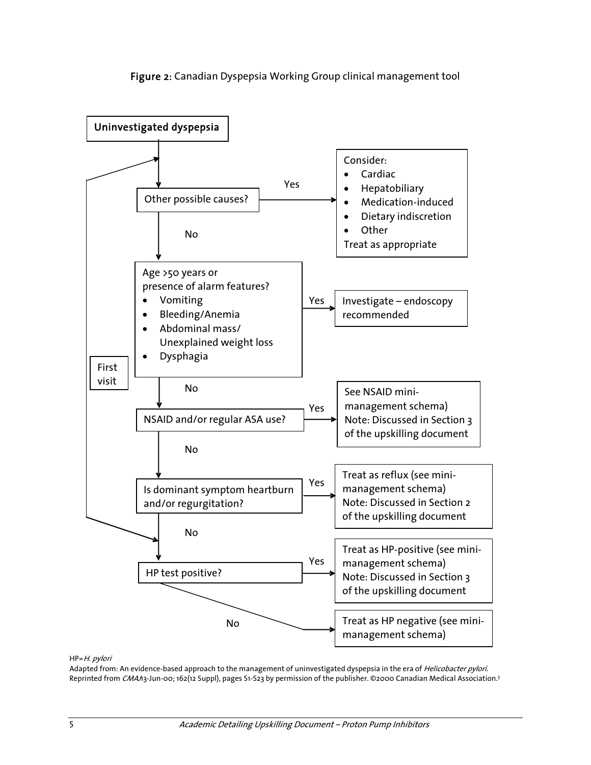



#### HP=H. pylori

Adapted from: An evidence-based approach to the management of uninvestigated dyspepsia in the era of *Helicobacter pylori*. Reprinted from CMAh3-Jun-00; 162(12 Suppl), pages S1-S23 by permission of the publisher. ©2000 Canadian Medical Association.<sup>3</sup>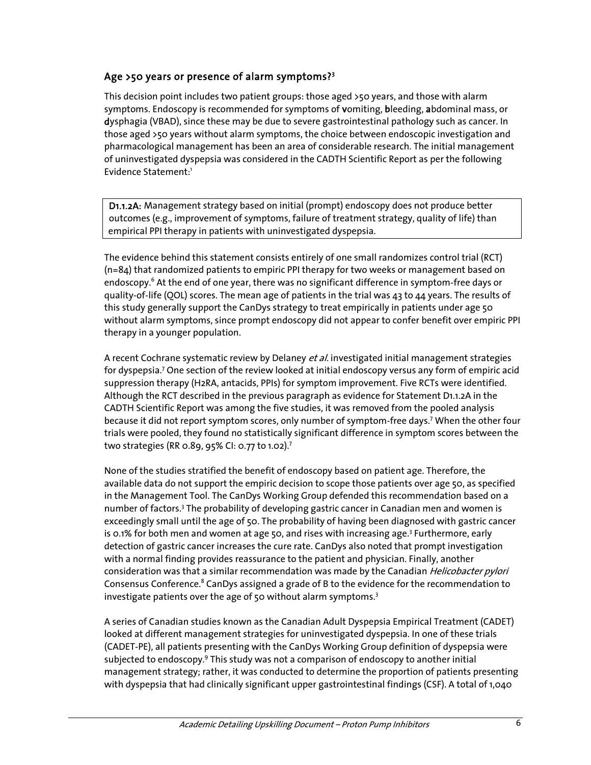### Age >50 years or presence of alarm symptoms?<sup>3</sup>

This decision point includes two patient groups: those aged >50 years, and those with alarm symptoms. Endoscopy is recommended for symptoms of vomiting, bleeding, abdominal mass, or dysphagia (VBAD), since these may be due to severe gastrointestinal pathology such as cancer. In those aged >50 years without alarm symptoms, the choice between endoscopic investigation and pharmacological management has been an area of considerable research. The initial management of uninvestigated dyspepsia was considered in the CADTH Scientific Report as per the following Evidence Statement:<sup>1</sup>

 D1.1.2A: Management strategy based on initial (prompt) endoscopy does not produce better outcomes (e.g., improvement of symptoms, failure of treatment strategy, quality of life) than empirical PPI therapy in patients with uninvestigated dyspepsia.

The evidence behind this statement consists entirely of one small randomizes control trial (RCT) (n=84) that randomized patients to empiric PPI therapy for two weeks or management based on endoscopy.<sup>6</sup> At the end of one year, there was no significant difference in symptom-free days or quality-of-life (QOL) scores. The mean age of patients in the trial was 43 to 44 years. The results of this study generally support the CanDys strategy to treat empirically in patients under age 50 without alarm symptoms, since prompt endoscopy did not appear to confer benefit over empiric PPI therapy in a younger population.

A recent Cochrane systematic review by Delaney et al. investigated initial management strategies for dyspepsia.<sup>7</sup> One section of the review looked at initial endoscopy versus any form of empiric acid suppression therapy (H2RA, antacids, PPIs) for symptom improvement. Five RCTs were identified. Although the RCT described in the previous paragraph as evidence for Statement D1.1.2A in the CADTH Scientific Report was among the five studies, it was removed from the pooled analysis because it did not report symptom scores, only number of symptom-free days.<sup>7</sup> When the other four trials were pooled, they found no statistically significant difference in symptom scores between the two strategies (RR 0.89, 95% CI: 0.77 to 1.02).7

None of the studies stratified the benefit of endoscopy based on patient age. Therefore, the available data do not support the empiric decision to scope those patients over age 50, as specified in the Management Tool. The CanDys Working Group defended this recommendation based on a number of factors.<sup>3</sup> The probability of developing gastric cancer in Canadian men and women is exceedingly small until the age of 50. The probability of having been diagnosed with gastric cancer is 0.1% for both men and women at age 50, and rises with increasing age.<sup>3</sup> Furthermore, early detection of gastric cancer increases the cure rate. CanDys also noted that prompt investigation with a normal finding provides reassurance to the patient and physician. Finally, another consideration was that a similar recommendation was made by the Canadian *Helicobacter pylori* Consensus Conference.<sup>8</sup> CanDys assigned a grade of B to the evidence for the recommendation to investigate patients over the age of 50 without alarm symptoms. $3$ 

A series of Canadian studies known as the Canadian Adult Dyspepsia Empirical Treatment (CADET) looked at different management strategies for uninvestigated dyspepsia. In one of these trials (CADET-PE), all patients presenting with the CanDys Working Group definition of dyspepsia were subjected to endoscopy.<sup>9</sup> This study was not a comparison of endoscopy to another initial management strategy; rather, it was conducted to determine the proportion of patients presenting with dyspepsia that had clinically significant upper gastrointestinal findings (CSF). A total of 1,040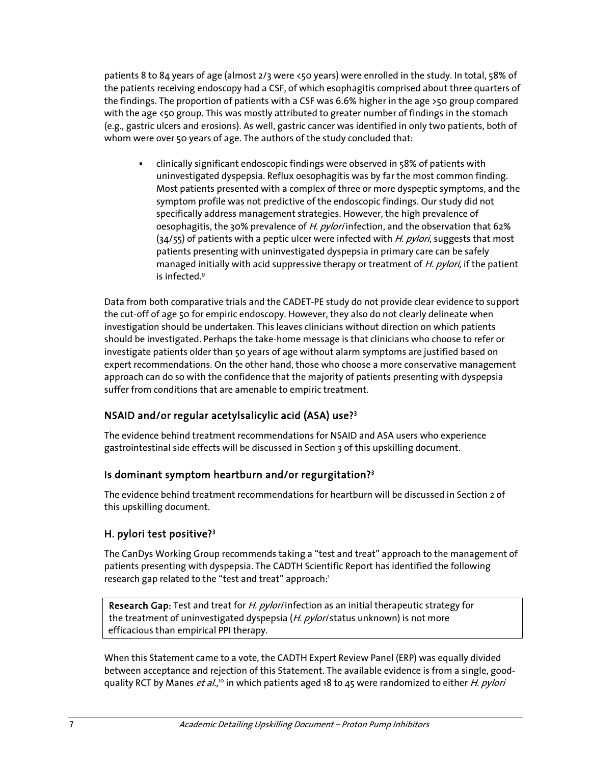patients 8 to 84 years of age (almost 2/3 were <50 years) were enrolled in the study. In total, 58% of the patients receiving endoscopy had a CSF, of which esophagitis comprised about three quarters of the findings. The proportion of patients with a CSF was 6.6% higher in the age >50 group compared with the age <50 group. This was mostly attributed to greater number of findings in the stomach (e.g., gastric ulcers and erosions). As well, gastric cancer was identified in only two patients, both of whom were over 50 years of age. The authors of the study concluded that:

 clinically significant endoscopic findings were observed in 58% of patients with uninvestigated dyspepsia. Reflux oesophagitis was by far the most common finding. Most patients presented with a complex of three or more dyspeptic symptoms, and the symptom profile was not predictive of the endoscopic findings. Our study did not specifically address management strategies. However, the high prevalence of oesophagitis, the 30% prevalence of H. pylori infection, and the observation that 62%  $(34/55)$  of patients with a peptic ulcer were infected with H. pylori, suggests that most patients presenting with uninvestigated dyspepsia in primary care can be safely managed initially with acid suppressive therapy or treatment of H. pylori, if the patient is infected<sup>9</sup>

Data from both comparative trials and the CADET-PE study do not provide clear evidence to support the cut-off of age 50 for empiric endoscopy. However, they also do not clearly delineate when investigation should be undertaken. This leaves clinicians without direction on which patients should be investigated. Perhaps the take-home message is that clinicians who choose to refer or investigate patients older than 50 years of age without alarm symptoms are justified based on expert recommendations. On the other hand, those who choose a more conservative management approach can do so with the confidence that the majority of patients presenting with dyspepsia suffer from conditions that are amenable to empiric treatment.

### NSAID and/or regular acetylsalicylic acid (ASA) use?<sup>3</sup>

The evidence behind treatment recommendations for NSAID and ASA users who experience gastrointestinal side effects will be discussed in Section 3 of this upskilling document.

### Is dominant symptom heartburn and/or regurgitation?<sup>3</sup>

The evidence behind treatment recommendations for heartburn will be discussed in Section 2 of this upskilling document.

### H. pylori test positive?<sup>3</sup>

The CanDys Working Group recommends taking a "test and treat" approach to the management of patients presenting with dyspepsia. The CADTH Scientific Report has identified the following research gap related to the "test and treat" approach:<sup>1</sup>

Research Gap: Test and treat for *H. pylori* infection as an initial therapeutic strategy for the treatment of uninvestigated dyspepsia (H. pyloristatus unknown) is not more efficacious than empirical PPI therapy.

When this Statement came to a vote, the CADTH Expert Review Panel (ERP) was equally divided between acceptance and rejection of this Statement. The available evidence is from a single, goodquality RCT by Manes *et al.*," in which patients aged 18 to 45 were randomized to either *H. pylori*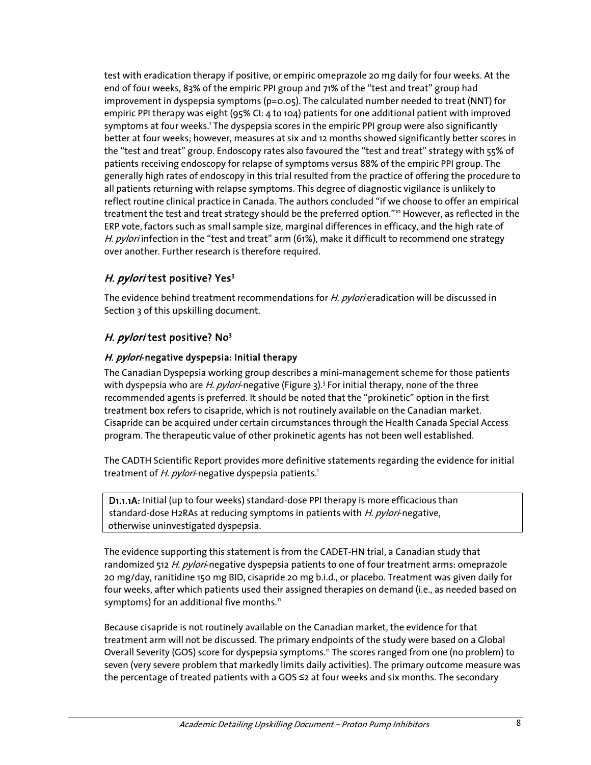test with eradication therapy if positive, or empiric omeprazole 20 mg daily for four weeks. At the end of four weeks, 83% of the empiric PPI group and 71% of the "test and treat" group had improvement in dyspepsia symptoms (p=0.05). The calculated number needed to treat (NNT) for empiric PPI therapy was eight (95% CI: 4 to 104) patients for one additional patient with improved symptoms at four weeks.<sup>1</sup> The dyspepsia scores in the empiric PPI group were also significantly better at four weeks; however, measures at six and 12 months showed significantly better scores in the "test and treat" group. Endoscopy rates also favoured the "test and treat" strategy with 55% of patients receiving endoscopy for relapse of symptoms versus 88% of the empiric PPI group. The generally high rates of endoscopy in this trial resulted from the practice of offering the procedure to all patients returning with relapse symptoms. This degree of diagnostic vigilance is unlikely to reflect routine clinical practice in Canada. The authors concluded "if we choose to offer an empirical treatment the test and treat strategy should be the preferred option."<sup>10</sup> However, as reflected in the ERP vote, factors such as small sample size, marginal differences in efficacy, and the high rate of H. pylori infection in the "test and treat" arm (61%), make it difficult to recommend one strategy over another. Further research is therefore required.

### H. *pylori* test positive? Yes<sup>3</sup>

The evidence behind treatment recommendations for H. pylori eradication will be discussed in Section 3 of this upskilling document.

### *H. pylori* test positive? No<sup>3</sup>

### H. pylori-negative dyspepsia: Initial therapy

The Canadian Dyspepsia working group describes a mini-management scheme for those patients with dyspepsia who are *H. pylori*-negative (Figure 3).<sup>3</sup> For initial therapy, none of the three recommended agents is preferred. It should be noted that the "prokinetic" option in the first treatment box refers to cisapride, which is not routinely available on the Canadian market. Cisapride can be acquired under certain circumstances through the Health Canada Special Access program. The therapeutic value of other prokinetic agents has not been well established.

The CADTH Scientific Report provides more definitive statements regarding the evidence for initial treatment of H. pylori-negative dyspepsia patients.<sup>1</sup>

 D1.1.1A: Initial (up to four weeks) standard-dose PPI therapy is more efficacious than standard-dose H2RAs at reducing symptoms in patients with H. pylori-negative, otherwise uninvestigated dyspepsia.

The evidence supporting this statement is from the CADET-HN trial, a Canadian study that randomized 512 H. pylori-negative dyspepsia patients to one of four treatment arms: omeprazole 20 mg/day, ranitidine 150 mg BID, cisapride 20 mg b.i.d., or placebo. Treatment was given daily for four weeks, after which patients used their assigned therapies on demand (i.e., as needed based on symptoms) for an additional five months.<sup>11</sup>

Because cisapride is not routinely available on the Canadian market, the evidence for that treatment arm will not be discussed. The primary endpoints of the study were based on a Global Overall Severity (GOS) score for dyspepsia symptoms.11 The scores ranged from one (no problem) to seven (very severe problem that markedly limits daily activities). The primary outcome measure was the percentage of treated patients with a GOS ≤2 at four weeks and six months. The secondary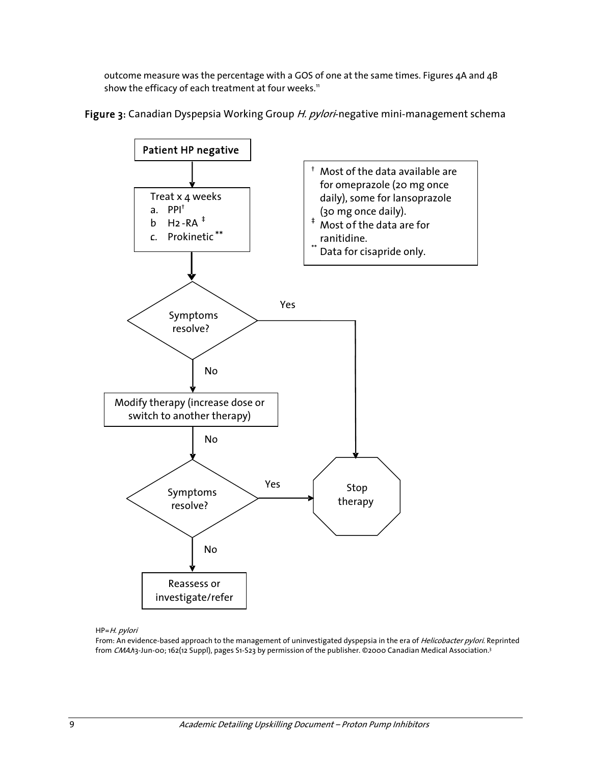outcome measure was the percentage with a GOS of one at the same times. Figures 4A and 4B show the efficacy of each treatment at four weeks.<sup>11</sup>





#### HP=H. pylori

From: An evidence-based approach to the management of uninvestigated dyspepsia in the era of Helicobacter pylori. Reprinted from CMAh3-Jun-00; 162(12 Suppl), pages S1-S23 by permission of the publisher. ©2000 Canadian Medical Association.<sup>3</sup>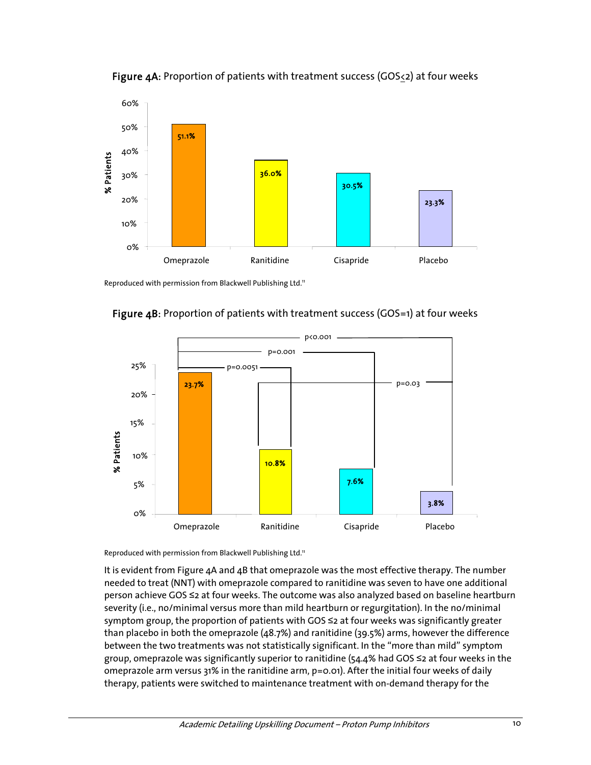



Reproduced with permission from Blackwell Publishing Ltd.<sup>11</sup>





Reproduced with permission from Blackwell Publishing Ltd.<sup>11</sup>

It is evident from Figure 4A and 4B that omeprazole was the most effective therapy. The number needed to treat (NNT) with omeprazole compared to ranitidine was seven to have one additional person achieve GOS ≤2 at four weeks. The outcome was also analyzed based on baseline heartburn severity (i.e., no/minimal versus more than mild heartburn or regurgitation). In the no/minimal symptom group, the proportion of patients with GOS ≤2 at four weeks was significantly greater than placebo in both the omeprazole (48.7%) and ranitidine (39.5%) arms, however the difference between the two treatments was not statistically significant. In the "more than mild" symptom group, omeprazole was significantly superior to ranitidine (54.4% had GOS ≤2 at four weeks in the omeprazole arm versus 31% in the ranitidine arm, p=0.01). After the initial four weeks of daily therapy, patients were switched to maintenance treatment with on-demand therapy for the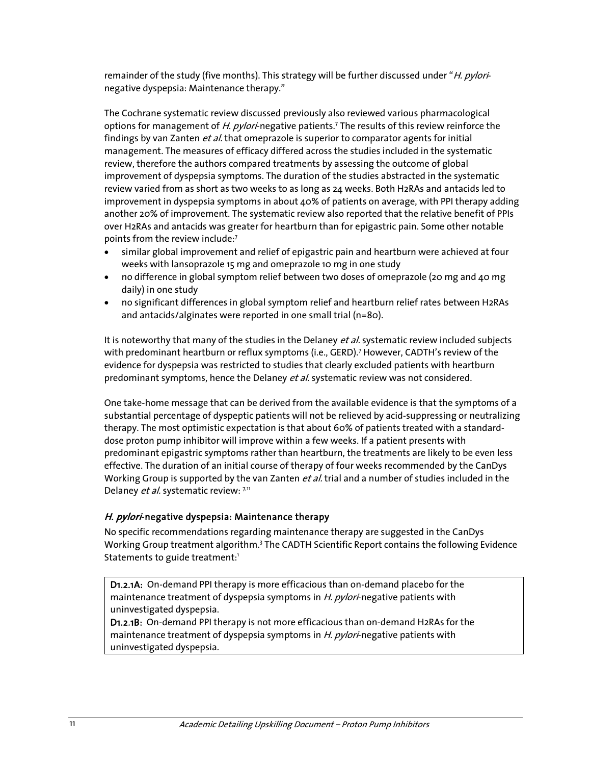remainder of the study (five months). This strategy will be further discussed under "H. pylorinegative dyspepsia: Maintenance therapy."

The Cochrane systematic review discussed previously also reviewed various pharmacological options for management of H. pylori-negative patients.<sup>7</sup> The results of this review reinforce the findings by van Zanten et al. that omeprazole is superior to comparator agents for initial management. The measures of efficacy differed across the studies included in the systematic review, therefore the authors compared treatments by assessing the outcome of global improvement of dyspepsia symptoms. The duration of the studies abstracted in the systematic review varied from as short as two weeks to as long as 24 weeks. Both H2RAs and antacids led to improvement in dyspepsia symptoms in about 40% of patients on average, with PPI therapy adding another 20% of improvement. The systematic review also reported that the relative benefit of PPIs over H2RAs and antacids was greater for heartburn than for epigastric pain. Some other notable points from the review include:7

- similar global improvement and relief of epigastric pain and heartburn were achieved at four weeks with lansoprazole 15 mg and omeprazole 10 mg in one study
- no difference in global symptom relief between two doses of omeprazole (20 mg and 40 mg daily) in one study
- no significant differences in global symptom relief and heartburn relief rates between H2RAs and antacids/alginates were reported in one small trial (n=80).

It is noteworthy that many of the studies in the Delaney et al. systematic review included subjects with predominant heartburn or reflux symptoms (i.e., GERD).<sup>7</sup> However, CADTH's review of the evidence for dyspepsia was restricted to studies that clearly excluded patients with heartburn predominant symptoms, hence the Delaney et al. systematic review was not considered.

One take-home message that can be derived from the available evidence is that the symptoms of a substantial percentage of dyspeptic patients will not be relieved by acid-suppressing or neutralizing therapy. The most optimistic expectation is that about 60% of patients treated with a standarddose proton pump inhibitor will improve within a few weeks. If a patient presents with predominant epigastric symptoms rather than heartburn, the treatments are likely to be even less effective. The duration of an initial course of therapy of four weeks recommended by the CanDys Working Group is supported by the van Zanten et al. trial and a number of studies included in the Delaney et al. systematic review: 7,11

#### H. pylori-negative dyspepsia: Maintenance therapy

No specific recommendations regarding maintenance therapy are suggested in the CanDys Working Group treatment algorithm.<sup>3</sup> The CADTH Scientific Report contains the following Evidence Statements to guide treatment:<sup>1</sup>

D1.2.1A: On-demand PPI therapy is more efficacious than on-demand placebo for the maintenance treatment of dyspepsia symptoms in H. pylori-negative patients with uninvestigated dyspepsia.

D1.2.1B: On-demand PPI therapy is not more efficacious than on-demand H2RAs for the maintenance treatment of dyspepsia symptoms in H. pylori-negative patients with uninvestigated dyspepsia.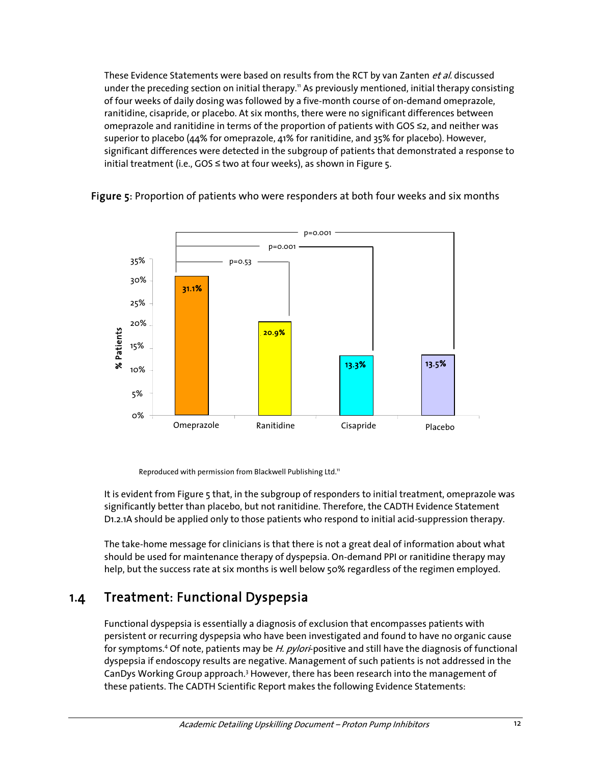These Evidence Statements were based on results from the RCT by van Zanten et al. discussed under the preceding section on initial therapy.<sup>11</sup> As previously mentioned, initial therapy consisting of four weeks of daily dosing was followed by a five-month course of on-demand omeprazole, ranitidine, cisapride, or placebo. At six months, there were no significant differences between omeprazole and ranitidine in terms of the proportion of patients with GOS ≤2, and neither was superior to placebo (44% for omeprazole, 41% for ranitidine, and 35% for placebo). However, significant differences were detected in the subgroup of patients that demonstrated a response to initial treatment (i.e.,  $GOS \leq two$  at four weeks), as shown in Figure 5.



#### Figure 5: Proportion of patients who were responders at both four weeks and six months

Reproduced with permission from Blackwell Publishing Ltd.<sup>11</sup>

It is evident from Figure 5 that, in the subgroup of responders to initial treatment, omeprazole was significantly better than placebo, but not ranitidine. Therefore, the CADTH Evidence Statement D1.2.1A should be applied only to those patients who respond to initial acid-suppression therapy.

The take-home message for clinicians is that there is not a great deal of information about what should be used for maintenance therapy of dyspepsia. On-demand PPI or ranitidine therapy may help, but the success rate at six months is well below 50% regardless of the regimen employed.

### 1.4 Treatment: Functional Dyspepsia

Functional dyspepsia is essentially a diagnosis of exclusion that encompasses patients with persistent or recurring dyspepsia who have been investigated and found to have no organic cause for symptoms.<sup>4</sup> Of note, patients may be H. pylori-positive and still have the diagnosis of functional dyspepsia if endoscopy results are negative. Management of such patients is not addressed in the CanDys Working Group approach.<sup>3</sup> However, there has been research into the management of these patients. The CADTH Scientific Report makes the following Evidence Statements: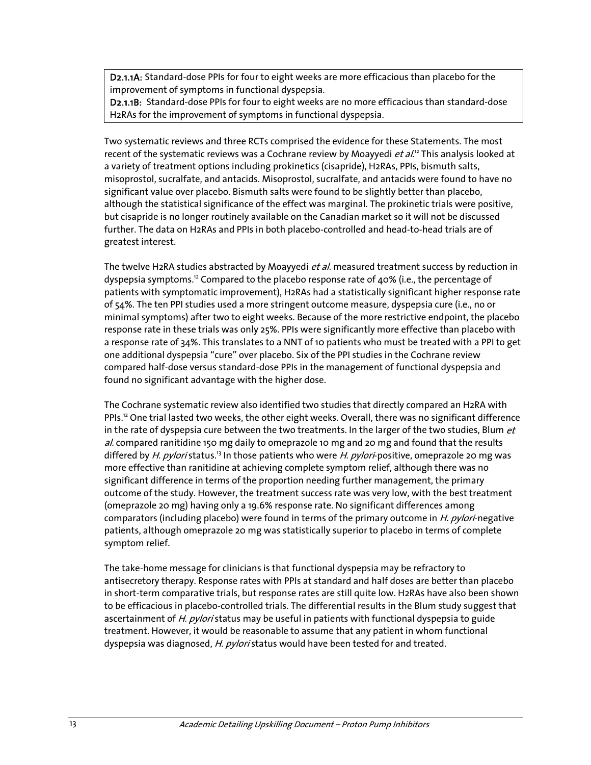D2.1.1A: Standard-dose PPIs for four to eight weeks are more efficacious than placebo for the improvement of symptoms in functional dyspepsia.

D2.1.1B: Standard-dose PPIs for four to eight weeks are no more efficacious than standard-dose H2RAs for the improvement of symptoms in functional dyspepsia.

Two systematic reviews and three RCTs comprised the evidence for these Statements. The most recent of the systematic reviews was a Cochrane review by Moayyedi et al.<sup>12</sup> This analysis looked at a variety of treatment options including prokinetics (cisapride), H2RAs, PPIs, bismuth salts, misoprostol, sucralfate, and antacids. Misoprostol, sucralfate, and antacids were found to have no significant value over placebo. Bismuth salts were found to be slightly better than placebo, although the statistical significance of the effect was marginal. The prokinetic trials were positive, but cisapride is no longer routinely available on the Canadian market so it will not be discussed further. The data on H2RAs and PPIs in both placebo-controlled and head-to-head trials are of greatest interest.

The twelve H2RA studies abstracted by Moayyedi *et al.* measured treatment success by reduction in dyspepsia symptoms.12 Compared to the placebo response rate of 40% (i.e., the percentage of patients with symptomatic improvement), H2RAs had a statistically significant higher response rate of 54%. The ten PPI studies used a more stringent outcome measure, dyspepsia cure (i.e., no or minimal symptoms) after two to eight weeks. Because of the more restrictive endpoint, the placebo response rate in these trials was only 25%. PPIs were significantly more effective than placebo with a response rate of 34%. This translates to a NNT of 10 patients who must be treated with a PPI to get one additional dyspepsia "cure" over placebo. Six of the PPI studies in the Cochrane review compared half-dose versus standard-dose PPIs in the management of functional dyspepsia and found no significant advantage with the higher dose.

The Cochrane systematic review also identified two studies that directly compared an H2RA with PPIs.<sup>12</sup> One trial lasted two weeks, the other eight weeks. Overall, there was no significant difference in the rate of dyspepsia cure between the two treatments. In the larger of the two studies, Blum  $et$ al. compared ranitidine 150 mg daily to omeprazole 10 mg and 20 mg and found that the results differed by H. pylori status.<sup>13</sup> In those patients who were H. pylori-positive, omeprazole 20 mg was more effective than ranitidine at achieving complete symptom relief, although there was no significant difference in terms of the proportion needing further management, the primary outcome of the study. However, the treatment success rate was very low, with the best treatment (omeprazole 20 mg) having only a 19.6% response rate. No significant differences among comparators (including placebo) were found in terms of the primary outcome in *H. pylori*-negative patients, although omeprazole 20 mg was statistically superior to placebo in terms of complete symptom relief.

The take-home message for clinicians is that functional dyspepsia may be refractory to antisecretory therapy. Response rates with PPIs at standard and half doses are better than placebo in short-term comparative trials, but response rates are still quite low. H2RAs have also been shown to be efficacious in placebo-controlled trials. The differential results in the Blum study suggest that ascertainment of H. pylori status may be useful in patients with functional dyspepsia to guide treatment. However, it would be reasonable to assume that any patient in whom functional dyspepsia was diagnosed, H. pylori status would have been tested for and treated.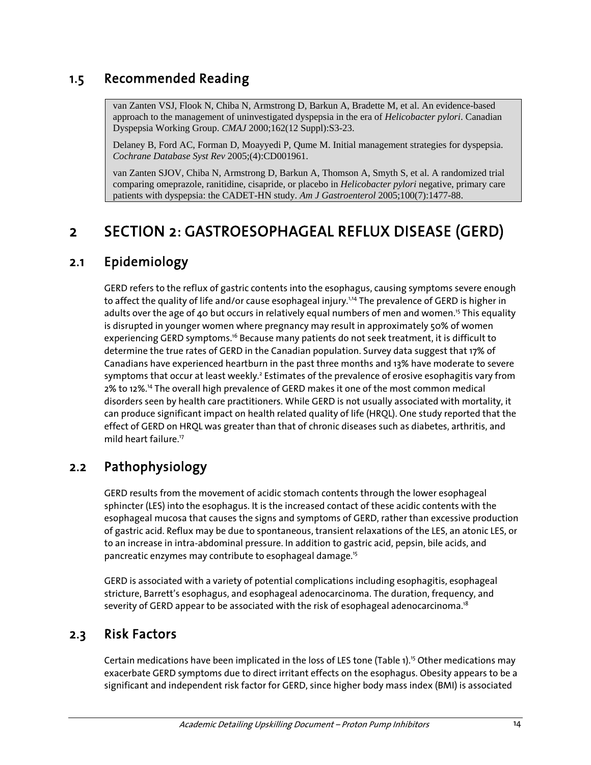### 1.5 Recommended Reading

van Zanten VSJ, Flook N, Chiba N, Armstrong D, Barkun A, Bradette M, et al. An evidence-based approach to the management of uninvestigated dyspepsia in the era of *Helicobacter pylori*. Canadian Dyspepsia Working Group. *CMAJ* 2000;162(12 Suppl):S3-23.

Delaney B, Ford AC, Forman D, Moayyedi P, Qume M. Initial management strategies for dyspepsia. *Cochrane Database Syst Rev* 2005;(4):CD001961.

van Zanten SJOV, Chiba N, Armstrong D, Barkun A, Thomson A, Smyth S, et al. A randomized trial comparing omeprazole, ranitidine, cisapride, or placebo in *Helicobacter pylori* negative, primary care patients with dyspepsia: the CADET-HN study. *Am J Gastroenterol* 2005;100(7):1477-88.

# 2 SECTION 2: GASTROESOPHAGEAL REFLUX DISEASE (GERD)

### 2.1 Epidemiology

GERD refers to the reflux of gastric contents into the esophagus, causing symptoms severe enough to affect the quality of life and/or cause esophageal injury.<sup>1,14</sup> The prevalence of GERD is higher in adults over the age of 40 but occurs in relatively equal numbers of men and women.<sup>15</sup> This equality is disrupted in younger women where pregnancy may result in approximately 50% of women experiencing GERD symptoms.<sup>16</sup> Because many patients do not seek treatment, it is difficult to determine the true rates of GERD in the Canadian population. Survey data suggest that 17% of Canadians have experienced heartburn in the past three months and 13% have moderate to severe symptoms that occur at least weekly.<sup>2</sup> Estimates of the prevalence of erosive esophagitis vary from 2% to 12%.14 The overall high prevalence of GERD makes it one of the most common medical disorders seen by health care practitioners. While GERD is not usually associated with mortality, it can produce significant impact on health related quality of life (HRQL). One study reported that the effect of GERD on HRQL was greater than that of chronic diseases such as diabetes, arthritis, and mild heart failure.<sup>17</sup>

## 2.2 Pathophysiology

GERD results from the movement of acidic stomach contents through the lower esophageal sphincter (LES) into the esophagus. It is the increased contact of these acidic contents with the esophageal mucosa that causes the signs and symptoms of GERD, rather than excessive production of gastric acid. Reflux may be due to spontaneous, transient relaxations of the LES, an atonic LES, or to an increase in intra-abdominal pressure. In addition to gastric acid, pepsin, bile acids, and pancreatic enzymes may contribute to esophageal damage.15

GERD is associated with a variety of potential complications including esophagitis, esophageal stricture, Barrett's esophagus, and esophageal adenocarcinoma. The duration, frequency, and severity of GERD appear to be associated with the risk of esophageal adenocarcinoma.<sup>18</sup>

### 2.3 Risk Factors

Certain medications have been implicated in the loss of LES tone (Table 1).15 Other medications may exacerbate GERD symptoms due to direct irritant effects on the esophagus. Obesity appears to be a significant and independent risk factor for GERD, since higher body mass index (BMI) is associated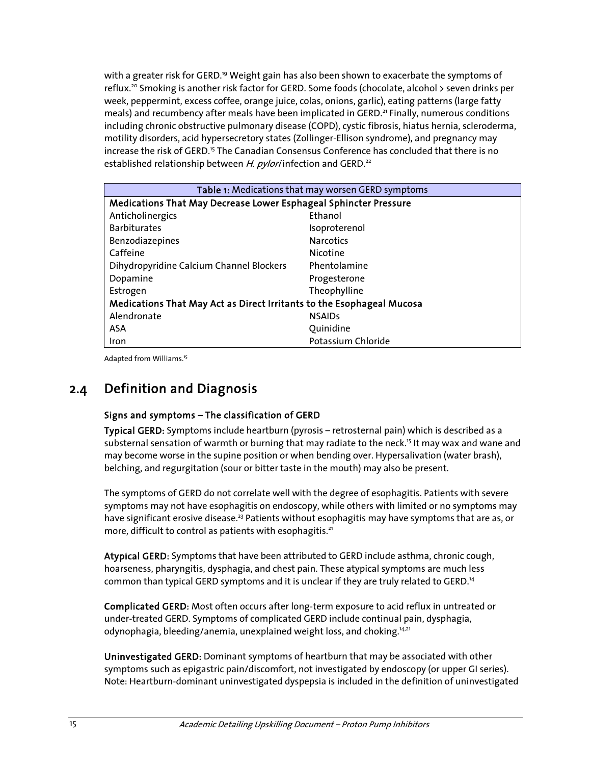with a greater risk for GERD.<sup>19</sup> Weight gain has also been shown to exacerbate the symptoms of reflux.<sup>20</sup> Smoking is another risk factor for GERD. Some foods (chocolate, alcohol > seven drinks per week, peppermint, excess coffee, orange juice, colas, onions, garlic), eating patterns (large fatty meals) and recumbency after meals have been implicated in GERD.<sup>21</sup> Finally, numerous conditions including chronic obstructive pulmonary disease (COPD), cystic fibrosis, hiatus hernia, scleroderma, motility disorders, acid hypersecretory states (Zollinger-Ellison syndrome), and pregnancy may increase the risk of GERD.<sup>15</sup> The Canadian Consensus Conference has concluded that there is no established relationship between H. pylori infection and GERD.<sup>22</sup>

| Table 1: Medications that may worsen GERD symptoms                    |                    |  |  |
|-----------------------------------------------------------------------|--------------------|--|--|
| Medications That May Decrease Lower Esphageal Sphincter Pressure      |                    |  |  |
| Anticholinergics                                                      | Ethanol            |  |  |
| <b>Barbiturates</b>                                                   | Isoproterenol      |  |  |
| Benzodiazepines                                                       | <b>Narcotics</b>   |  |  |
| Caffeine                                                              | Nicotine           |  |  |
| Dihydropyridine Calcium Channel Blockers                              | Phentolamine       |  |  |
| Dopamine                                                              | Progesterone       |  |  |
| Estrogen                                                              | Theophylline       |  |  |
| Medications That May Act as Direct Irritants to the Esophageal Mucosa |                    |  |  |
| Alendronate                                                           | <b>NSAIDs</b>      |  |  |
| ASA                                                                   | Ouinidine          |  |  |
| <b>Iron</b>                                                           | Potassium Chloride |  |  |

Adapted from Williams.15

### 2.4 Definition and Diagnosis

#### Signs and symptoms – The classification of GERD

Typical GERD: Symptoms include heartburn (pyrosis – retrosternal pain) which is described as a substernal sensation of warmth or burning that may radiate to the neck.<sup>15</sup> It may wax and wane and may become worse in the supine position or when bending over. Hypersalivation (water brash), belching, and regurgitation (sour or bitter taste in the mouth) may also be present.

The symptoms of GERD do not correlate well with the degree of esophagitis. Patients with severe symptoms may not have esophagitis on endoscopy, while others with limited or no symptoms may have significant erosive disease.<sup>23</sup> Patients without esophagitis may have symptoms that are as, or more, difficult to control as patients with esophagitis.<sup>21</sup>

Atypical GERD: Symptoms that have been attributed to GERD include asthma, chronic cough, hoarseness, pharyngitis, dysphagia, and chest pain. These atypical symptoms are much less common than typical GERD symptoms and it is unclear if they are truly related to GERD.<sup>14</sup>

Complicated GERD: Most often occurs after long-term exposure to acid reflux in untreated or under-treated GERD. Symptoms of complicated GERD include continual pain, dysphagia, odynophagia, bleeding/anemia, unexplained weight loss, and choking.<sup>14,21</sup>

Uninvestigated GERD: Dominant symptoms of heartburn that may be associated with other symptoms such as epigastric pain/discomfort, not investigated by endoscopy (or upper GI series). Note: Heartburn-dominant uninvestigated dyspepsia is included in the definition of uninvestigated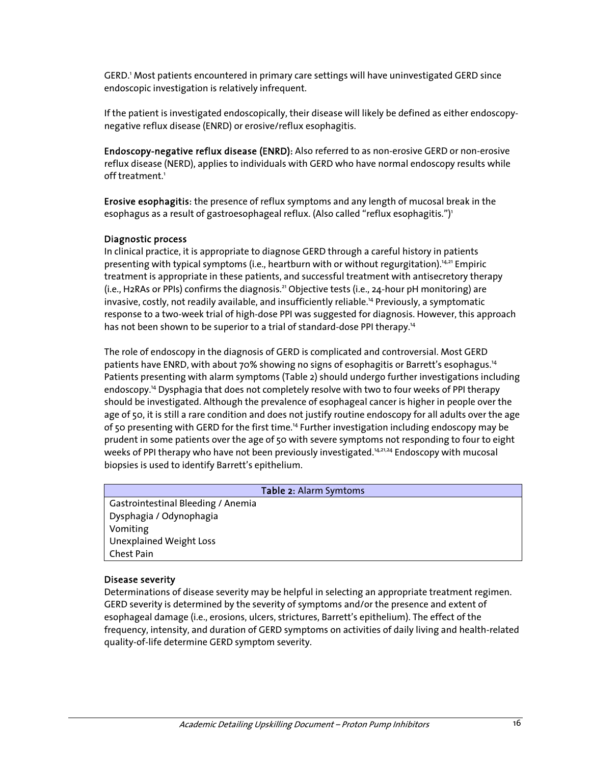GERD.1 Most patients encountered in primary care settings will have uninvestigated GERD since endoscopic investigation is relatively infrequent.

If the patient is investigated endoscopically, their disease will likely be defined as either endoscopynegative reflux disease (ENRD) or erosive/reflux esophagitis.

Endoscopy-negative reflux disease (ENRD): Also referred to as non-erosive GERD or non-erosive reflux disease (NERD), applies to individuals with GERD who have normal endoscopy results while off treatment.<sup>1</sup>

Erosive esophagitis: the presence of reflux symptoms and any length of mucosal break in the esophagus as a result of gastroesophageal reflux. (Also called "reflux esophagitis.")<sup>1</sup>

#### Diagnostic process

In clinical practice, it is appropriate to diagnose GERD through a careful history in patients presenting with typical symptoms (i.e., heartburn with or without regurgitation).<sup>14,21</sup> Empiric treatment is appropriate in these patients, and successful treatment with antisecretory therapy (i.e., H2RAs or PPIs) confirms the diagnosis.21 Objective tests (i.e., 24-hour pH monitoring) are invasive, costly, not readily available, and insufficiently reliable.14 Previously, a symptomatic response to a two-week trial of high-dose PPI was suggested for diagnosis. However, this approach has not been shown to be superior to a trial of standard-dose PPI therapy.<sup>14</sup>

The role of endoscopy in the diagnosis of GERD is complicated and controversial. Most GERD patients have ENRD, with about 70% showing no signs of esophagitis or Barrett's esophagus.<sup>14</sup> Patients presenting with alarm symptoms (Table 2) should undergo further investigations including endoscopy.14 Dysphagia that does not completely resolve with two to four weeks of PPI therapy should be investigated. Although the prevalence of esophageal cancer is higher in people over the age of 50, it is still a rare condition and does not justify routine endoscopy for all adults over the age of 50 presenting with GERD for the first time.14 Further investigation including endoscopy may be prudent in some patients over the age of 50 with severe symptoms not responding to four to eight weeks of PPI therapy who have not been previously investigated.<sup>14,21,24</sup> Endoscopy with mucosal biopsies is used to identify Barrett's epithelium.

#### Table 2: Alarm Symtoms

Gastrointestinal Bleeding / Anemia Dysphagia / Odynophagia Vomiting Unexplained Weight Loss Chest Pain

#### Disease severity

Determinations of disease severity may be helpful in selecting an appropriate treatment regimen. GERD severity is determined by the severity of symptoms and/or the presence and extent of esophageal damage (i.e., erosions, ulcers, strictures, Barrett's epithelium). The effect of the frequency, intensity, and duration of GERD symptoms on activities of daily living and health-related quality-of-life determine GERD symptom severity.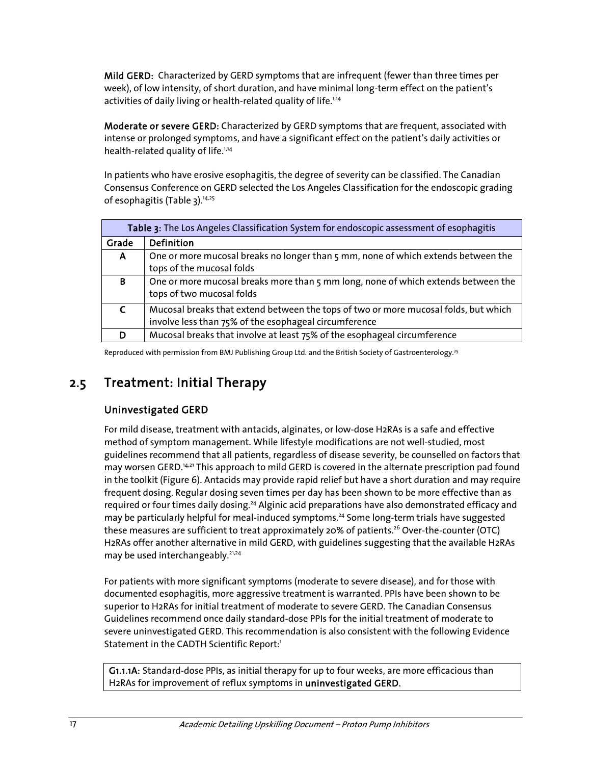Mild GERD: Characterized by GERD symptoms that are infrequent (fewer than three times per week), of low intensity, of short duration, and have minimal long-term effect on the patient's activities of daily living or health-related quality of life.<sup>1,14</sup>

Moderate or severe GERD: Characterized by GERD symptoms that are frequent, associated with intense or prolonged symptoms, and have a significant effect on the patient's daily activities or health-related quality of life.<sup>1,14</sup>

In patients who have erosive esophagitis, the degree of severity can be classified. The Canadian Consensus Conference on GERD selected the Los Angeles Classification for the endoscopic grading of esophagitis (Table 3).<sup>14,25</sup>

| Table 3: The Los Angeles Classification System for endoscopic assessment of esophagitis |                                                                                     |  |  |
|-----------------------------------------------------------------------------------------|-------------------------------------------------------------------------------------|--|--|
| Grade                                                                                   | Definition                                                                          |  |  |
| A                                                                                       | One or more mucosal breaks no longer than 5 mm, none of which extends between the   |  |  |
|                                                                                         | tops of the mucosal folds                                                           |  |  |
| B                                                                                       | One or more mucosal breaks more than 5 mm long, none of which extends between the   |  |  |
|                                                                                         | tops of two mucosal folds                                                           |  |  |
| $\mathsf{C}$                                                                            | Mucosal breaks that extend between the tops of two or more mucosal folds, but which |  |  |
|                                                                                         | involve less than 75% of the esophageal circumference                               |  |  |
|                                                                                         | Mucosal breaks that involve at least 75% of the esophageal circumference            |  |  |

Reproduced with permission from BMJ Publishing Group Ltd. and the British Society of Gastroenterology.<sup>25</sup>

## 2.5 Treatment: Initial Therapy

### Uninvestigated GERD

For mild disease, treatment with antacids, alginates, or low-dose H2RAs is a safe and effective method of symptom management. While lifestyle modifications are not well-studied, most guidelines recommend that all patients, regardless of disease severity, be counselled on factors that may worsen GERD.<sup>14,21</sup> This approach to mild GERD is covered in the alternate prescription pad found in the toolkit (Figure 6). Antacids may provide rapid relief but have a short duration and may require frequent dosing. Regular dosing seven times per day has been shown to be more effective than as required or four times daily dosing.<sup>24</sup> Alginic acid preparations have also demonstrated efficacy and may be particularly helpful for meal-induced symptoms.<sup>24</sup> Some long-term trials have suggested these measures are sufficient to treat approximately 20% of patients.<sup>26</sup> Over-the-counter (OTC) H2RAs offer another alternative in mild GERD, with guidelines suggesting that the available H2RAs may be used interchangeably.<sup>21,24</sup>

For patients with more significant symptoms (moderate to severe disease), and for those with documented esophagitis, more aggressive treatment is warranted. PPIs have been shown to be superior to H2RAs for initial treatment of moderate to severe GERD. The Canadian Consensus Guidelines recommend once daily standard-dose PPIs for the initial treatment of moderate to severe uninvestigated GERD. This recommendation is also consistent with the following Evidence Statement in the CADTH Scientific Report:<sup>1</sup>

G1.1.1A: Standard-dose PPIs, as initial therapy for up to four weeks, are more efficacious than H2RAs for improvement of reflux symptoms in uninvestigated GERD.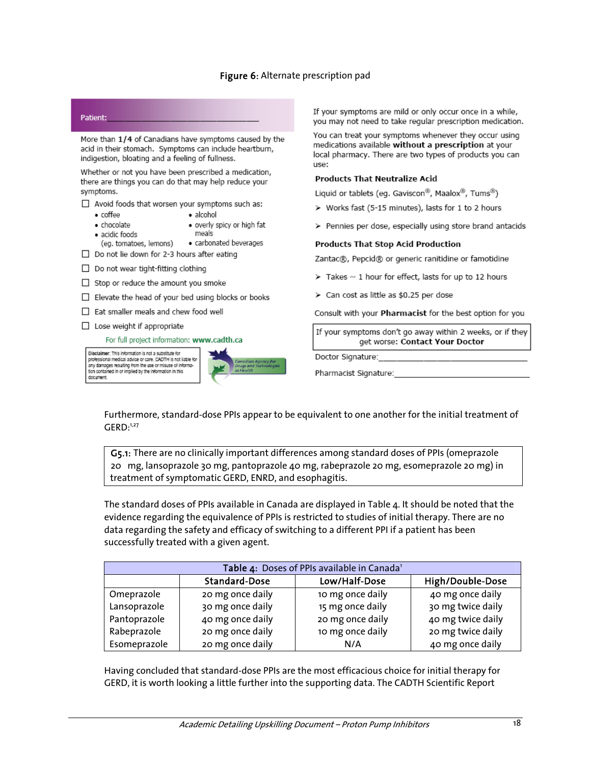#### Figure 6: Alternate prescription pad



any damages resulting from the use or misuse of informa tion contained in or implied by the information in this

document.

If your symptoms are mild or only occur once in a while, you may not need to take regular prescription medication.

You can treat your symptoms whenever they occur using medications available without a prescription at your local pharmacy. There are two types of products you can

#### **Products That Neutralize Acid**

Liquid or tablets (eq. Gaviscon®, Maalox®, Tums®)

- > Works fast (5-15 minutes), lasts for 1 to 2 hours
- > Pennies per dose, especially using store brand antacids

#### **Products That Stop Acid Production**

Zantac®, Pepcid® or generic ranitidine or famotidine

- $\triangleright$  Takes  $\sim$  1 hour for effect, lasts for up to 12 hours
- > Can cost as little as \$0.25 per dose

Consult with your Pharmacist for the best option for you

If your symptoms don't go away within 2 weeks, or if they get worse: Contact Your Doctor

Doctor Signature:

Pharmacist Signature:

Furthermore, standard-dose PPIs appear to be equivalent to one another for the initial treatment of  $GFRD<sub>1,27</sub>$ 

 G5.1: There are no clinically important differences among standard doses of PPIs (omeprazole 20 mg, lansoprazole 30 mg, pantoprazole 40 mg, rabeprazole 20 mg, esomeprazole 20 mg) in treatment of symptomatic GERD, ENRD, and esophagitis.

The standard doses of PPIs available in Canada are displayed in Table 4. It should be noted that the evidence regarding the equivalence of PPIs is restricted to studies of initial therapy. There are no data regarding the safety and efficacy of switching to a different PPI if a patient has been successfully treated with a given agent.

| Table 4: Doses of PPIs available in Canada <sup>1</sup> |                      |                  |                   |  |
|---------------------------------------------------------|----------------------|------------------|-------------------|--|
|                                                         | <b>Standard-Dose</b> | Low/Half-Dose    | High/Double-Dose  |  |
| Omeprazole                                              | 20 mg once daily     | 10 mg once daily | 40 mg once daily  |  |
| Lansoprazole                                            | 30 mg once daily     | 15 mg once daily | 30 mg twice daily |  |
| Pantoprazole                                            | 40 mg once daily     | 20 mg once daily | 40 mg twice daily |  |
| Rabeprazole                                             | 20 mg once daily     | 10 mg once daily | 20 mg twice daily |  |
| Esomeprazole                                            | 20 mg once daily     | N/A              | 40 mg once daily  |  |

Having concluded that standard-dose PPIs are the most efficacious choice for initial therapy for GERD, it is worth looking a little further into the supporting data. The CADTH Scientific Report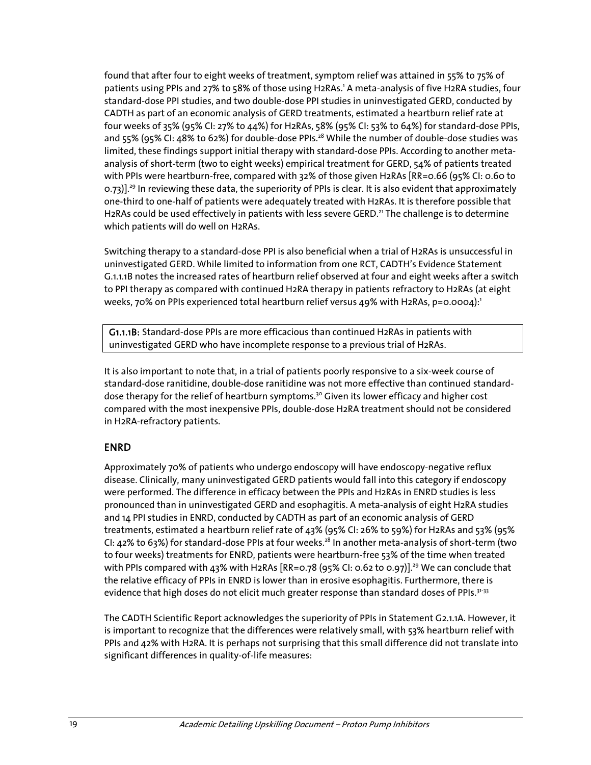found that after four to eight weeks of treatment, symptom relief was attained in 55% to 75% of patients using PPIs and 27% to 58% of those using H2RAs.' A meta-analysis of five H2RA studies, four standard-dose PPI studies, and two double-dose PPI studies in uninvestigated GERD, conducted by CADTH as part of an economic analysis of GERD treatments, estimated a heartburn relief rate at four weeks of 35% (95% CI: 27% to 44%) for H2RAs, 58% (95% CI: 53% to 64%) for standard-dose PPIs, and 55% (95% CI: 48% to 62%) for double-dose PPIs.<sup>28</sup> While the number of double-dose studies was limited, these findings support initial therapy with standard-dose PPIs. According to another metaanalysis of short-term (two to eight weeks) empirical treatment for GERD, 54% of patients treated with PPIs were heartburn-free, compared with 32% of those given H2RAs [RR=0.66 (95% CI: 0.60 to 0.73)].<sup>29</sup> In reviewing these data, the superiority of PPIs is clear. It is also evident that approximately one-third to one-half of patients were adequately treated with H2RAs. It is therefore possible that H2RAs could be used effectively in patients with less severe GERD.<sup>21</sup> The challenge is to determine which patients will do well on H2RAs.

Switching therapy to a standard-dose PPI is also beneficial when a trial of H2RAs is unsuccessful in uninvestigated GERD. While limited to information from one RCT, CADTH's Evidence Statement G.1.1.1B notes the increased rates of heartburn relief observed at four and eight weeks after a switch to PPI therapy as compared with continued H2RA therapy in patients refractory to H2RAs (at eight weeks, 70% on PPIs experienced total heartburn relief versus 49% with H2RAs, p=0.0004):<sup>1</sup>

 G1.1.1B: Standard-dose PPIs are more efficacious than continued H2RAs in patients with uninvestigated GERD who have incomplete response to a previous trial of H2RAs.

It is also important to note that, in a trial of patients poorly responsive to a six-week course of standard-dose ranitidine, double-dose ranitidine was not more effective than continued standarddose therapy for the relief of heartburn symptoms.<sup>30</sup> Given its lower efficacy and higher cost compared with the most inexpensive PPIs, double-dose H2RA treatment should not be considered in H2RA-refractory patients.

### ENRD

Approximately 70% of patients who undergo endoscopy will have endoscopy-negative reflux disease. Clinically, many uninvestigated GERD patients would fall into this category if endoscopy were performed. The difference in efficacy between the PPIs and H2RAs in ENRD studies is less pronounced than in uninvestigated GERD and esophagitis. A meta-analysis of eight H2RA studies and 14 PPI studies in ENRD, conducted by CADTH as part of an economic analysis of GERD treatments, estimated a heartburn relief rate of 43% (95% CI: 26% to 59%) for H2RAs and 53% (95% CI: 42% to 63%) for standard-dose PPIs at four weeks.<sup>28</sup> In another meta-analysis of short-term (two to four weeks) treatments for ENRD, patients were heartburn-free 53% of the time when treated with PPIs compared with 43% with H2RAs [RR=0.78 (95% CI: 0.62 to 0.97)].<sup>29</sup> We can conclude that the relative efficacy of PPIs in ENRD is lower than in erosive esophagitis. Furthermore, there is evidence that high doses do not elicit much greater response than standard doses of PPIs.<sup>31-33</sup>

The CADTH Scientific Report acknowledges the superiority of PPIs in Statement G2.1.1A. However, it is important to recognize that the differences were relatively small, with 53% heartburn relief with PPIs and 42% with H2RA. It is perhaps not surprising that this small difference did not translate into significant differences in quality-of-life measures: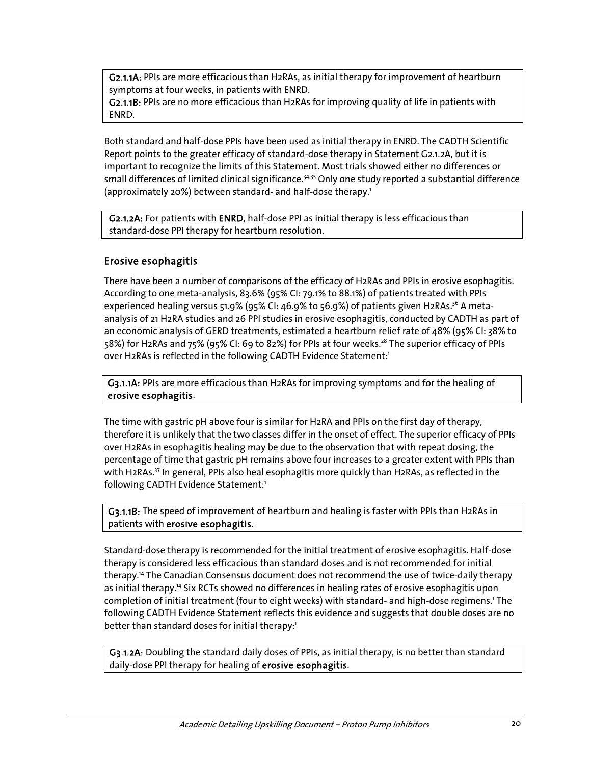G2.1.1A: PPIs are more efficacious than H2RAs, as initial therapy for improvement of heartburn symptoms at four weeks, in patients with ENRD.

 G2.1.1B: PPIs are no more efficacious than H2RAs for improving quality of life in patients with ENRD.

Both standard and half-dose PPIs have been used as initial therapy in ENRD. The CADTH Scientific Report points to the greater efficacy of standard-dose therapy in Statement G2.1.2A, but it is important to recognize the limits of this Statement. Most trials showed either no differences or small differences of limited clinical significance.<sup>34,35</sup> Only one study reported a substantial difference (approximately 20%) between standard- and half-dose therapy.<sup>1</sup>

 G2.1.2A: For patients with ENRD, half-dose PPI as initial therapy is less efficacious than standard-dose PPI therapy for heartburn resolution.

### Erosive esophagitis

There have been a number of comparisons of the efficacy of H2RAs and PPIs in erosive esophagitis. According to one meta-analysis, 83.6% (95% CI: 79.1% to 88.1%) of patients treated with PPIs experienced healing versus 51.9% (95% CI:  $46.9\%$  to 56.9%) of patients given H2RAs.<sup>36</sup> A metaanalysis of 21 H2RA studies and 26 PPI studies in erosive esophagitis, conducted by CADTH as part of an economic analysis of GERD treatments, estimated a heartburn relief rate of 48% (95% CI: 38% to 58%) for H2RAs and 75% (95% CI: 69 to 82%) for PPIs at four weeks.<sup>28</sup> The superior efficacy of PPIs over H2RAs is reflected in the following CADTH Evidence Statement:<sup>1</sup>

G3.1.1A: PPIs are more efficacious than H2RAs for improving symptoms and for the healing of erosive esophagitis.

The time with gastric pH above four is similar for H2RA and PPIs on the first day of therapy, therefore it is unlikely that the two classes differ in the onset of effect. The superior efficacy of PPIs over H2RAs in esophagitis healing may be due to the observation that with repeat dosing, the percentage of time that gastric pH remains above four increases to a greater extent with PPIs than with H2RAs.<sup>37</sup> In general, PPIs also heal esophagitis more quickly than H2RAs, as reflected in the following CADTH Evidence Statement:<sup>1</sup>

G3.1.1B: The speed of improvement of heartburn and healing is faster with PPIs than H2RAs in patients with erosive esophagitis.

Standard-dose therapy is recommended for the initial treatment of erosive esophagitis. Half-dose therapy is considered less efficacious than standard doses and is not recommended for initial therapy.14 The Canadian Consensus document does not recommend the use of twice-daily therapy as initial therapy.<sup>14</sup> Six RCTs showed no differences in healing rates of erosive esophagitis upon completion of initial treatment (four to eight weeks) with standard- and high-dose regimens.<sup>1</sup> The following CADTH Evidence Statement reflects this evidence and suggests that double doses are no better than standard doses for initial therapy:<sup>1</sup>

G3.1.2A: Doubling the standard daily doses of PPIs, as initial therapy, is no better than standard daily-dose PPI therapy for healing of erosive esophagitis.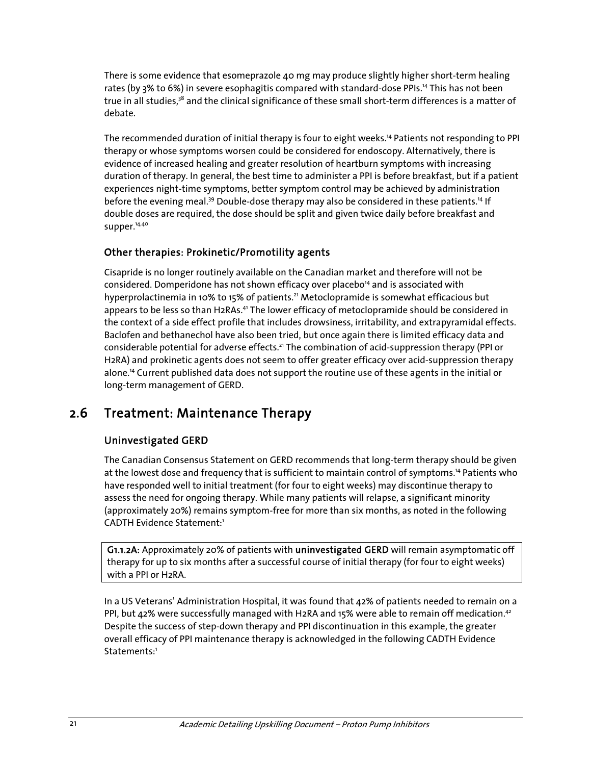There is some evidence that esomeprazole 40 mg may produce slightly higher short-term healing rates (by 3% to 6%) in severe esophagitis compared with standard-dose PPIs.<sup>14</sup> This has not been true in all studies,<sup>38</sup> and the clinical significance of these small short-term differences is a matter of debate.

The recommended duration of initial therapy is four to eight weeks.<sup>14</sup> Patients not responding to PPI therapy or whose symptoms worsen could be considered for endoscopy. Alternatively, there is evidence of increased healing and greater resolution of heartburn symptoms with increasing duration of therapy. In general, the best time to administer a PPI is before breakfast, but if a patient experiences night-time symptoms, better symptom control may be achieved by administration before the evening meal.<sup>39</sup> Double-dose therapy may also be considered in these patients.<sup>14</sup> If double doses are required, the dose should be split and given twice daily before breakfast and supper.<sup>14,40</sup>

### Other therapies: Prokinetic/Promotility agents

Cisapride is no longer routinely available on the Canadian market and therefore will not be considered. Domperidone has not shown efficacy over placebo<sup>14</sup> and is associated with hyperprolactinemia in 10% to 15% of patients.<sup>21</sup> Metoclopramide is somewhat efficacious but appears to be less so than H2RAs.<sup>41</sup> The lower efficacy of metoclopramide should be considered in the context of a side effect profile that includes drowsiness, irritability, and extrapyramidal effects. Baclofen and bethanechol have also been tried, but once again there is limited efficacy data and considerable potential for adverse effects.<sup>21</sup> The combination of acid-suppression therapy (PPI or H2RA) and prokinetic agents does not seem to offer greater efficacy over acid-suppression therapy alone.14 Current published data does not support the routine use of these agents in the initial or long-term management of GERD.

## 2.6 Treatment: Maintenance Therapy

### Uninvestigated GERD

The Canadian Consensus Statement on GERD recommends that long-term therapy should be given at the lowest dose and frequency that is sufficient to maintain control of symptoms.<sup>14</sup> Patients who have responded well to initial treatment (for four to eight weeks) may discontinue therapy to assess the need for ongoing therapy. While many patients will relapse, a significant minority (approximately 20%) remains symptom-free for more than six months, as noted in the following CADTH Evidence Statement:1

G1.1.2A: Approximately 20% of patients with uninvestigated GERD will remain asymptomatic off therapy for up to six months after a successful course of initial therapy (for four to eight weeks) with a PPI or H2RA.

In a US Veterans' Administration Hospital, it was found that 42% of patients needed to remain on a PPI, but 42% were successfully managed with H2RA and 15% were able to remain off medication.<sup>42</sup> Despite the success of step-down therapy and PPI discontinuation in this example, the greater overall efficacy of PPI maintenance therapy is acknowledged in the following CADTH Evidence Statements<sup>1</sup>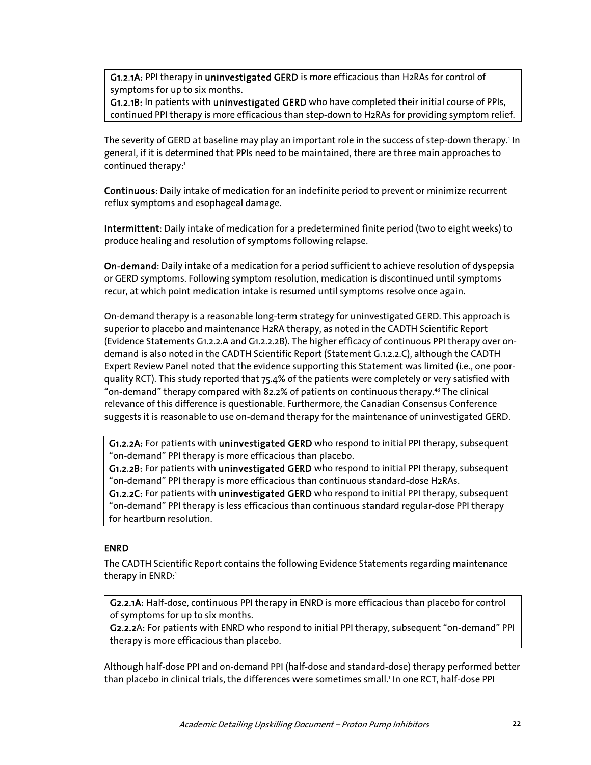G1.2.1A: PPI therapy in uninvestigated GERD is more efficacious than H2RAs for control of symptoms for up to six months.

G1.2.1B: In patients with uninvestigated GERD who have completed their initial course of PPIs, continued PPI therapy is more efficacious than step-down to H2RAs for providing symptom relief.

The severity of GERD at baseline may play an important role in the success of step-down therapy.' In general, if it is determined that PPIs need to be maintained, there are three main approaches to continued therapy:<sup>1</sup>

Continuous: Daily intake of medication for an indefinite period to prevent or minimize recurrent reflux symptoms and esophageal damage.

Intermittent: Daily intake of medication for a predetermined finite period (two to eight weeks) to produce healing and resolution of symptoms following relapse.

On-demand: Daily intake of a medication for a period sufficient to achieve resolution of dyspepsia or GERD symptoms. Following symptom resolution, medication is discontinued until symptoms recur, at which point medication intake is resumed until symptoms resolve once again.

On-demand therapy is a reasonable long-term strategy for uninvestigated GERD. This approach is superior to placebo and maintenance H2RA therapy, as noted in the CADTH Scientific Report (Evidence Statements G1.2.2.A and G1.2.2.2B). The higher efficacy of continuous PPI therapy over ondemand is also noted in the CADTH Scientific Report (Statement G.1.2.2.C), although the CADTH Expert Review Panel noted that the evidence supporting this Statement was limited (i.e., one poorquality RCT). This study reported that 75.4% of the patients were completely or very satisfied with "on-demand" therapy compared with 82.2% of patients on continuous therapy.43 The clinical relevance of this difference is questionable. Furthermore, the Canadian Consensus Conference suggests it is reasonable to use on-demand therapy for the maintenance of uninvestigated GERD.

G1.2.2A: For patients with uninvestigated GERD who respond to initial PPI therapy, subsequent "on-demand" PPI therapy is more efficacious than placebo.

G1.2.2B: For patients with uninvestigated GERD who respond to initial PPI therapy, subsequent "on-demand" PPI therapy is more efficacious than continuous standard-dose H2RAs.

G1.2.2C: For patients with uninvestigated GERD who respond to initial PPI therapy, subsequent "on-demand" PPI therapy is less efficacious than continuous standard regular-dose PPI therapy for heartburn resolution.

#### ENRD

The CADTH Scientific Report contains the following Evidence Statements regarding maintenance therapy in ENRD:<sup>1</sup>

G2.2.1A: Half-dose, continuous PPI therapy in ENRD is more efficacious than placebo for control of symptoms for up to six months.

G2.2.2A: For patients with ENRD who respond to initial PPI therapy, subsequent "on-demand" PPI therapy is more efficacious than placebo.

Although half-dose PPI and on-demand PPI (half-dose and standard-dose) therapy performed better than placebo in clinical trials, the differences were sometimes small.' In one RCT, half-dose PPI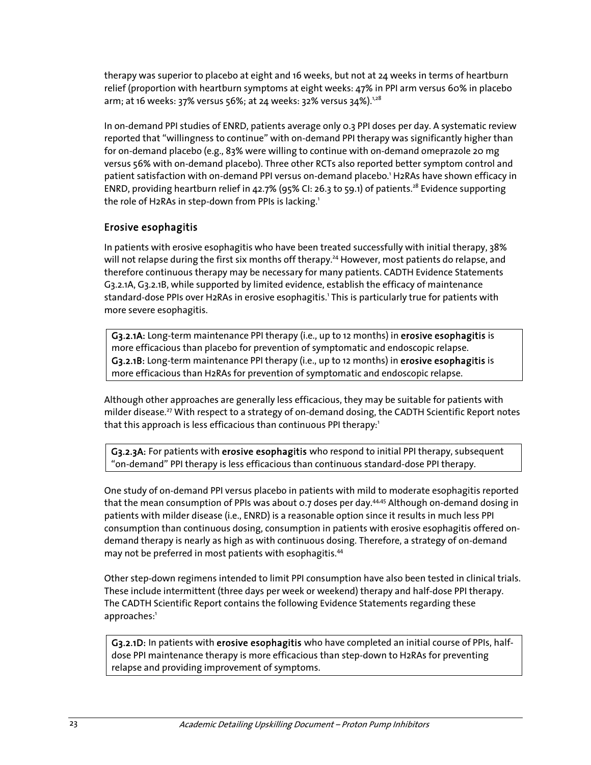therapy was superior to placebo at eight and 16 weeks, but not at 24 weeks in terms of heartburn relief (proportion with heartburn symptoms at eight weeks: 47% in PPI arm versus 60% in placebo arm; at 16 weeks: 37% versus 56%; at 24 weeks: 32% versus 34%).<sup>1,28</sup>

In on-demand PPI studies of ENRD, patients average only 0.3 PPI doses per day. A systematic review reported that "willingness to continue" with on-demand PPI therapy was significantly higher than for on-demand placebo (e.g., 83% were willing to continue with on-demand omeprazole 20 mg versus 56% with on-demand placebo). Three other RCTs also reported better symptom control and patient satisfaction with on-demand PPI versus on-demand placebo.<sup>1</sup> H2RAs have shown efficacy in ENRD, providing heartburn relief in 42.7% (95% CI: 26.3 to 59.1) of patients.<sup>28</sup> Evidence supporting the role of H2RAs in step-down from PPIs is lacking.<sup>1</sup>

### Erosive esophagitis

In patients with erosive esophagitis who have been treated successfully with initial therapy, 38% will not relapse during the first six months off therapy.<sup>24</sup> However, most patients do relapse, and therefore continuous therapy may be necessary for many patients. CADTH Evidence Statements G3.2.1A, G3.2.1B, while supported by limited evidence, establish the efficacy of maintenance standard-dose PPIs over H2RAs in erosive esophagitis.' This is particularly true for patients with more severe esophagitis.

G3.2.1A: Long-term maintenance PPI therapy (i.e., up to 12 months) in erosive esophagitis is more efficacious than placebo for prevention of symptomatic and endoscopic relapse. G3.2.1B: Long-term maintenance PPI therapy (i.e., up to 12 months) in erosive esophagitis is more efficacious than H2RAs for prevention of symptomatic and endoscopic relapse.

Although other approaches are generally less efficacious, they may be suitable for patients with milder disease.<sup>27</sup> With respect to a strategy of on-demand dosing, the CADTH Scientific Report notes that this approach is less efficacious than continuous PPI therapy: $1$ 

G3.2.3A: For patients with erosive esophagitis who respond to initial PPI therapy, subsequent "on-demand" PPI therapy is less efficacious than continuous standard-dose PPI therapy.

One study of on-demand PPI versus placebo in patients with mild to moderate esophagitis reported that the mean consumption of PPIs was about  $0.7$  doses per day.<sup>44,45</sup> Although on-demand dosing in patients with milder disease (i.e., ENRD) is a reasonable option since it results in much less PPI consumption than continuous dosing, consumption in patients with erosive esophagitis offered ondemand therapy is nearly as high as with continuous dosing. Therefore, a strategy of on-demand may not be preferred in most patients with esophagitis.<sup>44</sup>

Other step-down regimens intended to limit PPI consumption have also been tested in clinical trials. These include intermittent (three days per week or weekend) therapy and half-dose PPI therapy. The CADTH Scientific Report contains the following Evidence Statements regarding these approaches:<sup>1</sup>

G3.2.1D: In patients with erosive esophagitis who have completed an initial course of PPIs, halfdose PPI maintenance therapy is more efficacious than step-down to H2RAs for preventing relapse and providing improvement of symptoms.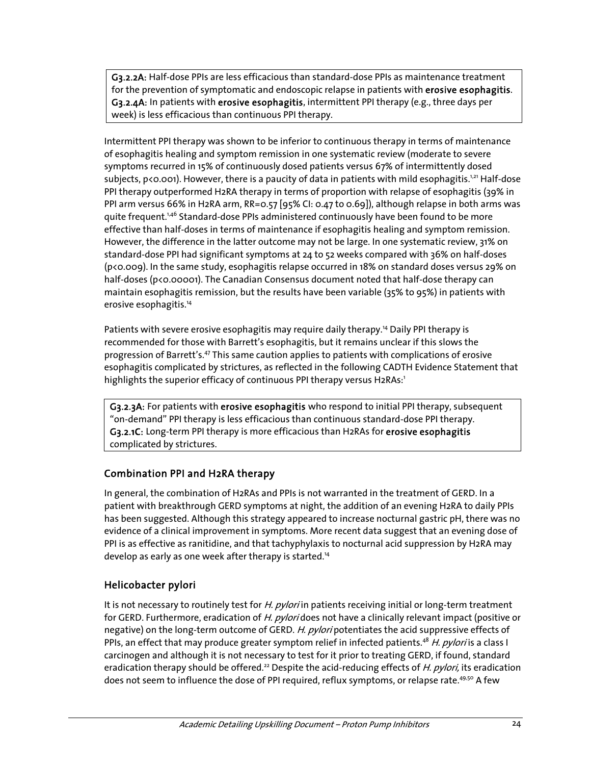G3.2.2A: Half-dose PPIs are less efficacious than standard-dose PPIs as maintenance treatment for the prevention of symptomatic and endoscopic relapse in patients with erosive esophagitis. G3.2.4A: In patients with erosive esophagitis, intermittent PPI therapy (e.g., three days per week) is less efficacious than continuous PPI therapy.

Intermittent PPI therapy was shown to be inferior to continuous therapy in terms of maintenance of esophagitis healing and symptom remission in one systematic review (moderate to severe symptoms recurred in 15% of continuously dosed patients versus 67% of intermittently dosed subjects,  $p$ <0.001). However, there is a paucity of data in patients with mild esophagitis.<sup>1,21</sup> Half-dose PPI therapy outperformed H2RA therapy in terms of proportion with relapse of esophagitis (39% in PPI arm versus 66% in H2RA arm, RR=0.57 [95% CI: 0.47 to 0.69]), although relapse in both arms was quite frequent.<sup>1,46</sup> Standard-dose PPIs administered continuously have been found to be more effective than half-doses in terms of maintenance if esophagitis healing and symptom remission. However, the difference in the latter outcome may not be large. In one systematic review, 31% on standard-dose PPI had significant symptoms at 24 to 52 weeks compared with 36% on half-doses (p<0.009). In the same study, esophagitis relapse occurred in 18% on standard doses versus 29% on half-doses (p<0.00001). The Canadian Consensus document noted that half-dose therapy can maintain esophagitis remission, but the results have been variable (35% to 95%) in patients with erosive esophagitis.<sup>14</sup>

Patients with severe erosive esophagitis may require daily therapy.<sup>14</sup> Daily PPI therapy is recommended for those with Barrett's esophagitis, but it remains unclear if this slows the progression of Barrett's.<sup>47</sup> This same caution applies to patients with complications of erosive esophagitis complicated by strictures, as reflected in the following CADTH Evidence Statement that highlights the superior efficacy of continuous PPI therapy versus H2RAs:<sup>1</sup>

G3.2.3A: For patients with erosive esophagitis who respond to initial PPI therapy, subsequent "on-demand" PPI therapy is less efficacious than continuous standard-dose PPI therapy. G3.2.1C: Long-term PPI therapy is more efficacious than H2RAs for erosive esophagitis complicated by strictures.

### Combination PPI and H2RA therapy

In general, the combination of H2RAs and PPIs is not warranted in the treatment of GERD. In a patient with breakthrough GERD symptoms at night, the addition of an evening H2RA to daily PPIs has been suggested. Although this strategy appeared to increase nocturnal gastric pH, there was no evidence of a clinical improvement in symptoms. More recent data suggest that an evening dose of PPI is as effective as ranitidine, and that tachyphylaxis to nocturnal acid suppression by H2RA may develop as early as one week after therapy is started.<sup>14</sup>

### Helicobacter pylori

It is not necessary to routinely test for H. pylori in patients receiving initial or long-term treatment for GERD. Furthermore, eradication of H. pyloridoes not have a clinically relevant impact (positive or negative) on the long-term outcome of GERD. H. pylori potentiates the acid suppressive effects of PPIs, an effect that may produce greater symptom relief in infected patients.<sup>48</sup> H. pylori is a class I carcinogen and although it is not necessary to test for it prior to treating GERD, if found, standard eradication therapy should be offered.<sup>22</sup> Despite the acid-reducing effects of H. pylori, its eradication does not seem to influence the dose of PPI required, reflux symptoms, or relapse rate.<sup>49,50</sup> A few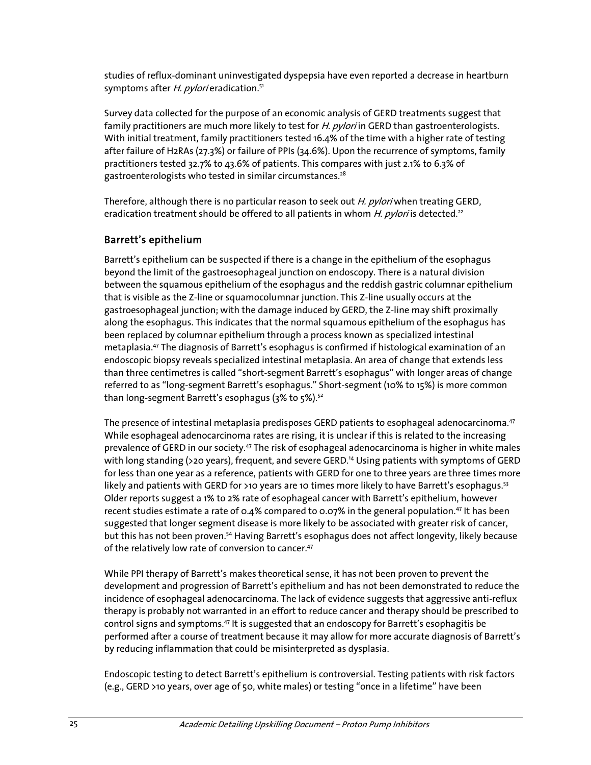studies of reflux-dominant uninvestigated dyspepsia have even reported a decrease in heartburn symptoms after H. pylori eradication.<sup>51</sup>

Survey data collected for the purpose of an economic analysis of GERD treatments suggest that family practitioners are much more likely to test for H. pylori in GERD than gastroenterologists. With initial treatment, family practitioners tested 16.4% of the time with a higher rate of testing after failure of H2RAs (27.3%) or failure of PPIs (34.6%). Upon the recurrence of symptoms, family practitioners tested 32.7% to 43.6% of patients. This compares with just 2.1% to 6.3% of gastroenterologists who tested in similar circumstances.<sup>28</sup>

Therefore, although there is no particular reason to seek out H. pylori when treating GERD, eradication treatment should be offered to all patients in whom H. pylori is detected.<sup>22</sup>

### Barrett's epithelium

Barrett's epithelium can be suspected if there is a change in the epithelium of the esophagus beyond the limit of the gastroesophageal junction on endoscopy. There is a natural division between the squamous epithelium of the esophagus and the reddish gastric columnar epithelium that is visible as the Z-line or squamocolumnar junction. This Z-line usually occurs at the gastroesophageal junction; with the damage induced by GERD, the Z-line may shift proximally along the esophagus. This indicates that the normal squamous epithelium of the esophagus has been replaced by columnar epithelium through a process known as specialized intestinal metaplasia.47 The diagnosis of Barrett's esophagus is confirmed if histological examination of an endoscopic biopsy reveals specialized intestinal metaplasia. An area of change that extends less than three centimetres is called "short-segment Barrett's esophagus" with longer areas of change referred to as "long-segment Barrett's esophagus." Short-segment (10% to 15%) is more common than long-segment Barrett's esophagus (3% to 5%).<sup>52</sup>

The presence of intestinal metaplasia predisposes GERD patients to esophageal adenocarcinoma.<sup>47</sup> While esophageal adenocarcinoma rates are rising, it is unclear if this is related to the increasing prevalence of GERD in our society.47 The risk of esophageal adenocarcinoma is higher in white males with long standing (>20 years), frequent, and severe GERD.<sup>14</sup> Using patients with symptoms of GERD for less than one year as a reference, patients with GERD for one to three years are three times more likely and patients with GERD for >10 years are 10 times more likely to have Barrett's esophagus.<sup>53</sup> Older reports suggest a 1% to 2% rate of esophageal cancer with Barrett's epithelium, however recent studies estimate a rate of 0.4% compared to 0.07% in the general population.<sup>47</sup> It has been suggested that longer segment disease is more likely to be associated with greater risk of cancer, but this has not been proven.<sup>54</sup> Having Barrett's esophagus does not affect longevity, likely because of the relatively low rate of conversion to cancer.<sup>47</sup>

While PPI therapy of Barrett's makes theoretical sense, it has not been proven to prevent the development and progression of Barrett's epithelium and has not been demonstrated to reduce the incidence of esophageal adenocarcinoma. The lack of evidence suggests that aggressive anti-reflux therapy is probably not warranted in an effort to reduce cancer and therapy should be prescribed to control signs and symptoms.<sup>47</sup> It is suggested that an endoscopy for Barrett's esophagitis be performed after a course of treatment because it may allow for more accurate diagnosis of Barrett's by reducing inflammation that could be misinterpreted as dysplasia.

Endoscopic testing to detect Barrett's epithelium is controversial. Testing patients with risk factors (e.g., GERD >10 years, over age of 50, white males) or testing "once in a lifetime" have been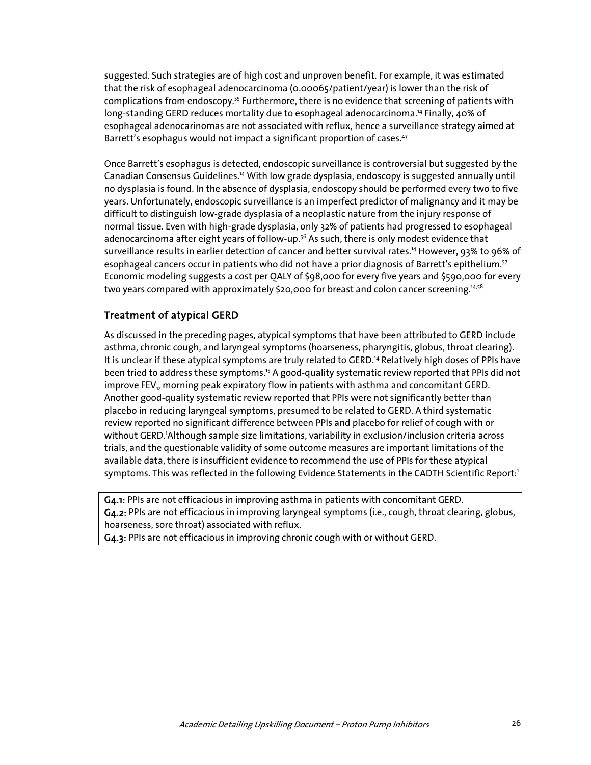suggested. Such strategies are of high cost and unproven benefit. For example, it was estimated that the risk of esophageal adenocarcinoma (0.00065/patient/year) is lower than the risk of complications from endoscopy.<sup>55</sup> Furthermore, there is no evidence that screening of patients with long-standing GERD reduces mortality due to esophageal adenocarcinoma.<sup>14</sup> Finally, 40% of esophageal adenocarinomas are not associated with reflux, hence a surveillance strategy aimed at Barrett's esophagus would not impact a significant proportion of cases.<sup>47</sup>

Once Barrett's esophagus is detected, endoscopic surveillance is controversial but suggested by the Canadian Consensus Guidelines.14 With low grade dysplasia, endoscopy is suggested annually until no dysplasia is found. In the absence of dysplasia, endoscopy should be performed every two to five years. Unfortunately, endoscopic surveillance is an imperfect predictor of malignancy and it may be difficult to distinguish low-grade dysplasia of a neoplastic nature from the injury response of normal tissue. Even with high-grade dysplasia, only 32% of patients had progressed to esophageal adenocarcinoma after eight years of follow-up.<sup>56</sup> As such, there is only modest evidence that surveillance results in earlier detection of cancer and better survival rates.14 However, 93% to 96% of esophageal cancers occur in patients who did not have a prior diagnosis of Barrett's epithelium.<sup>57</sup> Economic modeling suggests a cost per QALY of \$98,000 for every five years and \$590,000 for every two years compared with approximately \$20,000 for breast and colon cancer screening.<sup>14,58</sup>

### Treatment of atypical GERD

As discussed in the preceding pages, atypical symptoms that have been attributed to GERD include asthma, chronic cough, and laryngeal symptoms (hoarseness, pharyngitis, globus, throat clearing). It is unclear if these atypical symptoms are truly related to GERD.14 Relatively high doses of PPIs have been tried to address these symptoms.15 A good-quality systematic review reported that PPIs did not improve FEV<sub>1</sub>, morning peak expiratory flow in patients with asthma and concomitant GERD. Another good-quality systematic review reported that PPIs were not significantly better than placebo in reducing laryngeal symptoms, presumed to be related to GERD. A third systematic review reported no significant difference between PPIs and placebo for relief of cough with or without GERD.'Although sample size limitations, variability in exclusion/inclusion criteria across trials, and the questionable validity of some outcome measures are important limitations of the available data, there is insufficient evidence to recommend the use of PPIs for these atypical symptoms. This was reflected in the following Evidence Statements in the CADTH Scientific Report:<sup>1</sup>

G4.1: PPIs are not efficacious in improving asthma in patients with concomitant GERD. G4.2: PPIs are not efficacious in improving laryngeal symptoms (i.e., cough, throat clearing, globus, hoarseness, sore throat) associated with reflux.

G4.3: PPIs are not efficacious in improving chronic cough with or without GERD.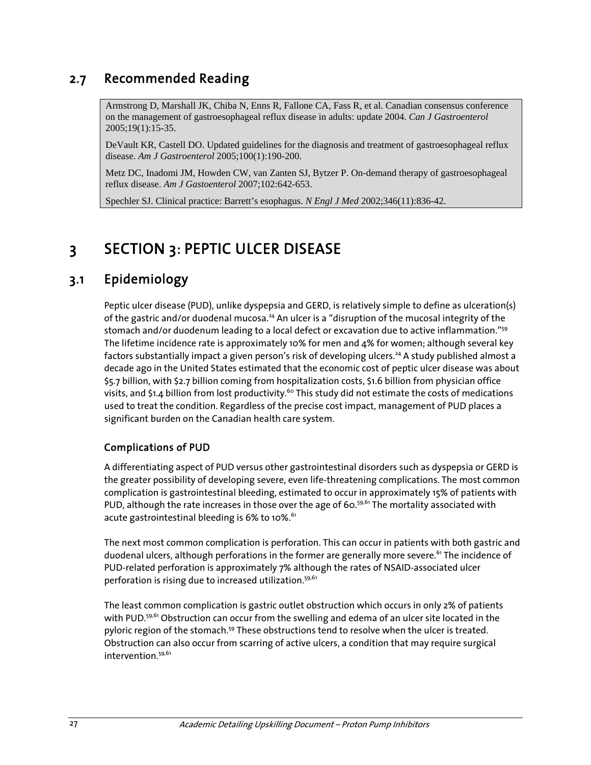### 2.7 Recommended Reading

Armstrong D, Marshall JK, Chiba N, Enns R, Fallone CA, Fass R, et al. Canadian consensus conference on the management of gastroesophageal reflux disease in adults: update 2004. *Can J Gastroenterol* 2005;19(1):15-35.

DeVault KR, Castell DO. Updated guidelines for the diagnosis and treatment of gastroesophageal reflux disease. *Am J Gastroenterol* 2005;100(1):190-200.

Metz DC, Inadomi JM, Howden CW, van Zanten SJ, Bytzer P. On-demand therapy of gastroesophageal reflux disease. *Am J Gastoenterol* 2007;102:642-653.

Spechler SJ. Clinical practice: Barrett's esophagus. *N Engl J Med* 2002;346(11):836-42.

# 3 SECTION 3: PEPTIC ULCER DISEASE

### 3.1 Epidemiology

Peptic ulcer disease (PUD), unlike dyspepsia and GERD, is relatively simple to define as ulceration(s) of the gastric and/or duodenal mucosa.<sup>24</sup> An ulcer is a "disruption of the mucosal integrity of the stomach and/or duodenum leading to a local defect or excavation due to active inflammation."<sup>59</sup> The lifetime incidence rate is approximately 10% for men and 4% for women; although several key factors substantially impact a given person's risk of developing ulcers.<sup>24</sup> A study published almost a decade ago in the United States estimated that the economic cost of peptic ulcer disease was about \$5.7 billion, with \$2.7 billion coming from hospitalization costs, \$1.6 billion from physician office visits, and \$1.4 billion from lost productivity.<sup>60</sup> This study did not estimate the costs of medications used to treat the condition. Regardless of the precise cost impact, management of PUD places a significant burden on the Canadian health care system.

### Complications of PUD

A differentiating aspect of PUD versus other gastrointestinal disorders such as dyspepsia or GERD is the greater possibility of developing severe, even life-threatening complications. The most common complication is gastrointestinal bleeding, estimated to occur in approximately 15% of patients with PUD, although the rate increases in those over the age of 60.<sup>59,61</sup> The mortality associated with acute gastrointestinal bleeding is  $6\%$  to 10%. $61$ 

The next most common complication is perforation. This can occur in patients with both gastric and duodenal ulcers, although perforations in the former are generally more severe.<sup>61</sup> The incidence of PUD-related perforation is approximately 7% although the rates of NSAID-associated ulcer perforation is rising due to increased utilization.<sup>59,61</sup>

The least common complication is gastric outlet obstruction which occurs in only 2% of patients with PUD.<sup>59,61</sup> Obstruction can occur from the swelling and edema of an ulcer site located in the pyloric region of the stomach.<sup>59</sup> These obstructions tend to resolve when the ulcer is treated. Obstruction can also occur from scarring of active ulcers, a condition that may require surgical intervention.<sup>59,61</sup>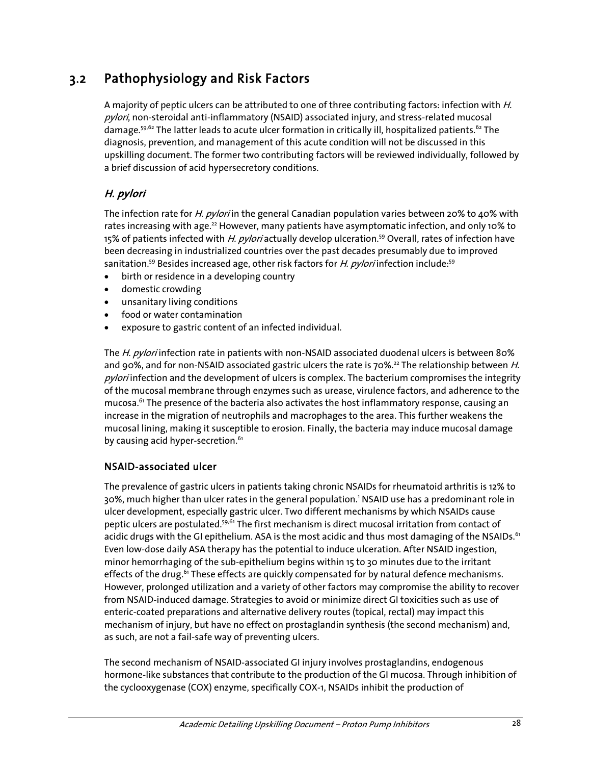## 3.2 Pathophysiology and Risk Factors

A majority of peptic ulcers can be attributed to one of three contributing factors: infection with H. pylori, non-steroidal anti-inflammatory (NSAID) associated injury, and stress-related mucosal damage.<sup>59,62</sup> The latter leads to acute ulcer formation in critically ill, hospitalized patients.<sup>62</sup> The diagnosis, prevention, and management of this acute condition will not be discussed in this upskilling document. The former two contributing factors will be reviewed individually, followed by a brief discussion of acid hypersecretory conditions.

### H. pylori

The infection rate for *H. pylori* in the general Canadian population varies between 20% to 40% with rates increasing with age.<sup>22</sup> However, many patients have asymptomatic infection, and only 10% to 15% of patients infected with H. pylori actually develop ulceration.<sup>59</sup> Overall, rates of infection have been decreasing in industrialized countries over the past decades presumably due to improved sanitation.<sup>59</sup> Besides increased age, other risk factors for H. pylori infection include:<sup>59</sup>

- birth or residence in a developing country
- domestic crowding
- unsanitary living conditions
- food or water contamination
- exposure to gastric content of an infected individual.

The H. pylori infection rate in patients with non-NSAID associated duodenal ulcers is between 80% and 90%, and for non-NSAID associated gastric ulcers the rate is 70%.<sup>22</sup> The relationship between H. pylori infection and the development of ulcers is complex. The bacterium compromises the integrity of the mucosal membrane through enzymes such as urease, virulence factors, and adherence to the mucosa.<sup>61</sup> The presence of the bacteria also activates the host inflammatory response, causing an increase in the migration of neutrophils and macrophages to the area. This further weakens the mucosal lining, making it susceptible to erosion. Finally, the bacteria may induce mucosal damage by causing acid hyper-secretion.<sup>61</sup>

### NSAID-associated ulcer

The prevalence of gastric ulcers in patients taking chronic NSAIDs for rheumatoid arthritis is 12% to 30%, much higher than ulcer rates in the general population.' NSAID use has a predominant role in ulcer development, especially gastric ulcer. Two different mechanisms by which NSAIDs cause peptic ulcers are postulated.<sup>59,61</sup> The first mechanism is direct mucosal irritation from contact of acidic drugs with the GI epithelium. ASA is the most acidic and thus most damaging of the NSAIDs.<sup>61</sup> Even low-dose daily ASA therapy has the potential to induce ulceration. After NSAID ingestion, minor hemorrhaging of the sub-epithelium begins within 15 to 30 minutes due to the irritant effects of the drug.<sup>61</sup> These effects are quickly compensated for by natural defence mechanisms. However, prolonged utilization and a variety of other factors may compromise the ability to recover from NSAID-induced damage. Strategies to avoid or minimize direct GI toxicities such as use of enteric-coated preparations and alternative delivery routes (topical, rectal) may impact this mechanism of injury, but have no effect on prostaglandin synthesis (the second mechanism) and, as such, are not a fail-safe way of preventing ulcers.

The second mechanism of NSAID-associated GI injury involves prostaglandins, endogenous hormone-like substances that contribute to the production of the GI mucosa. Through inhibition of the cyclooxygenase (COX) enzyme, specifically COX-1, NSAIDs inhibit the production of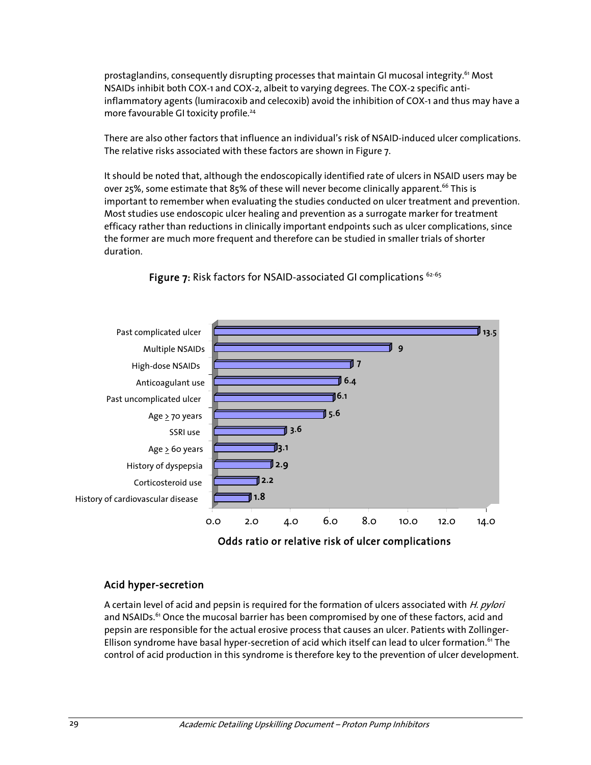prostaglandins, consequently disrupting processes that maintain GI mucosal integrity.<sup>61</sup> Most NSAIDs inhibit both COX-1 and COX-2, albeit to varying degrees. The COX-2 specific antiinflammatory agents (lumiracoxib and celecoxib) avoid the inhibition of COX-1 and thus may have a more favourable GI toxicity profile.<sup>24</sup>

There are also other factors that influence an individual's risk of NSAID-induced ulcer complications. The relative risks associated with these factors are shown in Figure 7.

It should be noted that, although the endoscopically identified rate of ulcers in NSAID users may be over 25%, some estimate that 85% of these will never become clinically apparent.<sup>66</sup> This is important to remember when evaluating the studies conducted on ulcer treatment and prevention. Most studies use endoscopic ulcer healing and prevention as a surrogate marker for treatment efficacy rather than reductions in clinically important endpoints such as ulcer complications, since the former are much more frequent and therefore can be studied in smaller trials of shorter duration.



Figure  $7:$  Risk factors for NSAID-associated GI complications  $62-65$ 

### Acid hyper-secretion

A certain level of acid and pepsin is required for the formation of ulcers associated with *H. pylori* and NSAIDs.<sup>61</sup> Once the mucosal barrier has been compromised by one of these factors, acid and pepsin are responsible for the actual erosive process that causes an ulcer. Patients with Zollinger-Ellison syndrome have basal hyper-secretion of acid which itself can lead to ulcer formation.<sup>61</sup> The control of acid production in this syndrome is therefore key to the prevention of ulcer development.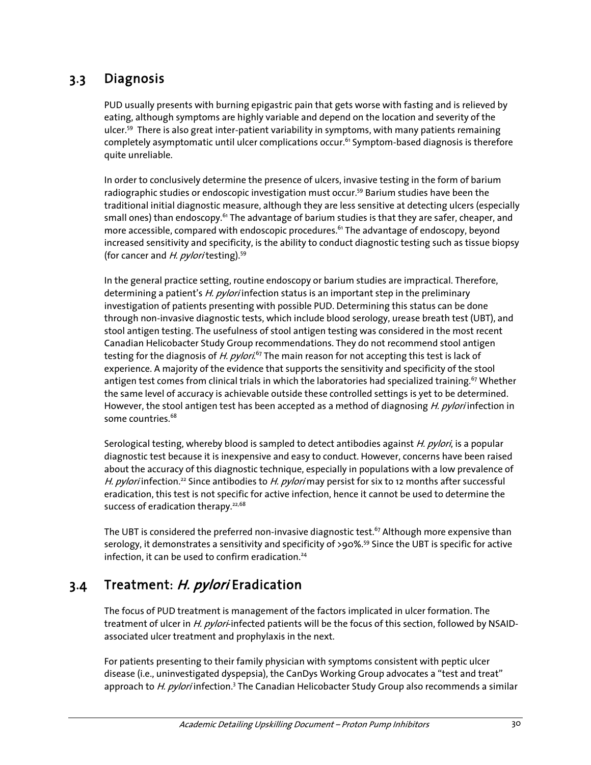## 3.3 Diagnosis

PUD usually presents with burning epigastric pain that gets worse with fasting and is relieved by eating, although symptoms are highly variable and depend on the location and severity of the ulcer.59 There is also great inter-patient variability in symptoms, with many patients remaining completely asymptomatic until ulcer complications occur.<sup>61</sup> Symptom-based diagnosis is therefore quite unreliable.

In order to conclusively determine the presence of ulcers, invasive testing in the form of barium radiographic studies or endoscopic investigation must occur.<sup>59</sup> Barium studies have been the traditional initial diagnostic measure, although they are less sensitive at detecting ulcers (especially small ones) than endoscopy.<sup>61</sup> The advantage of barium studies is that they are safer, cheaper, and more accessible, compared with endoscopic procedures.<sup>61</sup> The advantage of endoscopy, beyond increased sensitivity and specificity, is the ability to conduct diagnostic testing such as tissue biopsy (for cancer and  $H.$  pyloritesting).<sup>59</sup>

In the general practice setting, routine endoscopy or barium studies are impractical. Therefore, determining a patient's H. *pylori* infection status is an important step in the preliminary investigation of patients presenting with possible PUD. Determining this status can be done through non-invasive diagnostic tests, which include blood serology, urease breath test (UBT), and stool antigen testing. The usefulness of stool antigen testing was considered in the most recent Canadian Helicobacter Study Group recommendations. They do not recommend stool antigen testing for the diagnosis of *H. pylori.<sup>67</sup>* The main reason for not accepting this test is lack of experience. A majority of the evidence that supports the sensitivity and specificity of the stool antigen test comes from clinical trials in which the laboratories had specialized training.<sup>67</sup> Whether the same level of accuracy is achievable outside these controlled settings is yet to be determined. However, the stool antigen test has been accepted as a method of diagnosing *H. pylori* infection in some countries.<sup>68</sup>

Serological testing, whereby blood is sampled to detect antibodies against H. pylori, is a popular diagnostic test because it is inexpensive and easy to conduct. However, concerns have been raised about the accuracy of this diagnostic technique, especially in populations with a low prevalence of H. pylori infection.<sup>22</sup> Since antibodies to H. pylori may persist for six to 12 months after successful eradication, this test is not specific for active infection, hence it cannot be used to determine the success of eradication therapy. $22,68$ 

The UBT is considered the preferred non-invasive diagnostic test.<sup>67</sup> Although more expensive than serology, it demonstrates a sensitivity and specificity of >90%.<sup>59</sup> Since the UBT is specific for active infection, it can be used to confirm eradication.<sup>24</sup>

## 3.4 Treatment: H. pylori Eradication

The focus of PUD treatment is management of the factors implicated in ulcer formation. The treatment of ulcer in H. pylori-infected patients will be the focus of this section, followed by NSAIDassociated ulcer treatment and prophylaxis in the next.

For patients presenting to their family physician with symptoms consistent with peptic ulcer disease (i.e., uninvestigated dyspepsia), the CanDys Working Group advocates a "test and treat" approach to H. pylori infection.<sup>3</sup> The Canadian Helicobacter Study Group also recommends a similar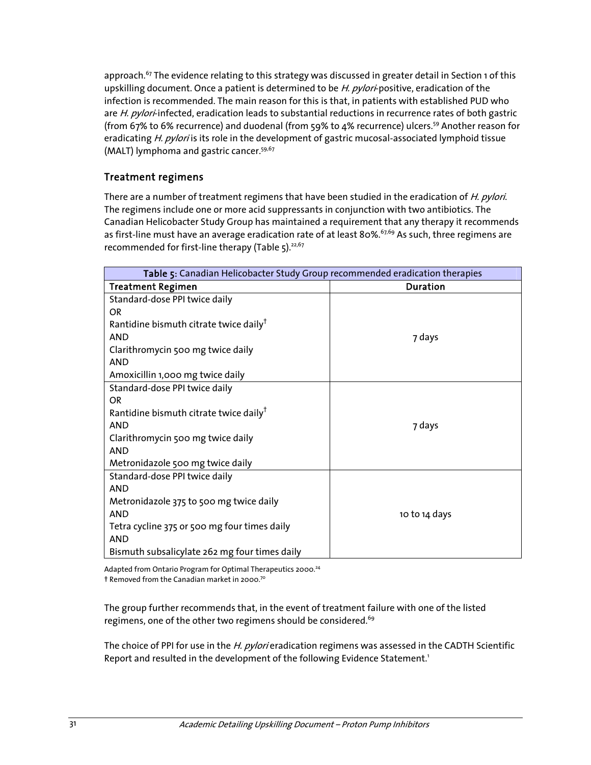approach.<sup>67</sup> The evidence relating to this strategy was discussed in greater detail in Section 1 of this upskilling document. Once a patient is determined to be H. pylori-positive, eradication of the infection is recommended. The main reason for this is that, in patients with established PUD who are H. pylori-infected, eradication leads to substantial reductions in recurrence rates of both gastric (from 67% to 6% recurrence) and duodenal (from 59% to 4% recurrence) ulcers.59 Another reason for eradicating H. pylori is its role in the development of gastric mucosal-associated lymphoid tissue (MALT) lymphoma and gastric cancer.<sup>59,67</sup>

### Treatment regimens

There are a number of treatment regimens that have been studied in the eradication of H. pylori. The regimens include one or more acid suppressants in conjunction with two antibiotics. The Canadian Helicobacter Study Group has maintained a requirement that any therapy it recommends as first-line must have an average eradication rate of at least 80%.<sup>67,69</sup> As such, three regimens are recommended for first-line therapy (Table 5).<sup>22,67</sup>

| Table 5: Canadian Helicobacter Study Group recommended eradication therapies |                 |  |
|------------------------------------------------------------------------------|-----------------|--|
| <b>Treatment Regimen</b>                                                     | <b>Duration</b> |  |
| Standard-dose PPI twice daily                                                |                 |  |
| OR.                                                                          |                 |  |
| Rantidine bismuth citrate twice daily <sup>†</sup>                           |                 |  |
| <b>AND</b>                                                                   | 7 days          |  |
| Clarithromycin 500 mg twice daily                                            |                 |  |
| <b>AND</b>                                                                   |                 |  |
| Amoxicillin 1,000 mg twice daily                                             |                 |  |
| Standard-dose PPI twice daily                                                |                 |  |
| OR.                                                                          |                 |  |
| Rantidine bismuth citrate twice daily <sup>†</sup>                           |                 |  |
| <b>AND</b>                                                                   | 7 days          |  |
| Clarithromycin 500 mg twice daily                                            |                 |  |
| <b>AND</b>                                                                   |                 |  |
| Metronidazole 500 mg twice daily                                             |                 |  |
| Standard-dose PPI twice daily                                                |                 |  |
| <b>AND</b>                                                                   |                 |  |
| Metronidazole 375 to 500 mg twice daily                                      |                 |  |
| <b>AND</b>                                                                   | 10 to 14 days   |  |
| Tetra cycline 375 or 500 mg four times daily                                 |                 |  |
| <b>AND</b>                                                                   |                 |  |
| Bismuth subsalicylate 262 mg four times daily                                |                 |  |

Adapted from Ontario Program for Optimal Therapeutics 2000.<sup>24</sup> † Removed from the Canadian market in 2000.70

The group further recommends that, in the event of treatment failure with one of the listed regimens, one of the other two regimens should be considered.<sup>69</sup>

The choice of PPI for use in the H. pylori eradication regimens was assessed in the CADTH Scientific Report and resulted in the development of the following Evidence Statement.<sup>1</sup>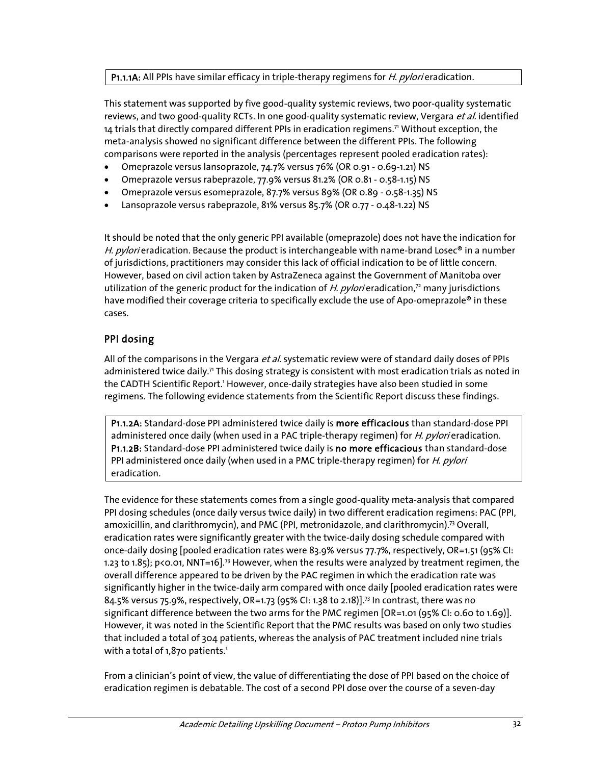#### P1.1.1A: All PPIs have similar efficacy in triple-therapy regimens for *H. pylori* eradication.

This statement was supported by five good-quality systemic reviews, two poor-quality systematic reviews, and two good-quality RCTs. In one good-quality systematic review, Vergara et al. identified 14 trials that directly compared different PPIs in eradication regimens.71 Without exception, the meta-analysis showed no significant difference between the different PPIs. The following comparisons were reported in the analysis (percentages represent pooled eradication rates):

- Omeprazole versus lansoprazole, 74.7% versus 76% (OR 0.91 0.69-1.21) NS
- Omeprazole versus rabeprazole, 77.9% versus 81.2% (OR 0.81 0.58-1.15) NS
- Omeprazole versus esomeprazole, 87.7% versus 89% (OR 0.89 0.58-1.35) NS
- Lansoprazole versus rabeprazole, 81% versus 85.7% (OR 0.77 0.48-1.22) NS

It should be noted that the only generic PPI available (omeprazole) does not have the indication for H. pylori eradication. Because the product is interchangeable with name-brand Losec<sup>®</sup> in a number of jurisdictions, practitioners may consider this lack of official indication to be of little concern. However, based on civil action taken by AstraZeneca against the Government of Manitoba over utilization of the generic product for the indication of H. pylori eradication,<sup>72</sup> many jurisdictions have modified their coverage criteria to specifically exclude the use of Apo-omeprazole® in these cases.

### PPI dosing

All of the comparisons in the Vergara *et al.* systematic review were of standard daily doses of PPIs administered twice daily.<sup>7</sup> This dosing strategy is consistent with most eradication trials as noted in the CADTH Scientific Report.<sup>1</sup> However, once-daily strategies have also been studied in some regimens. The following evidence statements from the Scientific Report discuss these findings.

P1.1.2A: Standard-dose PPI administered twice daily is more efficacious than standard-dose PPI administered once daily (when used in a PAC triple-therapy regimen) for *H. pylori* eradication. P1.1.2B: Standard-dose PPI administered twice daily is no more efficacious than standard-dose PPI administered once daily (when used in a PMC triple-therapy regimen) for *H. pylori* eradication.

The evidence for these statements comes from a single good-quality meta-analysis that compared PPI dosing schedules (once daily versus twice daily) in two different eradication regimens: PAC (PPI, amoxicillin, and clarithromycin), and PMC (PPI, metronidazole, and clarithromycin).<sup>73</sup> Overall, eradication rates were significantly greater with the twice-daily dosing schedule compared with once-daily dosing [pooled eradication rates were 83.9% versus 77.7%, respectively, OR=1.51 (95% CI: 1.23 to 1.85); p<0.01, NNT=16].73 However, when the results were analyzed by treatment regimen, the overall difference appeared to be driven by the PAC regimen in which the eradication rate was significantly higher in the twice-daily arm compared with once daily [pooled eradication rates were 84.5% versus 75.9%, respectively, OR=1.73 (95% CI: 1.38 to 2.18)].<sup>73</sup> In contrast, there was no significant difference between the two arms for the PMC regimen [OR=1.01 (95% CI: 0.60 to 1.69)]. However, it was noted in the Scientific Report that the PMC results was based on only two studies that included a total of 304 patients, whereas the analysis of PAC treatment included nine trials with a total of  $1,870$  patients.<sup>1</sup>

From a clinician's point of view, the value of differentiating the dose of PPI based on the choice of eradication regimen is debatable. The cost of a second PPI dose over the course of a seven-day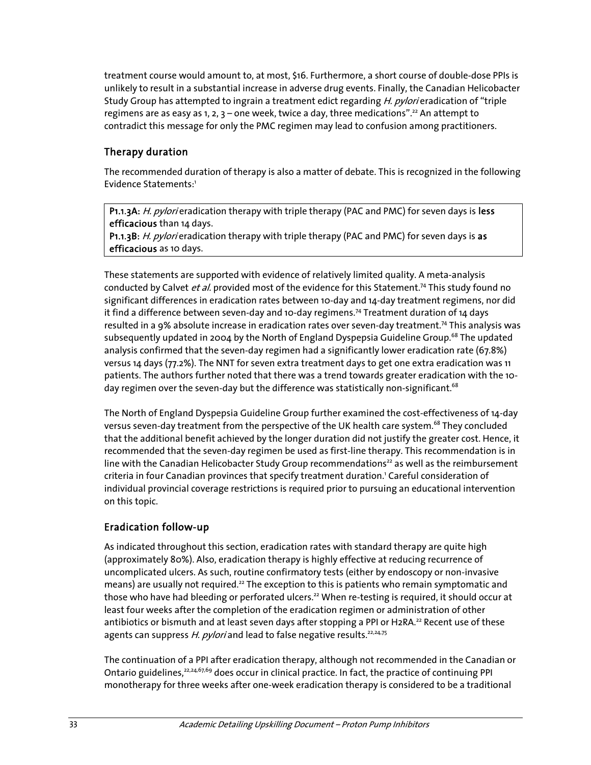treatment course would amount to, at most, \$16. Furthermore, a short course of double-dose PPIs is unlikely to result in a substantial increase in adverse drug events. Finally, the Canadian Helicobacter Study Group has attempted to ingrain a treatment edict regarding H. pylori eradication of "triple regimens are as easy as 1, 2, 3 – one week, twice a day, three medications".<sup>22</sup> An attempt to contradict this message for only the PMC regimen may lead to confusion among practitioners.

### Therapy duration

The recommended duration of therapy is also a matter of debate. This is recognized in the following Evidence Statements:<sup>1</sup>

P1.1.3A: H. pylori eradication therapy with triple therapy (PAC and PMC) for seven days is less efficacious than 14 days.

P1.1.3B: H. pylori eradication therapy with triple therapy (PAC and PMC) for seven days is as efficacious as 10 days.

These statements are supported with evidence of relatively limited quality. A meta-analysis conducted by Calvet et al. provided most of the evidence for this Statement.<sup>74</sup> This study found no significant differences in eradication rates between 10-day and 14-day treatment regimens, nor did it find a difference between seven-day and 10-day regimens.74 Treatment duration of 14 days resulted in a 9% absolute increase in eradication rates over seven-day treatment.74 This analysis was subsequently updated in 2004 by the North of England Dyspepsia Guideline Group.<sup>68</sup> The updated analysis confirmed that the seven-day regimen had a significantly lower eradication rate (67.8%) versus 14 days (77.2%). The NNT for seven extra treatment days to get one extra eradication was 11 patients. The authors further noted that there was a trend towards greater eradication with the 10 day regimen over the seven-day but the difference was statistically non-significant.<sup>68</sup>

The North of England Dyspepsia Guideline Group further examined the cost-effectiveness of 14-day versus seven-day treatment from the perspective of the UK health care system.<sup>68</sup> They concluded that the additional benefit achieved by the longer duration did not justify the greater cost. Hence, it recommended that the seven-day regimen be used as first-line therapy. This recommendation is in line with the Canadian Helicobacter Study Group recommendations<sup>22</sup> as well as the reimbursement criteria in four Canadian provinces that specify treatment duration.<sup>1</sup> Careful consideration of individual provincial coverage restrictions is required prior to pursuing an educational intervention on this topic.

### Eradication follow-up

As indicated throughout this section, eradication rates with standard therapy are quite high (approximately 80%). Also, eradication therapy is highly effective at reducing recurrence of uncomplicated ulcers. As such, routine confirmatory tests (either by endoscopy or non-invasive means) are usually not required.<sup>22</sup> The exception to this is patients who remain symptomatic and those who have had bleeding or perforated ulcers.<sup>22</sup> When re-testing is required, it should occur at least four weeks after the completion of the eradication regimen or administration of other antibiotics or bismuth and at least seven days after stopping a PPI or H2RA.<sup>22</sup> Recent use of these agents can suppress H. pylori and lead to false negative results.<sup>22,24,75</sup>

The continuation of a PPI after eradication therapy, although not recommended in the Canadian or Ontario guidelines,<sup>22,24,67,69</sup> does occur in clinical practice. In fact, the practice of continuing PPI monotherapy for three weeks after one-week eradication therapy is considered to be a traditional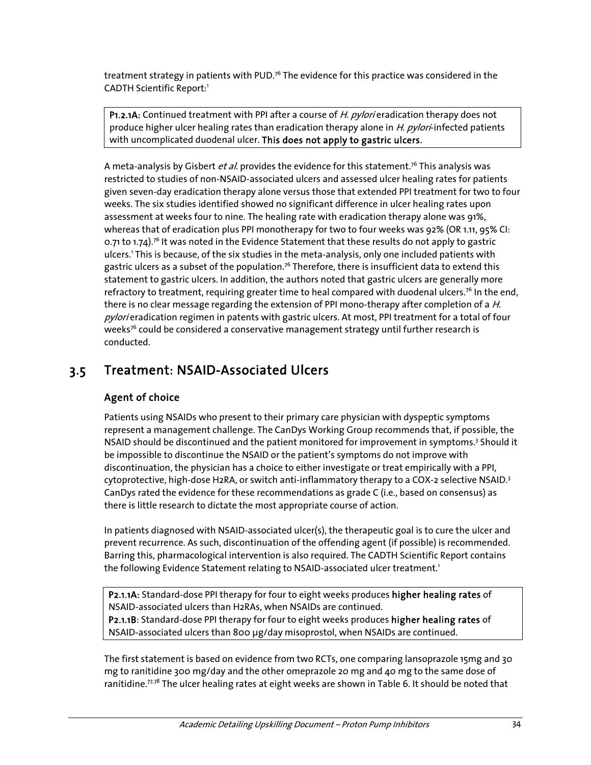treatment strategy in patients with PUD.<sup>76</sup> The evidence for this practice was considered in the CADTH Scientific Report:<sup>1</sup>

P1.2.1A: Continued treatment with PPI after a course of H. pylori eradication therapy does not produce higher ulcer healing rates than eradication therapy alone in *H. pylori*-infected patients with uncomplicated duodenal ulcer. This does not apply to gastric ulcers.

A meta-analysis by Gisbert *et al.* provides the evidence for this statement.<sup>76</sup> This analysis was restricted to studies of non-NSAID-associated ulcers and assessed ulcer healing rates for patients given seven-day eradication therapy alone versus those that extended PPI treatment for two to four weeks. The six studies identified showed no significant difference in ulcer healing rates upon assessment at weeks four to nine. The healing rate with eradication therapy alone was 91%, whereas that of eradication plus PPI monotherapy for two to four weeks was 92% (OR 1.11, 95% CI: 0.71 to 1.74).<sup>76</sup> It was noted in the Evidence Statement that these results do not apply to gastric ulcers.1 This is because, of the six studies in the meta-analysis, only one included patients with gastric ulcers as a subset of the population.<sup>76</sup> Therefore, there is insufficient data to extend this statement to gastric ulcers. In addition, the authors noted that gastric ulcers are generally more refractory to treatment, requiring greater time to heal compared with duodenal ulcers.<sup>76</sup> In the end, there is no clear message regarding the extension of PPI mono-therapy after completion of a H. pylori eradication regimen in patents with gastric ulcers. At most, PPI treatment for a total of four weeks<sup>76</sup> could be considered a conservative management strategy until further research is conducted.

### 3.5 Treatment: NSAID-Associated Ulcers

### Agent of choice

Patients using NSAIDs who present to their primary care physician with dyspeptic symptoms represent a management challenge. The CanDys Working Group recommends that, if possible, the NSAID should be discontinued and the patient monitored for improvement in symptoms.<sup>3</sup> Should it be impossible to discontinue the NSAID or the patient's symptoms do not improve with discontinuation, the physician has a choice to either investigate or treat empirically with a PPI, cytoprotective, high-dose H2RA, or switch anti-inflammatory therapy to a COX-2 selective NSAID. $3$ CanDys rated the evidence for these recommendations as grade C (i.e., based on consensus) as there is little research to dictate the most appropriate course of action.

In patients diagnosed with NSAID-associated ulcer(s), the therapeutic goal is to cure the ulcer and prevent recurrence. As such, discontinuation of the offending agent (if possible) is recommended. Barring this, pharmacological intervention is also required. The CADTH Scientific Report contains the following Evidence Statement relating to NSAID-associated ulcer treatment.<sup>1</sup>

P2.1.1A: Standard-dose PPI therapy for four to eight weeks produces higher healing rates of NSAID-associated ulcers than H2RAs, when NSAIDs are continued. P2.1.1B: Standard-dose PPI therapy for four to eight weeks produces higher healing rates of NSAID-associated ulcers than 800 μg/day misoprostol, when NSAIDs are continued.

The first statement is based on evidence from two RCTs, one comparing lansoprazole 15mg and 30 mg to ranitidine 300 mg/day and the other omeprazole 20 mg and 40 mg to the same dose of ranitidine. $77.78$  The ulcer healing rates at eight weeks are shown in Table 6. It should be noted that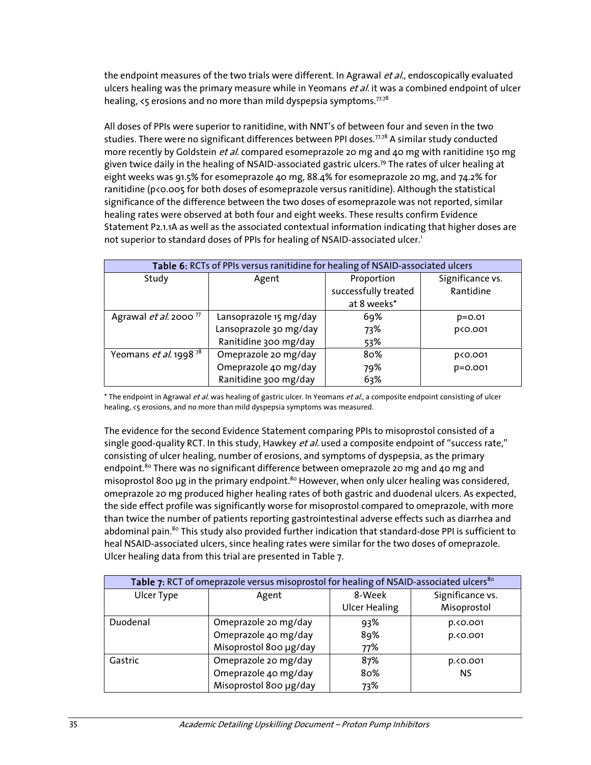the endpoint measures of the two trials were different. In Agrawal et al., endoscopically evaluated ulcers healing was the primary measure while in Yeomans et al. it was a combined endpoint of ulcer healing,  $\zeta$  erosions and no more than mild dyspepsia symptoms.<sup> $77,78$ </sup>

All doses of PPIs were superior to ranitidine, with NNT's of between four and seven in the two studies. There were no significant differences between PPI doses. $77.78$  A similar study conducted more recently by Goldstein *et al.* compared esomeprazole 20 mg and 40 mg with ranitidine 150 mg given twice daily in the healing of NSAID-associated gastric ulcers.<sup>79</sup> The rates of ulcer healing at eight weeks was 91.5% for esomeprazole 40 mg, 88.4% for esomeprazole 20 mg, and 74.2% for ranitidine (p<0.005 for both doses of esomeprazole versus ranitidine). Although the statistical significance of the difference between the two doses of esomeprazole was not reported, similar healing rates were observed at both four and eight weeks. These results confirm Evidence Statement P2.1.1A as well as the associated contextual information indicating that higher doses are not superior to standard doses of PPIs for healing of NSAID-associated ulcer.<sup>1</sup>

| Table 6: RCTs of PPIs versus ranitidine for healing of NSAID-associated ulcers |                        |                      |                  |  |
|--------------------------------------------------------------------------------|------------------------|----------------------|------------------|--|
| Study                                                                          | Agent                  | Proportion           | Significance vs. |  |
|                                                                                |                        | successfully treated | Rantidine        |  |
|                                                                                |                        | at 8 weeks*          |                  |  |
| Agrawal <i>et al.</i> 2000 <sup>77</sup>                                       | Lansoprazole 15 mg/day | 69%                  | $p = 0.01$       |  |
|                                                                                | Lansoprazole 30 mg/day | 73%                  | p<0.001          |  |
|                                                                                | Ranitidine 300 mg/day  | 53%                  |                  |  |
| Yeomans et al. 1998 $^{78}$                                                    | Omeprazole 20 mg/day   | 80%                  | p<0.001          |  |
|                                                                                | Omeprazole 40 mg/day   | 79%                  | $p = 0.001$      |  |
|                                                                                | Ranitidine 300 mg/day  | 63%                  |                  |  |

\* The endpoint in Agrawal et al. was healing of gastric ulcer. In Yeomans et al., a composite endpoint consisting of ulcer healing, <5 erosions, and no more than mild dyspepsia symptoms was measured.

The evidence for the second Evidence Statement comparing PPIs to misoprostol consisted of a single good-quality RCT. In this study, Hawkey et al. used a composite endpoint of "success rate," consisting of ulcer healing, number of erosions, and symptoms of dyspepsia, as the primary endpoint.<sup>80</sup> There was no significant difference between omeprazole 20 mg and 40 mg and misoprostol 800 μg in the primary endpoint.<sup>80</sup> However, when only ulcer healing was considered, omeprazole 20 mg produced higher healing rates of both gastric and duodenal ulcers. As expected, the side effect profile was significantly worse for misoprostol compared to omeprazole, with more than twice the number of patients reporting gastrointestinal adverse effects such as diarrhea and abdominal pain.<sup>80</sup> This study also provided further indication that standard-dose PPI is sufficient to heal NSAID-associated ulcers, since healing rates were similar for the two doses of omeprazole. Ulcer healing data from this trial are presented in Table 7.

| Table 7: RCT of omeprazole versus misoprostol for healing of NSAID-associated ulcers <sup>80</sup> |                        |                      |                  |  |
|----------------------------------------------------------------------------------------------------|------------------------|----------------------|------------------|--|
| Ulcer Type                                                                                         | Agent                  | 8-Week               | Significance vs. |  |
|                                                                                                    |                        | <b>Ulcer Healing</b> | Misoprostol      |  |
| Duodenal                                                                                           | Omeprazole 20 mg/day   | 93%                  | p.<0.001         |  |
|                                                                                                    | Omeprazole 40 mg/day   | 89%                  | p.<0.001         |  |
|                                                                                                    | Misoprostol 800 µg/day | 77%                  |                  |  |
| Gastric                                                                                            | Omeprazole 20 mg/day   | 87%                  | p.<0.001         |  |
|                                                                                                    | Omeprazole 40 mg/day   | 80%                  | <b>NS</b>        |  |
|                                                                                                    | Misoprostol 800 µg/day | 73%                  |                  |  |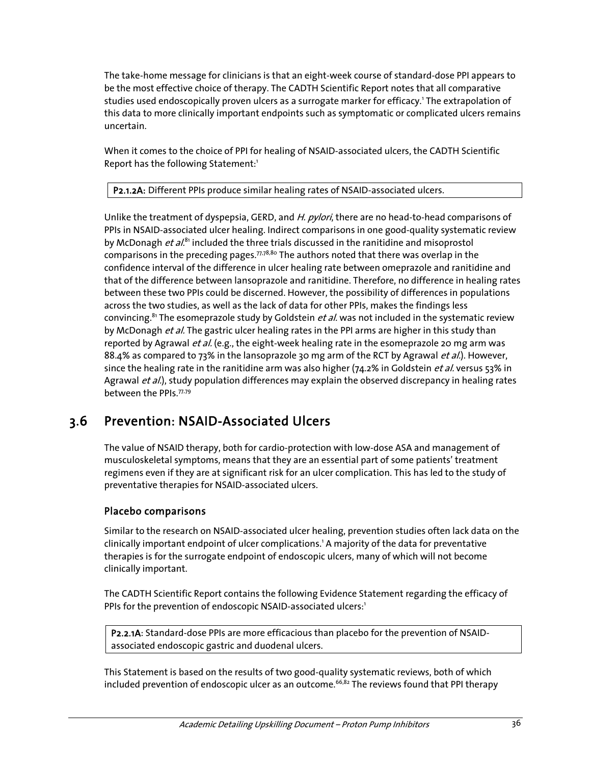The take-home message for clinicians is that an eight-week course of standard-dose PPI appears to be the most effective choice of therapy. The CADTH Scientific Report notes that all comparative studies used endoscopically proven ulcers as a surrogate marker for efficacy.<sup>1</sup> The extrapolation of this data to more clinically important endpoints such as symptomatic or complicated ulcers remains uncertain.

When it comes to the choice of PPI for healing of NSAID-associated ulcers, the CADTH Scientific Report has the following Statement:<sup>1</sup>

P2.1.2A: Different PPIs produce similar healing rates of NSAID-associated ulcers.

Unlike the treatment of dyspepsia, GERD, and H. pylori, there are no head-to-head comparisons of PPIs in NSAID-associated ulcer healing. Indirect comparisons in one good-quality systematic review by McDonagh  $et al.<sup>81</sup>$  included the three trials discussed in the ranitidine and misoprostol comparisons in the preceding pages. $77.78,80$  The authors noted that there was overlap in the confidence interval of the difference in ulcer healing rate between omeprazole and ranitidine and that of the difference between lansoprazole and ranitidine. Therefore, no difference in healing rates between these two PPIs could be discerned. However, the possibility of differences in populations across the two studies, as well as the lack of data for other PPIs, makes the findings less convincing.<sup>81</sup> The esomeprazole study by Goldstein *et al.* was not included in the systematic review by McDonagh *et al*. The gastric ulcer healing rates in the PPI arms are higher in this study than reported by Agrawal et al. (e.g., the eight-week healing rate in the esomeprazole 20 mg arm was 88.4% as compared to 73% in the lansoprazole 30 mg arm of the RCT by Agrawal et al.). However, since the healing rate in the ranitidine arm was also higher (74.2% in Goldstein *et al.* versus 53% in Agrawal et al.), study population differences may explain the observed discrepancy in healing rates between the PPIs.77,79

## 3.6 Prevention: NSAID-Associated Ulcers

The value of NSAID therapy, both for cardio-protection with low-dose ASA and management of musculoskeletal symptoms, means that they are an essential part of some patients' treatment regimens even if they are at significant risk for an ulcer complication. This has led to the study of preventative therapies for NSAID-associated ulcers.

### Placebo comparisons

Similar to the research on NSAID-associated ulcer healing, prevention studies often lack data on the clinically important endpoint of ulcer complications.<sup>1</sup> A majority of the data for preventative therapies is for the surrogate endpoint of endoscopic ulcers, many of which will not become clinically important.

The CADTH Scientific Report contains the following Evidence Statement regarding the efficacy of PPIs for the prevention of endoscopic NSAID-associated ulcers:<sup>1</sup>

P2.2.1A: Standard-dose PPIs are more efficacious than placebo for the prevention of NSAIDassociated endoscopic gastric and duodenal ulcers.

This Statement is based on the results of two good-quality systematic reviews, both of which included prevention of endoscopic ulcer as an outcome.<sup>66,82</sup> The reviews found that PPI therapy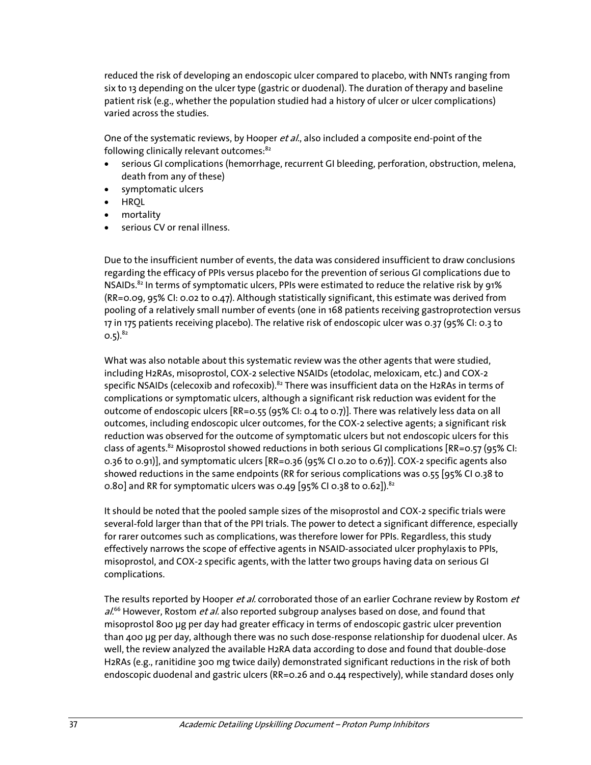reduced the risk of developing an endoscopic ulcer compared to placebo, with NNTs ranging from six to 13 depending on the ulcer type (gastric or duodenal). The duration of therapy and baseline patient risk (e.g., whether the population studied had a history of ulcer or ulcer complications) varied across the studies.

One of the systematic reviews, by Hooper et al., also included a composite end-point of the following clinically relevant outcomes:<sup>82</sup>

- serious GI complications (hemorrhage, recurrent GI bleeding, perforation, obstruction, melena, death from any of these)
- symptomatic ulcers
- HRQL
- mortality
- serious CV or renal illness.

Due to the insufficient number of events, the data was considered insufficient to draw conclusions regarding the efficacy of PPIs versus placebo for the prevention of serious GI complications due to NSAIDs.<sup>82</sup> In terms of symptomatic ulcers, PPIs were estimated to reduce the relative risk by 91% (RR=0.09, 95% CI: 0.02 to 0.47). Although statistically significant, this estimate was derived from pooling of a relatively small number of events (one in 168 patients receiving gastroprotection versus 17 in 175 patients receiving placebo). The relative risk of endoscopic ulcer was 0.37 (95% CI: 0.3 to  $0.5)$ .  $82$ 

What was also notable about this systematic review was the other agents that were studied, including H2RAs, misoprostol, COX-2 selective NSAIDs (etodolac, meloxicam, etc.) and COX-2 specific NSAIDs (celecoxib and rofecoxib).<sup>82</sup> There was insufficient data on the H2RAs in terms of complications or symptomatic ulcers, although a significant risk reduction was evident for the outcome of endoscopic ulcers [RR=0.55 (95% CI: 0.4 to 0.7)]. There was relatively less data on all outcomes, including endoscopic ulcer outcomes, for the COX-2 selective agents; a significant risk reduction was observed for the outcome of symptomatic ulcers but not endoscopic ulcers for this class of agents.<sup>82</sup> Misoprostol showed reductions in both serious GI complications [RR=0.57 (95% CI: 0.36 to 0.91)], and symptomatic ulcers [RR=0.36 (95% CI 0.20 to 0.67)]. COX-2 specific agents also showed reductions in the same endpoints (RR for serious complications was 0.55 [95% CI 0.38 to 0.80] and RR for symptomatic ulcers was 0.49 [95% CI 0.38 to 0.62]).<sup>82</sup>

It should be noted that the pooled sample sizes of the misoprostol and COX-2 specific trials were several-fold larger than that of the PPI trials. The power to detect a significant difference, especially for rarer outcomes such as complications, was therefore lower for PPIs. Regardless, this study effectively narrows the scope of effective agents in NSAID-associated ulcer prophylaxis to PPIs, misoprostol, and COX-2 specific agents, with the latter two groups having data on serious GI complications.

The results reported by Hooper et al. corroborated those of an earlier Cochrane review by Rostom et  $al^{66}$  However, Rostom *et al.* also reported subgroup analyses based on dose, and found that misoprostol 800 μg per day had greater efficacy in terms of endoscopic gastric ulcer prevention than 400 μg per day, although there was no such dose-response relationship for duodenal ulcer. As well, the review analyzed the available H2RA data according to dose and found that double-dose H2RAs (e.g., ranitidine 300 mg twice daily) demonstrated significant reductions in the risk of both endoscopic duodenal and gastric ulcers (RR=0.26 and 0.44 respectively), while standard doses only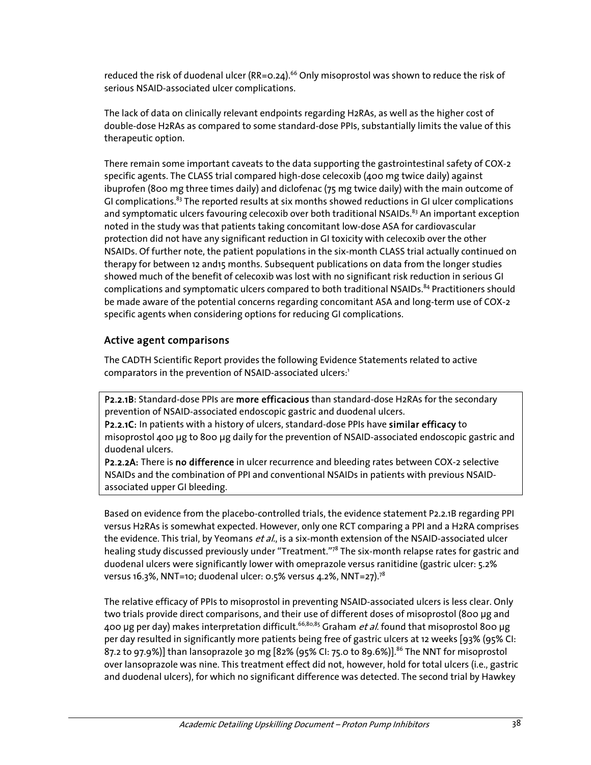reduced the risk of duodenal ulcer  $(RR=0.24)$ .<sup>66</sup> Only misoprostol was shown to reduce the risk of serious NSAID-associated ulcer complications.

The lack of data on clinically relevant endpoints regarding H2RAs, as well as the higher cost of double-dose H2RAs as compared to some standard-dose PPIs, substantially limits the value of this therapeutic option.

There remain some important caveats to the data supporting the gastrointestinal safety of COX-2 specific agents. The CLASS trial compared high-dose celecoxib (400 mg twice daily) against ibuprofen (800 mg three times daily) and diclofenac (75 mg twice daily) with the main outcome of GI complications.<sup>83</sup> The reported results at six months showed reductions in GI ulcer complications and symptomatic ulcers favouring celecoxib over both traditional NSAIDs.<sup>83</sup> An important exception noted in the study was that patients taking concomitant low-dose ASA for cardiovascular protection did not have any significant reduction in GI toxicity with celecoxib over the other NSAIDs. Of further note, the patient populations in the six-month CLASS trial actually continued on therapy for between 12 and15 months. Subsequent publications on data from the longer studies showed much of the benefit of celecoxib was lost with no significant risk reduction in serious GI complications and symptomatic ulcers compared to both traditional NSAIDs.<sup>84</sup> Practitioners should be made aware of the potential concerns regarding concomitant ASA and long-term use of COX-2 specific agents when considering options for reducing GI complications.

### Active agent comparisons

The CADTH Scientific Report provides the following Evidence Statements related to active comparators in the prevention of NSAID-associated ulcers:<sup>1</sup>

P2.2.1B: Standard-dose PPIs are more efficacious than standard-dose H2RAs for the secondary prevention of NSAID-associated endoscopic gastric and duodenal ulcers.

P2.2.1C: In patients with a history of ulcers, standard-dose PPIs have similar efficacy to misoprostol 400 μg to 800 μg daily for the prevention of NSAID-associated endoscopic gastric and duodenal ulcers.

P2.2.2A: There is no difference in ulcer recurrence and bleeding rates between COX-2 selective NSAIDs and the combination of PPI and conventional NSAIDs in patients with previous NSAIDassociated upper GI bleeding.

Based on evidence from the placebo-controlled trials, the evidence statement P2.2.1B regarding PPI versus H2RAs is somewhat expected. However, only one RCT comparing a PPI and a H2RA comprises the evidence. This trial, by Yeomans et al., is a six-month extension of the NSAID-associated ulcer healing study discussed previously under "Treatment."78 The six-month relapse rates for gastric and duodenal ulcers were significantly lower with omeprazole versus ranitidine (gastric ulcer: 5.2% versus 16.3%, NNT=10; duodenal ulcer: 0.5% versus 4.2%, NNT=27).<sup>78</sup>

The relative efficacy of PPIs to misoprostol in preventing NSAID-associated ulcers is less clear. Only two trials provide direct comparisons, and their use of different doses of misoprostol (800 μg and 400 μg per day) makes interpretation difficult.<sup>66,80,85</sup> Graham *et al.* found that misoprostol 800 μg per day resulted in significantly more patients being free of gastric ulcers at 12 weeks [93% (95% CI: 87.2 to 97.9%)] than lansoprazole 30 mg [82% (95% CI: 75.0 to 89.6%)].<sup>86</sup> The NNT for misoprostol over lansoprazole was nine. This treatment effect did not, however, hold for total ulcers (i.e., gastric and duodenal ulcers), for which no significant difference was detected. The second trial by Hawkey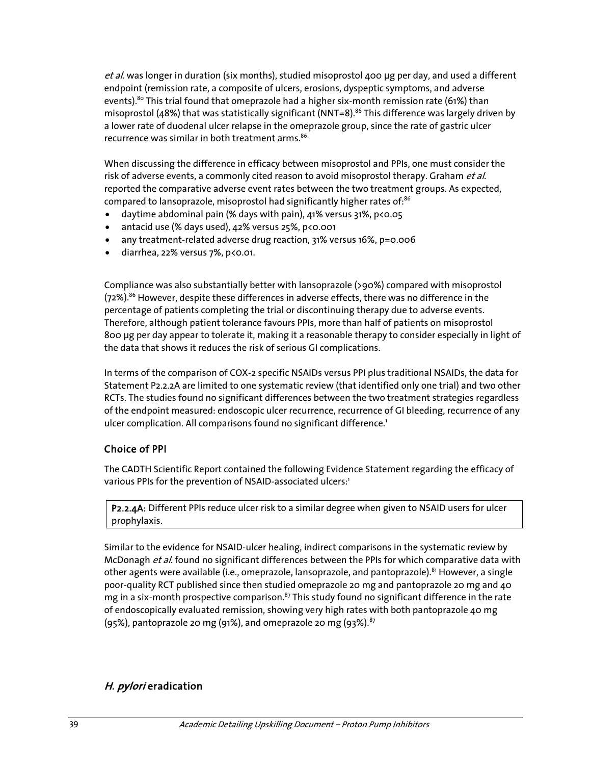et al. was longer in duration (six months), studied misoprostol 400 μg per day, and used a different endpoint (remission rate, a composite of ulcers, erosions, dyspeptic symptoms, and adverse events).<sup>80</sup> This trial found that omeprazole had a higher six-month remission rate (61%) than misoprostol (48%) that was statistically significant (NNT=8).<sup>86</sup> This difference was largely driven by a lower rate of duodenal ulcer relapse in the omeprazole group, since the rate of gastric ulcer recurrence was similar in both treatment arms.<sup>86</sup>

When discussing the difference in efficacy between misoprostol and PPIs, one must consider the risk of adverse events, a commonly cited reason to avoid misoprostol therapy. Graham et al. reported the comparative adverse event rates between the two treatment groups. As expected, compared to lansoprazole, misoprostol had significantly higher rates of:<sup>86</sup>

- daytime abdominal pain (% days with pain),  $41\%$  versus  $31\%$ ,  $p < 0.05$
- antacid use (% days used), 42% versus 25%, p<0.001
- any treatment-related adverse drug reaction, 31% versus 16%, p=0.006
- $\bullet$  diarrhea, 22% versus 7%, p<0.01.

Compliance was also substantially better with lansoprazole (>90%) compared with misoprostol (72%).<sup>86</sup> However, despite these differences in adverse effects, there was no difference in the percentage of patients completing the trial or discontinuing therapy due to adverse events. Therefore, although patient tolerance favours PPIs, more than half of patients on misoprostol 800 μg per day appear to tolerate it, making it a reasonable therapy to consider especially in light of the data that shows it reduces the risk of serious GI complications.

In terms of the comparison of COX-2 specific NSAIDs versus PPI plus traditional NSAIDs, the data for Statement P2.2.2A are limited to one systematic review (that identified only one trial) and two other RCTs. The studies found no significant differences between the two treatment strategies regardless of the endpoint measured: endoscopic ulcer recurrence, recurrence of GI bleeding, recurrence of any ulcer complication. All comparisons found no significant difference.<sup>1</sup>

#### Choice of PPI

The CADTH Scientific Report contained the following Evidence Statement regarding the efficacy of various PPIs for the prevention of NSAID-associated ulcers:<sup>1</sup>

P2.2.4A: Different PPIs reduce ulcer risk to a similar degree when given to NSAID users for ulcer prophylaxis.

Similar to the evidence for NSAID-ulcer healing, indirect comparisons in the systematic review by McDonagh et al. found no significant differences between the PPIs for which comparative data with other agents were available (i.e., omeprazole, lansoprazole, and pantoprazole).<sup>81</sup> However, a single poor-quality RCT published since then studied omeprazole 20 mg and pantoprazole 20 mg and 40 mg in a six-month prospective comparison. $87$  This study found no significant difference in the rate of endoscopically evaluated remission, showing very high rates with both pantoprazole 40 mg  $(95%)$ , pantoprazole 20 mg (91%), and omeprazole 20 mg (93%).  $87$ 

### H. pylori eradication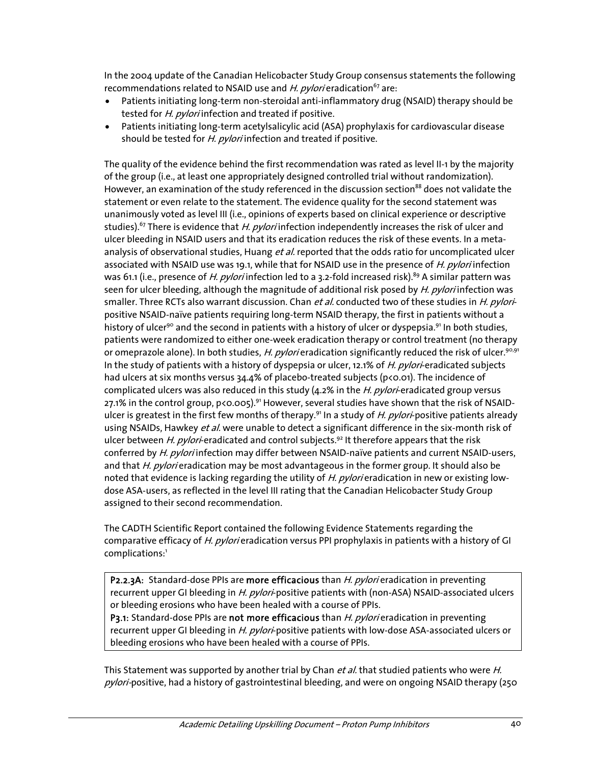In the 2004 update of the Canadian Helicobacter Study Group consensus statements the following recommendations related to NSAID use and H. pylori eradication<sup>67</sup> are:

- Patients initiating long-term non-steroidal anti-inflammatory drug (NSAID) therapy should be tested for *H. pylori* infection and treated if positive.
- Patients initiating long-term acetylsalicylic acid (ASA) prophylaxis for cardiovascular disease should be tested for H. pylori infection and treated if positive.

The quality of the evidence behind the first recommendation was rated as level II-1 by the majority of the group (i.e., at least one appropriately designed controlled trial without randomization). However, an examination of the study referenced in the discussion section<sup>88</sup> does not validate the statement or even relate to the statement. The evidence quality for the second statement was unanimously voted as level III (i.e., opinions of experts based on clinical experience or descriptive studies).<sup>67</sup> There is evidence that H. pylori infection independently increases the risk of ulcer and ulcer bleeding in NSAID users and that its eradication reduces the risk of these events. In a metaanalysis of observational studies, Huang *et al.* reported that the odds ratio for uncomplicated ulcer associated with NSAID use was 19.1, while that for NSAID use in the presence of *H. pylori* infection was 61.1 (i.e., presence of H. pylori infection led to a 3.2-fold increased risk).<sup>89</sup> A similar pattern was seen for ulcer bleeding, although the magnitude of additional risk posed by H. pylori infection was smaller. Three RCTs also warrant discussion. Chan et al. conducted two of these studies in H. pyloripositive NSAID-naïve patients requiring long-term NSAID therapy, the first in patients without a history of ulcer<sup>90</sup> and the second in patients with a history of ulcer or dyspepsia.<sup>91</sup> In both studies, patients were randomized to either one-week eradication therapy or control treatment (no therapy or omeprazole alone). In both studies, *H. pylori* eradication significantly reduced the risk of ulcer.<sup>90,91</sup> In the study of patients with a history of dyspepsia or ulcer, 12.1% of H. pylori-eradicated subjects had ulcers at six months versus 34.4% of placebo-treated subjects (p<0.01). The incidence of complicated ulcers was also reduced in this study  $(4.2\%$  in the *H. pylori*-eradicated group versus 27.1% in the control group,  $p \triangleleft 0.005)$ .<sup>91</sup> However, several studies have shown that the risk of NSAIDulcer is greatest in the first few months of therapy.<sup>91</sup> In a study of H. pylori-positive patients already using NSAIDs, Hawkey *et al.* were unable to detect a significant difference in the six-month risk of ulcer between H. pylori-eradicated and control subjects.<sup>92</sup> It therefore appears that the risk conferred by H. pylori infection may differ between NSAID-naïve patients and current NSAID-users, and that H. pylori eradication may be most advantageous in the former group. It should also be noted that evidence is lacking regarding the utility of H. pylori eradication in new or existing lowdose ASA-users, as reflected in the level III rating that the Canadian Helicobacter Study Group assigned to their second recommendation.

The CADTH Scientific Report contained the following Evidence Statements regarding the comparative efficacy of H. pylori eradication versus PPI prophylaxis in patients with a history of GI complications:<sup>1</sup>

P2.2.3A: Standard-dose PPIs are more efficacious than H. pylori eradication in preventing recurrent upper GI bleeding in H. pylori-positive patients with (non-ASA) NSAID-associated ulcers or bleeding erosions who have been healed with a course of PPIs.

P3.1: Standard-dose PPIs are not more efficacious than H. pylori eradication in preventing recurrent upper GI bleeding in H. pylori-positive patients with low-dose ASA-associated ulcers or bleeding erosions who have been healed with a course of PPIs.

This Statement was supported by another trial by Chan et al. that studied patients who were H. pylori-positive, had a history of gastrointestinal bleeding, and were on ongoing NSAID therapy (250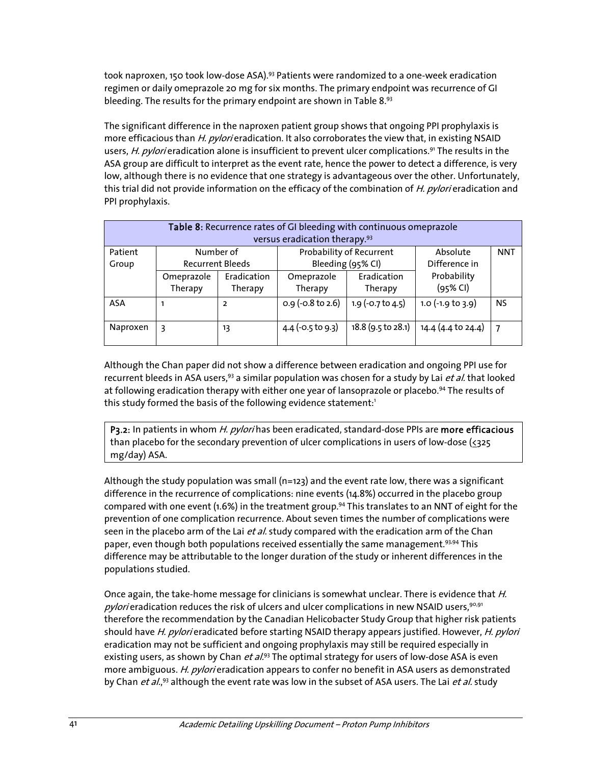took naproxen, 150 took low-dose ASA).<sup>93</sup> Patients were randomized to a one-week eradication regimen or daily omeprazole 20 mg for six months. The primary endpoint was recurrence of GI bleeding. The results for the primary endpoint are shown in Table 8.93

The significant difference in the naproxen patient group shows that ongoing PPI prophylaxis is more efficacious than H. pylori eradication. It also corroborates the view that, in existing NSAID users, *H. pylori* eradication alone is insufficient to prevent ulcer complications.<sup>91</sup> The results in the ASA group are difficult to interpret as the event rate, hence the power to detect a difference, is very low, although there is no evidence that one strategy is advantageous over the other. Unfortunately, this trial did not provide information on the efficacy of the combination of H. pylori eradication and PPI prophylaxis.

| Table 8: Recurrence rates of GI bleeding with continuous omeprazole<br>versus eradication therapy. <sup>93</sup> |                                      |                        |                                               |                        |                           |            |
|------------------------------------------------------------------------------------------------------------------|--------------------------------------|------------------------|-----------------------------------------------|------------------------|---------------------------|------------|
| Patient<br>Group                                                                                                 | Number of<br><b>Recurrent Bleeds</b> |                        | Probability of Recurrent<br>Bleeding (95% CI) |                        | Absolute<br>Difference in | <b>NNT</b> |
|                                                                                                                  | Omeprazole<br>Therapy                | Eradication<br>Therapy | Omeprazole<br>Therapy                         | Eradication<br>Therapy | Probability<br>$(95%$ CI) |            |
| ASA                                                                                                              |                                      | 2                      | $0.9$ (-0.8 to 2.6)                           | 1.9 (-0.7 to 4.5)      | $1.0$ (-1.9 to $3.9$ )    | <b>NS</b>  |
| Naproxen                                                                                                         | 3                                    | 13                     | $4.4$ (-0.5 to 9.3)                           | 18.8 (9.5 to 28.1)     | 14.4 (4.4 to 24.4)        |            |

Although the Chan paper did not show a difference between eradication and ongoing PPI use for recurrent bleeds in ASA users,<sup>93</sup> a similar population was chosen for a study by Lai et al. that looked at following eradication therapy with either one year of lansoprazole or placebo.<sup>94</sup> The results of this study formed the basis of the following evidence statement: $^1$ 

P3.2: In patients in whom H. pylorihas been eradicated, standard-dose PPIs are more efficacious than placebo for the secondary prevention of ulcer complications in users of low-dose  $(325)$ mg/day) ASA.

Although the study population was small (n=123) and the event rate low, there was a significant difference in the recurrence of complications: nine events (14.8%) occurred in the placebo group compared with one event (1.6%) in the treatment group.<sup>94</sup> This translates to an NNT of eight for the prevention of one complication recurrence. About seven times the number of complications were seen in the placebo arm of the Lai et al. study compared with the eradication arm of the Chan paper, even though both populations received essentially the same management.<sup>93,94</sup> This difference may be attributable to the longer duration of the study or inherent differences in the populations studied.

Once again, the take-home message for clinicians is somewhat unclear. There is evidence that H. pylori eradication reduces the risk of ulcers and ulcer complications in new NSAID users,  $90,91$ therefore the recommendation by the Canadian Helicobacter Study Group that higher risk patients should have H. pylori eradicated before starting NSAID therapy appears justified. However, H. pylori eradication may not be sufficient and ongoing prophylaxis may still be required especially in existing users, as shown by Chan  $et al.<sup>93</sup>$  The optimal strategy for users of low-dose ASA is even more ambiguous. H. pylori eradication appears to confer no benefit in ASA users as demonstrated by Chan *et al.*,<sup>93</sup> although the event rate was low in the subset of ASA users. The Lai *et al.* study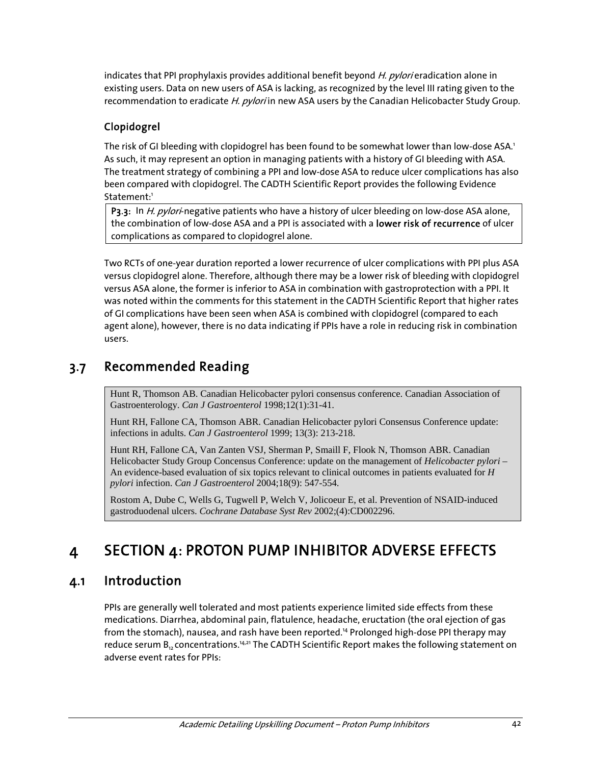indicates that PPI prophylaxis provides additional benefit beyond H. pylori eradication alone in existing users. Data on new users of ASA is lacking, as recognized by the level III rating given to the recommendation to eradicate H. pylori in new ASA users by the Canadian Helicobacter Study Group.

### Clopidogrel

The risk of GI bleeding with clopidogrel has been found to be somewhat lower than low-dose ASA.<sup>1</sup> As such, it may represent an option in managing patients with a history of GI bleeding with ASA. The treatment strategy of combining a PPI and low-dose ASA to reduce ulcer complications has also been compared with clopidogrel. The CADTH Scientific Report provides the following Evidence Statement:<sup>1</sup>

P3.3: In *H. pylori*-negative patients who have a history of ulcer bleeding on low-dose ASA alone, the combination of low-dose ASA and a PPI is associated with a lower risk of recurrence of ulcer complications as compared to clopidogrel alone.

Two RCTs of one-year duration reported a lower recurrence of ulcer complications with PPI plus ASA versus clopidogrel alone. Therefore, although there may be a lower risk of bleeding with clopidogrel versus ASA alone, the former is inferior to ASA in combination with gastroprotection with a PPI. It was noted within the comments for this statement in the CADTH Scientific Report that higher rates of GI complications have been seen when ASA is combined with clopidogrel (compared to each agent alone), however, there is no data indicating if PPIs have a role in reducing risk in combination users.

## 3.7 Recommended Reading

Hunt R, Thomson AB. Canadian Helicobacter pylori consensus conference. Canadian Association of Gastroenterology. *Can J Gastroenterol* 1998;12(1):31-41.

Hunt RH, Fallone CA, Thomson ABR. Canadian Helicobacter pylori Consensus Conference update: infections in adults. *Can J Gastroenterol* 1999; 13(3): 213-218.

Hunt RH, Fallone CA, Van Zanten VSJ, Sherman P, Smaill F, Flook N, Thomson ABR. Canadian Helicobacter Study Group Concensus Conference: update on the management of *Helicobacter pylori* – An evidence-based evaluation of six topics relevant to clinical outcomes in patients evaluated for *H pylori* infection. *Can J Gastroenterol* 2004;18(9): 547-554.

Rostom A, Dube C, Wells G, Tugwell P, Welch V, Jolicoeur E, et al. Prevention of NSAID-induced gastroduodenal ulcers. *Cochrane Database Syst Rev* 2002;(4):CD002296.

# 4 SECTION 4: PROTON PUMP INHIBITOR ADVERSE EFFECTS

## 4.1 Introduction

PPIs are generally well tolerated and most patients experience limited side effects from these medications. Diarrhea, abdominal pain, flatulence, headache, eructation (the oral ejection of gas from the stomach), nausea, and rash have been reported.<sup>14</sup> Prolonged high-dose PPI therapy may reduce serum B<sub>12</sub> concentrations.<sup>14,21</sup> The CADTH Scientific Report makes the following statement on adverse event rates for PPIs: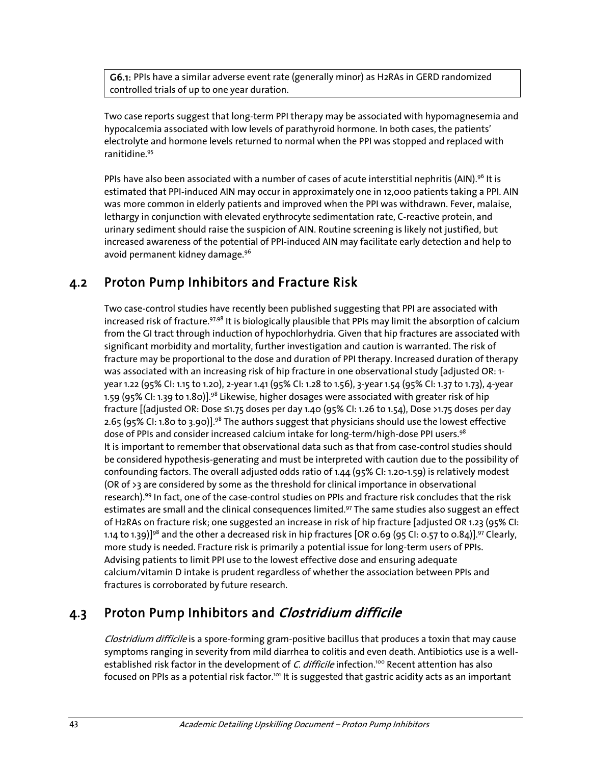G6.1: PPIs have a similar adverse event rate (generally minor) as H2RAs in GERD randomized controlled trials of up to one year duration.

Two case reports suggest that long-term PPI therapy may be associated with hypomagnesemia and hypocalcemia associated with low levels of parathyroid hormone. In both cases, the patients' electrolyte and hormone levels returned to normal when the PPI was stopped and replaced with ranitidine.95

PPIs have also been associated with a number of cases of acute interstitial nephritis (AIN).<sup>96</sup> It is estimated that PPI-induced AIN may occur in approximately one in 12,000 patients taking a PPI. AIN was more common in elderly patients and improved when the PPI was withdrawn. Fever, malaise, lethargy in conjunction with elevated erythrocyte sedimentation rate, C-reactive protein, and urinary sediment should raise the suspicion of AIN. Routine screening is likely not justified, but increased awareness of the potential of PPI-induced AIN may facilitate early detection and help to avoid permanent kidney damage.<sup>96</sup>

### 4.2 Proton Pump Inhibitors and Fracture Risk

Two case-control studies have recently been published suggesting that PPI are associated with increased risk of fracture.<sup>97,98</sup> It is biologically plausible that PPIs may limit the absorption of calcium from the GI tract through induction of hypochlorhydria. Given that hip fractures are associated with significant morbidity and mortality, further investigation and caution is warranted. The risk of fracture may be proportional to the dose and duration of PPI therapy. Increased duration of therapy was associated with an increasing risk of hip fracture in one observational study [adjusted OR: 1 year 1.22 (95% CI: 1.15 to 1.20), 2-year 1.41 (95% CI: 1.28 to 1.56), 3-year 1.54 (95% CI: 1.37 to 1.73), 4-year 1.59 (95% CI: 1.39 to 1.80)].<sup>98</sup> Likewise, higher dosages were associated with greater risk of hip fracture [(adjusted OR: Dose ≤1.75 doses per day 1.40 (95% CI: 1.26 to 1.54), Dose >1.75 doses per day 2.65 (95% CI: 1.80 to 3.90)].<sup>98</sup> The authors suggest that physicians should use the lowest effective dose of PPIs and consider increased calcium intake for long-term/high-dose PPI users.<sup>98</sup> It is important to remember that observational data such as that from case-control studies should be considered hypothesis-generating and must be interpreted with caution due to the possibility of confounding factors. The overall adjusted odds ratio of 1.44 (95% CI: 1.20-1.59) is relatively modest (OR of >3 are considered by some as the threshold for clinical importance in observational research).99 In fact, one of the case-control studies on PPIs and fracture risk concludes that the risk estimates are small and the clinical consequences limited.<sup>97</sup> The same studies also suggest an effect of H2RAs on fracture risk; one suggested an increase in risk of hip fracture [adjusted OR 1.23 (95% CI: 1.14 to 1.39)]<sup>98</sup> and the other a decreased risk in hip fractures [OR 0.69 (95 CI: 0.57 to 0.84)].<sup>97</sup> Clearly, more study is needed. Fracture risk is primarily a potential issue for long-term users of PPIs. Advising patients to limit PPI use to the lowest effective dose and ensuring adequate calcium/vitamin D intake is prudent regardless of whether the association between PPIs and fractures is corroborated by future research.

### 4.3 Proton Pump Inhibitors and Clostridium difficile

Clostridium difficile is a spore-forming gram-positive bacillus that produces a toxin that may cause symptoms ranging in severity from mild diarrhea to colitis and even death. Antibiotics use is a wellestablished risk factor in the development of C. difficile infection.<sup>100</sup> Recent attention has also focused on PPIs as a potential risk factor.<sup>101</sup> It is suggested that gastric acidity acts as an important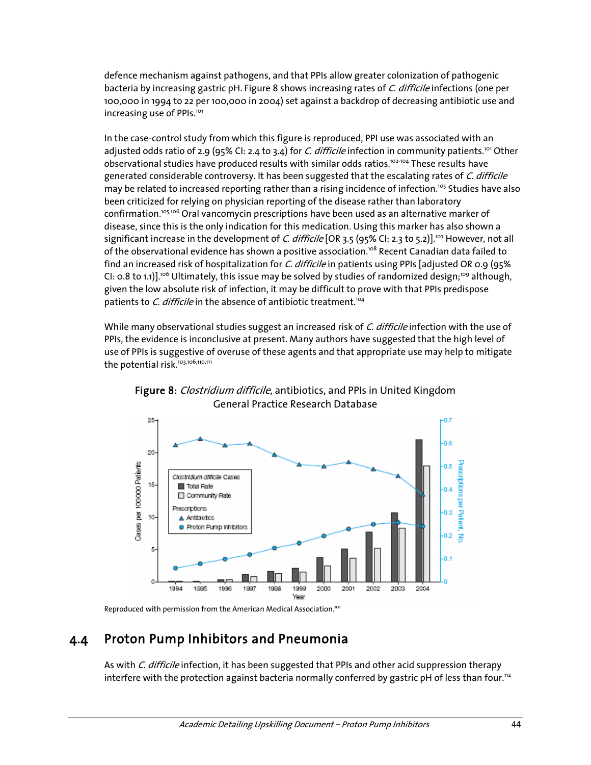defence mechanism against pathogens, and that PPIs allow greater colonization of pathogenic bacteria by increasing gastric pH. Figure 8 shows increasing rates of C. difficile infections (one per 100,000 in 1994 to 22 per 100,000 in 2004) set against a backdrop of decreasing antibiotic use and increasing use of PPIs.<sup>101</sup>

In the case-control study from which this figure is reproduced, PPI use was associated with an adjusted odds ratio of 2.9 (95% CI: 2.4 to 3.4) for *C. difficile* infection in community patients.<sup>101</sup> Other observational studies have produced results with similar odds ratios.<sup>102-104</sup> These results have generated considerable controversy. It has been suggested that the escalating rates of C. difficile may be related to increased reporting rather than a rising incidence of infection.<sup>105</sup> Studies have also been criticized for relying on physician reporting of the disease rather than laboratory confirmation.105,106 Oral vancomycin prescriptions have been used as an alternative marker of disease, since this is the only indication for this medication. Using this marker has also shown a significant increase in the development of C. difficile [OR 3.5 (95% CI: 2.3 to 5.2)].<sup>107</sup> However, not all of the observational evidence has shown a positive association.<sup>108</sup> Recent Canadian data failed to find an increased risk of hospitalization for C. difficile in patients using PPIs [adjusted OR 0.9 (95% CI: 0.8 to 1.1)].<sup>106</sup> Ultimately, this issue may be solved by studies of randomized design;<sup>109</sup> although, given the low absolute risk of infection, it may be difficult to prove with that PPIs predispose patients to C. difficile in the absence of antibiotic treatment.<sup>104</sup>

While many observational studies suggest an increased risk of C. difficile infection with the use of PPIs, the evidence is inconclusive at present. Many authors have suggested that the high level of use of PPIs is suggestive of overuse of these agents and that appropriate use may help to mitigate the potential risk.<sup>103,106,110,111</sup>



Figure 8: Clostridium difficile, antibiotics, and PPIs in United Kingdom General Practice Research Database

Reproduced with permission from the American Medical Association.<sup>101</sup>

### 4.4 Proton Pump Inhibitors and Pneumonia

As with C. difficile infection, it has been suggested that PPIs and other acid suppression therapy interfere with the protection against bacteria normally conferred by gastric pH of less than four.<sup>112</sup>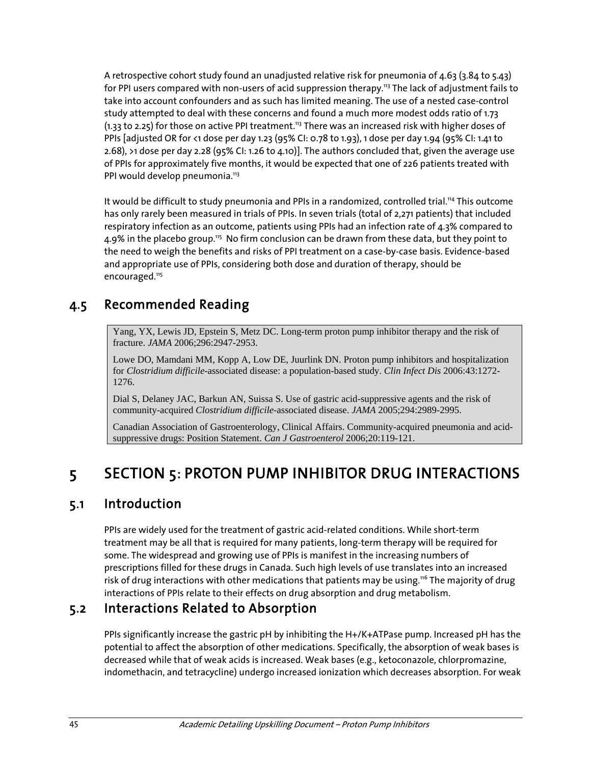A retrospective cohort study found an unadjusted relative risk for pneumonia of 4.63 (3.84 to 5.43) for PPI users compared with non-users of acid suppression therapy.<sup>113</sup> The lack of adjustment fails to take into account confounders and as such has limited meaning. The use of a nested case-control study attempted to deal with these concerns and found a much more modest odds ratio of 1.73  $(1.33$  to 2.25) for those on active PPI treatment.<sup>113</sup> There was an increased risk with higher doses of PPIs [adjusted OR for <1 dose per day 1.23 (95% CI: 0.78 to 1.93), 1 dose per day 1.94 (95% CI: 1.41 to 2.68), >1 dose per day 2.28 (95% CI: 1.26 to 4.10)]. The authors concluded that, given the average use of PPIs for approximately five months, it would be expected that one of 226 patients treated with PPI would develop pneumonia.<sup>113</sup>

It would be difficult to study pneumonia and PPIs in a randomized, controlled trial.<sup>114</sup> This outcome has only rarely been measured in trials of PPIs. In seven trials (total of 2,271 patients) that included respiratory infection as an outcome, patients using PPIs had an infection rate of 4.3% compared to 4.9% in the placebo group.<sup>115</sup> No firm conclusion can be drawn from these data, but they point to the need to weigh the benefits and risks of PPI treatment on a case-by-case basis. Evidence-based and appropriate use of PPIs, considering both dose and duration of therapy, should be encouraged.<sup>115</sup>

## 4.5 Recommended Reading

Yang, YX, Lewis JD, Epstein S, Metz DC. Long-term proton pump inhibitor therapy and the risk of fracture. *JAMA* 2006;296:2947-2953.

Lowe DO, Mamdani MM, Kopp A, Low DE, Juurlink DN. Proton pump inhibitors and hospitalization for *Clostridium difficile*-associated disease: a population-based study. *Clin Infect Dis* 2006:43:1272- 1276.

Dial S, Delaney JAC, Barkun AN, Suissa S. Use of gastric acid-suppressive agents and the risk of community-acquired *Clostridium difficile*-associated disease. *JAMA* 2005;294:2989-2995.

Canadian Association of Gastroenterology, Clinical Affairs. Community-acquired pneumonia and acidsuppressive drugs: Position Statement. *Can J Gastroenterol* 2006;20:119-121.

# 5 SECTION 5: PROTON PUMP INHIBITOR DRUG INTERACTIONS

### 5.1 Introduction

PPIs are widely used for the treatment of gastric acid-related conditions. While short-term treatment may be all that is required for many patients, long-term therapy will be required for some. The widespread and growing use of PPIs is manifest in the increasing numbers of prescriptions filled for these drugs in Canada. Such high levels of use translates into an increased risk of drug interactions with other medications that patients may be using.<sup>116</sup> The majority of drug interactions of PPIs relate to their effects on drug absorption and drug metabolism.

### 5.2 Interactions Related to Absorption

PPIs significantly increase the gastric pH by inhibiting the H+/K+ATPase pump. Increased pH has the potential to affect the absorption of other medications. Specifically, the absorption of weak bases is decreased while that of weak acids is increased. Weak bases (e.g., ketoconazole, chlorpromazine, indomethacin, and tetracycline) undergo increased ionization which decreases absorption. For weak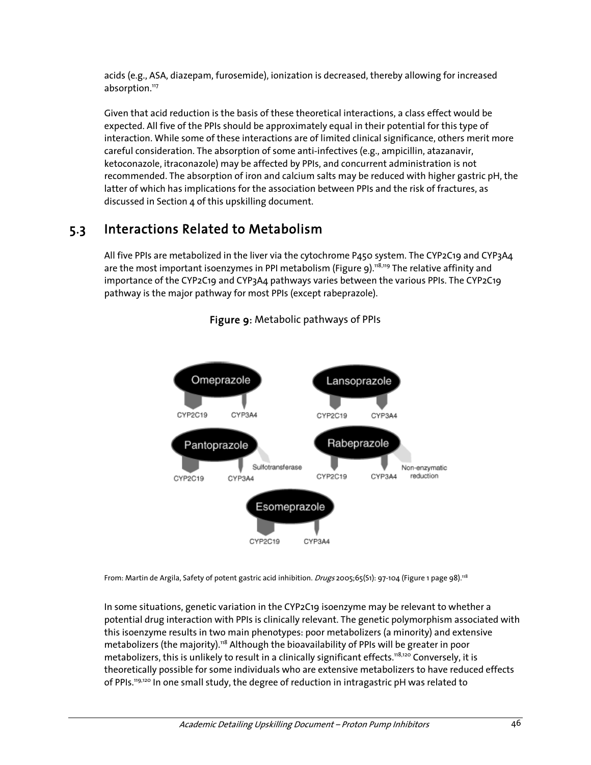acids (e.g., ASA, diazepam, furosemide), ionization is decreased, thereby allowing for increased absorption.<sup>117</sup>

Given that acid reduction is the basis of these theoretical interactions, a class effect would be expected. All five of the PPIs should be approximately equal in their potential for this type of interaction. While some of these interactions are of limited clinical significance, others merit more careful consideration. The absorption of some anti-infectives (e.g., ampicillin, atazanavir, ketoconazole, itraconazole) may be affected by PPIs, and concurrent administration is not recommended. The absorption of iron and calcium salts may be reduced with higher gastric pH, the latter of which has implications for the association between PPIs and the risk of fractures, as discussed in Section 4 of this upskilling document.

## 5.3 Interactions Related to Metabolism

All five PPIs are metabolized in the liver via the cytochrome P450 system. The CYP2C19 and CYP3A4 are the most important isoenzymes in PPI metabolism (Figure 9).<sup>118,119</sup> The relative affinity and importance of the CYP2C19 and CYP3A4 pathways varies between the various PPIs. The CYP2C19 pathway is the major pathway for most PPIs (except rabeprazole).



### Figure 9: Metabolic pathways of PPIs

From: Martin de Argila, Safety of potent gastric acid inhibition. Drugs 2005;65(S1): 97-104 (Figure 1 page 98).<sup>118</sup>

In some situations, genetic variation in the CYP2C19 isoenzyme may be relevant to whether a potential drug interaction with PPIs is clinically relevant. The genetic polymorphism associated with this isoenzyme results in two main phenotypes: poor metabolizers (a minority) and extensive metabolizers (the majority).<sup>118</sup> Although the bioavailability of PPIs will be greater in poor metabolizers, this is unlikely to result in a clinically significant effects.<sup>118,120</sup> Conversely, it is theoretically possible for some individuals who are extensive metabolizers to have reduced effects of PPIs.<sup>119,120</sup> In one small study, the degree of reduction in intragastric pH was related to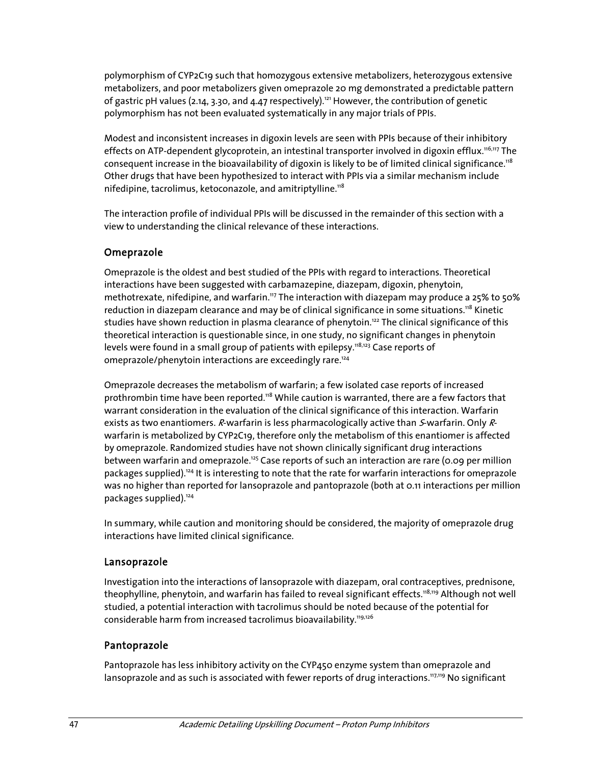polymorphism of CYP2C19 such that homozygous extensive metabolizers, heterozygous extensive metabolizers, and poor metabolizers given omeprazole 20 mg demonstrated a predictable pattern of gastric pH values (2.14, 3.30, and 4.47 respectively).<sup>121</sup> However, the contribution of genetic polymorphism has not been evaluated systematically in any major trials of PPIs.

Modest and inconsistent increases in digoxin levels are seen with PPIs because of their inhibitory effects on ATP-dependent glycoprotein, an intestinal transporter involved in digoxin efflux.<sup>116,117</sup> The consequent increase in the bioavailability of digoxin is likely to be of limited clinical significance.<sup>118</sup> Other drugs that have been hypothesized to interact with PPIs via a similar mechanism include nifedipine, tacrolimus, ketoconazole, and amitriptylline. $118$ 

The interaction profile of individual PPIs will be discussed in the remainder of this section with a view to understanding the clinical relevance of these interactions.

#### Omeprazole

Omeprazole is the oldest and best studied of the PPIs with regard to interactions. Theoretical interactions have been suggested with carbamazepine, diazepam, digoxin, phenytoin, methotrexate, nifedipine, and warfarin.<sup>117</sup> The interaction with diazepam may produce a 25% to 50% reduction in diazepam clearance and may be of clinical significance in some situations.<sup>118</sup> Kinetic studies have shown reduction in plasma clearance of phenytoin.<sup>122</sup> The clinical significance of this theoretical interaction is questionable since, in one study, no significant changes in phenytoin levels were found in a small group of patients with epilepsy.<sup>118,123</sup> Case reports of omeprazole/phenytoin interactions are exceedingly rare.<sup>124</sup>

Omeprazole decreases the metabolism of warfarin; a few isolated case reports of increased prothrombin time have been reported.118 While caution is warranted, there are a few factors that warrant consideration in the evaluation of the clinical significance of this interaction. Warfarin exists as two enantiomers. R-warfarin is less pharmacologically active than *S*-warfarin. Only Rwarfarin is metabolized by CYP2C19, therefore only the metabolism of this enantiomer is affected by omeprazole. Randomized studies have not shown clinically significant drug interactions between warfarin and omeprazole.<sup>125</sup> Case reports of such an interaction are rare (0.09 per million packages supplied).<sup>124</sup> It is interesting to note that the rate for warfarin interactions for omeprazole was no higher than reported for lansoprazole and pantoprazole (both at 0.11 interactions per million packages supplied).124

In summary, while caution and monitoring should be considered, the majority of omeprazole drug interactions have limited clinical significance.

#### Lansoprazole

Investigation into the interactions of lansoprazole with diazepam, oral contraceptives, prednisone, theophylline, phenytoin, and warfarin has failed to reveal significant effects.<sup>118,119</sup> Although not well studied, a potential interaction with tacrolimus should be noted because of the potential for considerable harm from increased tacrolimus bioavailability.<sup>119,126</sup>

### Pantoprazole

Pantoprazole has less inhibitory activity on the CYP450 enzyme system than omeprazole and lansoprazole and as such is associated with fewer reports of drug interactions.<sup>117,119</sup> No significant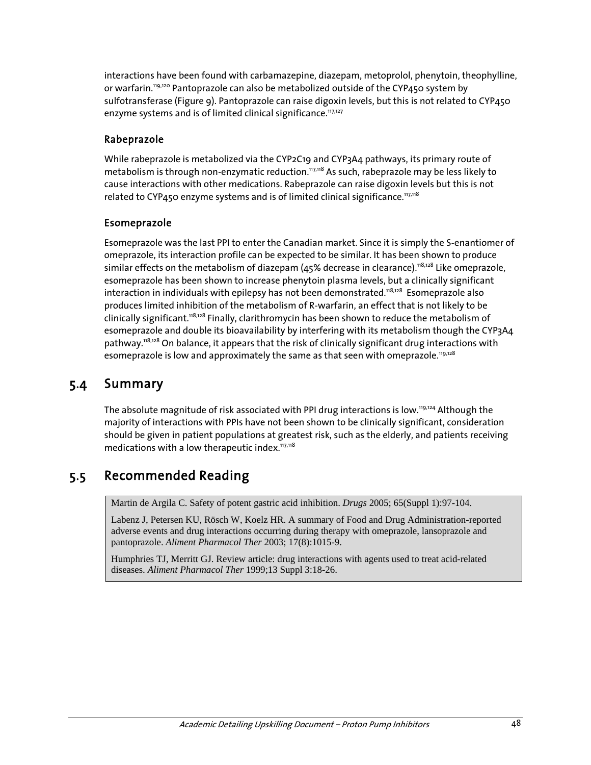interactions have been found with carbamazepine, diazepam, metoprolol, phenytoin, theophylline, or warfarin.119,120 Pantoprazole can also be metabolized outside of the CYP450 system by sulfotransferase (Figure 9). Pantoprazole can raise digoxin levels, but this is not related to CYP450 enzyme systems and is of limited clinical significance.<sup>117,127</sup>

### Rabeprazole

While rabeprazole is metabolized via the CYP2C19 and CYP3A4 pathways, its primary route of metabolism is through non-enzymatic reduction.<sup>117,118</sup> As such, rabeprazole may be less likely to cause interactions with other medications. Rabeprazole can raise digoxin levels but this is not related to CYP450 enzyme systems and is of limited clinical significance.<sup>117,118</sup>

### Esomeprazole

Esomeprazole was the last PPI to enter the Canadian market. Since it is simply the S-enantiomer of omeprazole, its interaction profile can be expected to be similar. It has been shown to produce similar effects on the metabolism of diazepam (45% decrease in clearance).<sup>118,128</sup> Like omeprazole, esomeprazole has been shown to increase phenytoin plasma levels, but a clinically significant interaction in individuals with epilepsy has not been demonstrated.<sup>118,128</sup> Esomeprazole also produces limited inhibition of the metabolism of R-warfarin, an effect that is not likely to be clinically significant.<sup>118,128</sup> Finally, clarithromycin has been shown to reduce the metabolism of esomeprazole and double its bioavailability by interfering with its metabolism though the CYP3A4 pathway.<sup>118,128</sup> On balance, it appears that the risk of clinically significant drug interactions with esomeprazole is low and approximately the same as that seen with omeprazole.<sup>119,128</sup>

### 5.4 Summary

The absolute magnitude of risk associated with PPI drug interactions is low.<sup>119,124</sup> Although the majority of interactions with PPIs have not been shown to be clinically significant, consideration should be given in patient populations at greatest risk, such as the elderly, and patients receiving medications with a low therapeutic index. $117,118$ 

## 5.5 Recommended Reading

Martin de Argila C. Safety of potent gastric acid inhibition. *Drugs* 2005; 65(Suppl 1):97-104.

Labenz J, Petersen KU, Rösch W, Koelz HR. A summary of Food and Drug Administration-reported adverse events and drug interactions occurring during therapy with omeprazole, lansoprazole and pantoprazole. *Aliment Pharmacol Ther* 2003; 17(8):1015-9.

Humphries TJ, Merritt GJ. Review article: drug interactions with agents used to treat acid-related diseases. *Aliment Pharmacol Ther* 1999;13 Suppl 3:18-26.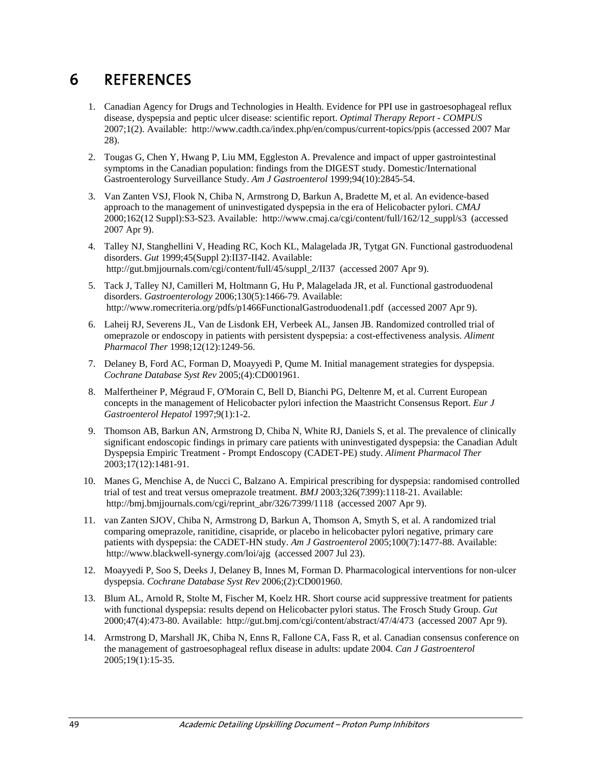# 6 REFERENCES

- 1. Canadian Agency for Drugs and Technologies in Health. Evidence for PPI use in gastroesophageal reflux disease, dyspepsia and peptic ulcer disease: scientific report. *Optimal Therapy Report - COMPUS* 2007;1(2). Available: http://www.cadth.ca/index.php/en/compus/current-topics/ppis (accessed 2007 Mar 28).
- 2. Tougas G, Chen Y, Hwang P, Liu MM, Eggleston A. Prevalence and impact of upper gastrointestinal symptoms in the Canadian population: findings from the DIGEST study. Domestic/International Gastroenterology Surveillance Study. *Am J Gastroenterol* 1999;94(10):2845-54.
- 3. Van Zanten VSJ, Flook N, Chiba N, Armstrong D, Barkun A, Bradette M, et al. An evidence-based approach to the management of uninvestigated dyspepsia in the era of Helicobacter pylori. *CMAJ* 2000;162(12 Suppl):S3-S23. Available: http://www.cmaj.ca/cgi/content/full/162/12\_suppl/s3 (accessed 2007 Apr 9).
- 4. Talley NJ, Stanghellini V, Heading RC, Koch KL, Malagelada JR, Tytgat GN. Functional gastroduodenal disorders. *Gut* 1999;45(Suppl 2):II37-II42. Available: http://gut.bmjjournals.com/cgi/content/full/45/suppl\_2/II37 (accessed 2007 Apr 9).
- 5. Tack J, Talley NJ, Camilleri M, Holtmann G, Hu P, Malagelada JR, et al. Functional gastroduodenal disorders. *Gastroenterology* 2006;130(5):1466-79. Available: http://www.romecriteria.org/pdfs/p1466FunctionalGastroduodenal1.pdf (accessed 2007 Apr 9).
- 6. Laheij RJ, Severens JL, Van de Lisdonk EH, Verbeek AL, Jansen JB. Randomized controlled trial of omeprazole or endoscopy in patients with persistent dyspepsia: a cost-effectiveness analysis. *Aliment Pharmacol Ther* 1998;12(12):1249-56.
- 7. Delaney B, Ford AC, Forman D, Moayyedi P, Qume M. Initial management strategies for dyspepsia. *Cochrane Database Syst Rev* 2005;(4):CD001961.
- 8. Malfertheiner P, Mégraud F, O'Morain C, Bell D, Bianchi PG, Deltenre M, et al. Current European concepts in the management of Helicobacter pylori infection the Maastricht Consensus Report. *Eur J Gastroenterol Hepatol* 1997;9(1):1-2.
- 9. Thomson AB, Barkun AN, Armstrong D, Chiba N, White RJ, Daniels S, et al. The prevalence of clinically significant endoscopic findings in primary care patients with uninvestigated dyspepsia: the Canadian Adult Dyspepsia Empiric Treatment - Prompt Endoscopy (CADET-PE) study. *Aliment Pharmacol Ther* 2003;17(12):1481-91.
- 10. Manes G, Menchise A, de Nucci C, Balzano A. Empirical prescribing for dyspepsia: randomised controlled trial of test and treat versus omeprazole treatment. *BMJ* 2003;326(7399):1118-21. Available: http://bmj.bmjjournals.com/cgi/reprint\_abr/326/7399/1118 (accessed 2007 Apr 9).
- 11. van Zanten SJOV, Chiba N, Armstrong D, Barkun A, Thomson A, Smyth S, et al. A randomized trial comparing omeprazole, ranitidine, cisapride, or placebo in helicobacter pylori negative, primary care patients with dyspepsia: the CADET-HN study. *Am J Gastroenterol* 2005;100(7):1477-88. Available: http://www.blackwell-synergy.com/loi/ajg (accessed 2007 Jul 23).
- 12. Moayyedi P, Soo S, Deeks J, Delaney B, Innes M, Forman D. Pharmacological interventions for non-ulcer dyspepsia. *Cochrane Database Syst Rev* 2006;(2):CD001960.
- 13. Blum AL, Arnold R, Stolte M, Fischer M, Koelz HR. Short course acid suppressive treatment for patients with functional dyspepsia: results depend on Helicobacter pylori status. The Frosch Study Group. *Gut* 2000;47(4):473-80. Available: http://gut.bmj.com/cgi/content/abstract/47/4/473 (accessed 2007 Apr 9).
- 14. Armstrong D, Marshall JK, Chiba N, Enns R, Fallone CA, Fass R, et al. Canadian consensus conference on the management of gastroesophageal reflux disease in adults: update 2004. *Can J Gastroenterol* 2005;19(1):15-35.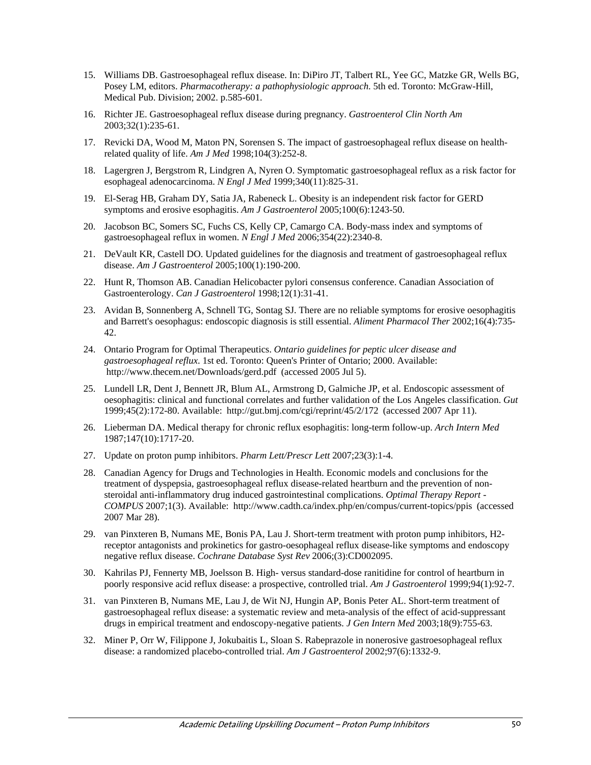- 15. Williams DB. Gastroesophageal reflux disease. In: DiPiro JT, Talbert RL, Yee GC, Matzke GR, Wells BG, Posey LM, editors. *Pharmacotherapy: a pathophysiologic approach*. 5th ed. Toronto: McGraw-Hill, Medical Pub. Division; 2002. p.585-601.
- 16. Richter JE. Gastroesophageal reflux disease during pregnancy. *Gastroenterol Clin North Am* 2003;32(1):235-61.
- 17. Revicki DA, Wood M, Maton PN, Sorensen S. The impact of gastroesophageal reflux disease on healthrelated quality of life. *Am J Med* 1998;104(3):252-8.
- 18. Lagergren J, Bergstrom R, Lindgren A, Nyren O. Symptomatic gastroesophageal reflux as a risk factor for esophageal adenocarcinoma. *N Engl J Med* 1999;340(11):825-31.
- 19. El-Serag HB, Graham DY, Satia JA, Rabeneck L. Obesity is an independent risk factor for GERD symptoms and erosive esophagitis. *Am J Gastroenterol* 2005;100(6):1243-50.
- 20. Jacobson BC, Somers SC, Fuchs CS, Kelly CP, Camargo CA. Body-mass index and symptoms of gastroesophageal reflux in women. *N Engl J Med* 2006;354(22):2340-8.
- 21. DeVault KR, Castell DO. Updated guidelines for the diagnosis and treatment of gastroesophageal reflux disease. *Am J Gastroenterol* 2005;100(1):190-200.
- 22. Hunt R, Thomson AB. Canadian Helicobacter pylori consensus conference. Canadian Association of Gastroenterology. *Can J Gastroenterol* 1998;12(1):31-41.
- 23. Avidan B, Sonnenberg A, Schnell TG, Sontag SJ. There are no reliable symptoms for erosive oesophagitis and Barrett's oesophagus: endoscopic diagnosis is still essential. *Aliment Pharmacol Ther* 2002;16(4):735- 42.
- 24. Ontario Program for Optimal Therapeutics. *Ontario guidelines for peptic ulcer disease and gastroesophageal reflux*. 1st ed. Toronto: Queen's Printer of Ontario; 2000. Available: http://www.thecem.net/Downloads/gerd.pdf (accessed 2005 Jul 5).
- 25. Lundell LR, Dent J, Bennett JR, Blum AL, Armstrong D, Galmiche JP, et al. Endoscopic assessment of oesophagitis: clinical and functional correlates and further validation of the Los Angeles classification. *Gut* 1999;45(2):172-80. Available: http://gut.bmj.com/cgi/reprint/45/2/172 (accessed 2007 Apr 11).
- 26. Lieberman DA. Medical therapy for chronic reflux esophagitis: long-term follow-up. *Arch Intern Med* 1987;147(10):1717-20.
- 27. Update on proton pump inhibitors. *Pharm Lett/Prescr Lett* 2007;23(3):1-4.
- 28. Canadian Agency for Drugs and Technologies in Health. Economic models and conclusions for the treatment of dyspepsia, gastroesophageal reflux disease-related heartburn and the prevention of nonsteroidal anti-inflammatory drug induced gastrointestinal complications. *Optimal Therapy Report - COMPUS* 2007;1(3). Available: http://www.cadth.ca/index.php/en/compus/current-topics/ppis (accessed 2007 Mar 28).
- 29. van Pinxteren B, Numans ME, Bonis PA, Lau J. Short-term treatment with proton pump inhibitors, H2 receptor antagonists and prokinetics for gastro-oesophageal reflux disease-like symptoms and endoscopy negative reflux disease. *Cochrane Database Syst Rev* 2006;(3):CD002095.
- 30. Kahrilas PJ, Fennerty MB, Joelsson B. High- versus standard-dose ranitidine for control of heartburn in poorly responsive acid reflux disease: a prospective, controlled trial. *Am J Gastroenterol* 1999;94(1):92-7.
- 31. van Pinxteren B, Numans ME, Lau J, de Wit NJ, Hungin AP, Bonis Peter AL. Short-term treatment of gastroesophageal reflux disease: a systematic review and meta-analysis of the effect of acid-suppressant drugs in empirical treatment and endoscopy-negative patients. *J Gen Intern Med* 2003;18(9):755-63.
- 32. Miner P, Orr W, Filippone J, Jokubaitis L, Sloan S. Rabeprazole in nonerosive gastroesophageal reflux disease: a randomized placebo-controlled trial. *Am J Gastroenterol* 2002;97(6):1332-9.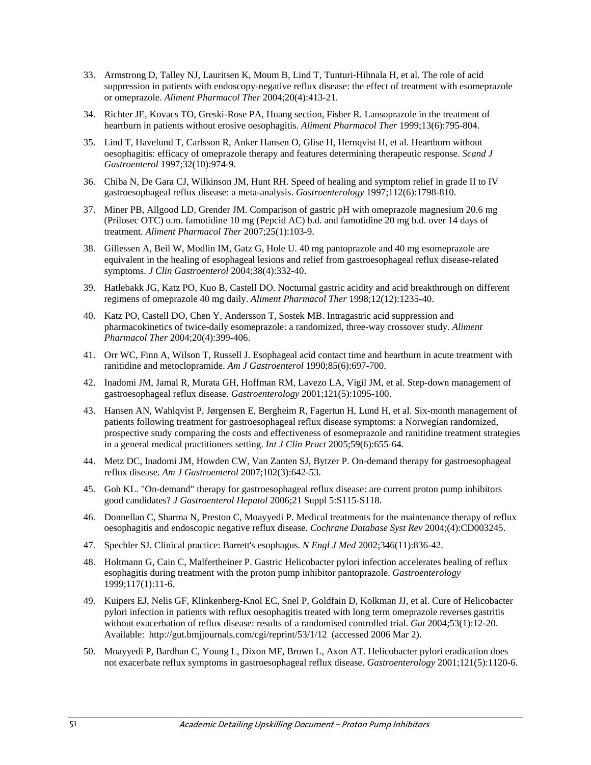- 33. Armstrong D, Talley NJ, Lauritsen K, Moum B, Lind T, Tunturi-Hihnala H, et al. The role of acid suppression in patients with endoscopy-negative reflux disease: the effect of treatment with esomeprazole or omeprazole. *Aliment Pharmacol Ther* 2004;20(4):413-21.
- 34. Richter JE, Kovacs TO, Greski-Rose PA, Huang section, Fisher R. Lansoprazole in the treatment of heartburn in patients without erosive oesophagitis. *Aliment Pharmacol Ther* 1999;13(6):795-804.
- 35. Lind T, Havelund T, Carlsson R, Anker Hansen O, Glise H, Hernqvist H, et al. Heartburn without oesophagitis: efficacy of omeprazole therapy and features determining therapeutic response. *Scand J Gastroenterol* 1997;32(10):974-9.
- 36. Chiba N, De Gara CJ, Wilkinson JM, Hunt RH. Speed of healing and symptom relief in grade II to IV gastroesophageal reflux disease: a meta-analysis. *Gastroenterology* 1997;112(6):1798-810.
- 37. Miner PB, Allgood LD, Grender JM. Comparison of gastric pH with omeprazole magnesium 20.6 mg (Prilosec OTC) o.m. famotidine 10 mg (Pepcid AC) b.d. and famotidine 20 mg b.d. over 14 days of treatment. *Aliment Pharmacol Ther* 2007;25(1):103-9.
- 38. Gillessen A, Beil W, Modlin IM, Gatz G, Hole U. 40 mg pantoprazole and 40 mg esomeprazole are equivalent in the healing of esophageal lesions and relief from gastroesophageal reflux disease-related symptoms. *J Clin Gastroenterol* 2004;38(4):332-40.
- 39. Hatlebakk JG, Katz PO, Kuo B, Castell DO. Nocturnal gastric acidity and acid breakthrough on different regimens of omeprazole 40 mg daily. *Aliment Pharmacol Ther* 1998;12(12):1235-40.
- 40. Katz PO, Castell DO, Chen Y, Andersson T, Sostek MB. Intragastric acid suppression and pharmacokinetics of twice-daily esomeprazole: a randomized, three-way crossover study. *Aliment Pharmacol Ther* 2004;20(4):399-406.
- 41. Orr WC, Finn A, Wilson T, Russell J. Esophageal acid contact time and heartburn in acute treatment with ranitidine and metoclopramide. *Am J Gastroenterol* 1990;85(6):697-700.
- 42. Inadomi JM, Jamal R, Murata GH, Hoffman RM, Lavezo LA, Vigil JM, et al. Step-down management of gastroesophageal reflux disease. *Gastroenterology* 2001;121(5):1095-100.
- 43. Hansen AN, Wahlqvist P, Jørgensen E, Bergheim R, Fagertun H, Lund H, et al. Six-month management of patients following treatment for gastroesophageal reflux disease symptoms: a Norwegian randomized, prospective study comparing the costs and effectiveness of esomeprazole and ranitidine treatment strategies in a general medical practitioners setting. *Int J Clin Pract* 2005;59(6):655-64.
- 44. Metz DC, Inadomi JM, Howden CW, Van Zanten SJ, Bytzer P. On-demand therapy for gastroesophageal reflux disease. *Am J Gastroenterol* 2007;102(3):642-53.
- 45. Goh KL. "On-demand" therapy for gastroesophageal reflux disease: are current proton pump inhibitors good candidates? *J Gastroenterol Hepatol* 2006;21 Suppl 5:S115-S118.
- 46. Donnellan C, Sharma N, Preston C, Moayyedi P. Medical treatments for the maintenance therapy of reflux oesophagitis and endoscopic negative reflux disease. *Cochrane Database Syst Rev* 2004;(4):CD003245.
- 47. Spechler SJ. Clinical practice: Barrett's esophagus. *N Engl J Med* 2002;346(11):836-42.
- 48. Holtmann G, Cain C, Malfertheiner P. Gastric Helicobacter pylori infection accelerates healing of reflux esophagitis during treatment with the proton pump inhibitor pantoprazole. *Gastroenterology* 1999;117(1):11-6.
- 49. Kuipers EJ, Nelis GF, Klinkenberg-Knol EC, Snel P, Goldfain D, Kolkman JJ, et al. Cure of Helicobacter pylori infection in patients with reflux oesophagitis treated with long term omeprazole reverses gastritis without exacerbation of reflux disease: results of a randomised controlled trial. *Gut* 2004;53(1):12-20. Available: http://gut.bmjjournals.com/cgi/reprint/53/1/12 (accessed 2006 Mar 2).
- 50. Moayyedi P, Bardhan C, Young L, Dixon MF, Brown L, Axon AT. Helicobacter pylori eradication does not exacerbate reflux symptoms in gastroesophageal reflux disease. *Gastroenterology* 2001;121(5):1120-6.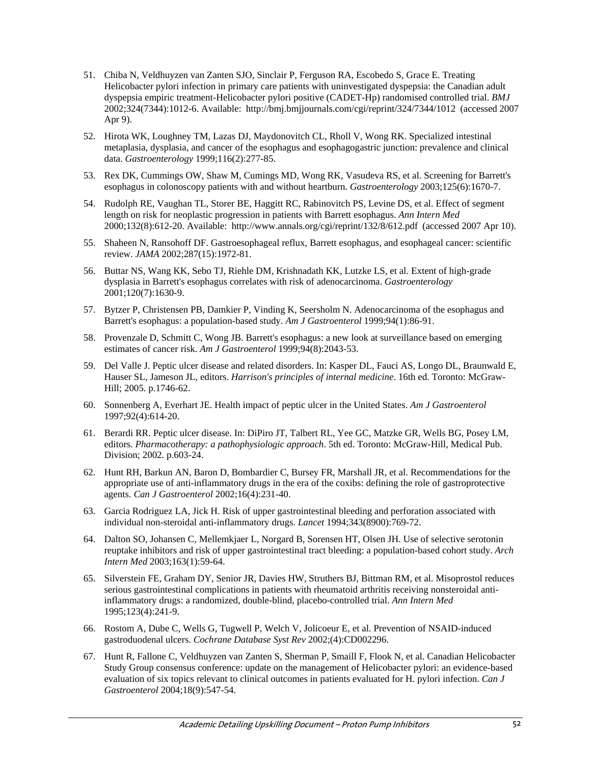- 51. Chiba N, Veldhuyzen van Zanten SJO, Sinclair P, Ferguson RA, Escobedo S, Grace E. Treating Helicobacter pylori infection in primary care patients with uninvestigated dyspepsia: the Canadian adult dyspepsia empiric treatment-Helicobacter pylori positive (CADET-Hp) randomised controlled trial. *BMJ* 2002;324(7344):1012-6. Available: http://bmj.bmjjournals.com/cgi/reprint/324/7344/1012 (accessed 2007 Apr 9).
- 52. Hirota WK, Loughney TM, Lazas DJ, Maydonovitch CL, Rholl V, Wong RK. Specialized intestinal metaplasia, dysplasia, and cancer of the esophagus and esophagogastric junction: prevalence and clinical data. *Gastroenterology* 1999;116(2):277-85.
- 53. Rex DK, Cummings OW, Shaw M, Cumings MD, Wong RK, Vasudeva RS, et al. Screening for Barrett's esophagus in colonoscopy patients with and without heartburn. *Gastroenterology* 2003;125(6):1670-7.
- 54. Rudolph RE, Vaughan TL, Storer BE, Haggitt RC, Rabinovitch PS, Levine DS, et al. Effect of segment length on risk for neoplastic progression in patients with Barrett esophagus. *Ann Intern Med* 2000;132(8):612-20. Available: http://www.annals.org/cgi/reprint/132/8/612.pdf (accessed 2007 Apr 10).
- 55. Shaheen N, Ransohoff DF. Gastroesophageal reflux, Barrett esophagus, and esophageal cancer: scientific review. *JAMA* 2002;287(15):1972-81.
- 56. Buttar NS, Wang KK, Sebo TJ, Riehle DM, Krishnadath KK, Lutzke LS, et al. Extent of high-grade dysplasia in Barrett's esophagus correlates with risk of adenocarcinoma. *Gastroenterology* 2001;120(7):1630-9.
- 57. Bytzer P, Christensen PB, Damkier P, Vinding K, Seersholm N. Adenocarcinoma of the esophagus and Barrett's esophagus: a population-based study. *Am J Gastroenterol* 1999;94(1):86-91.
- 58. Provenzale D, Schmitt C, Wong JB. Barrett's esophagus: a new look at surveillance based on emerging estimates of cancer risk. *Am J Gastroenterol* 1999;94(8):2043-53.
- 59. Del Valle J. Peptic ulcer disease and related disorders. In: Kasper DL, Fauci AS, Longo DL, Braunwald E, Hauser SL, Jameson JL, editors. *Harrison's principles of internal medicine*. 16th ed. Toronto: McGraw-Hill; 2005. p.1746-62.
- 60. Sonnenberg A, Everhart JE. Health impact of peptic ulcer in the United States. *Am J Gastroenterol* 1997;92(4):614-20.
- 61. Berardi RR. Peptic ulcer disease. In: DiPiro JT, Talbert RL, Yee GC, Matzke GR, Wells BG, Posey LM, editors. *Pharmacotherapy: a pathophysiologic approach*. 5th ed. Toronto: McGraw-Hill, Medical Pub. Division; 2002. p.603-24.
- 62. Hunt RH, Barkun AN, Baron D, Bombardier C, Bursey FR, Marshall JR, et al. Recommendations for the appropriate use of anti-inflammatory drugs in the era of the coxibs: defining the role of gastroprotective agents. *Can J Gastroenterol* 2002;16(4):231-40.
- 63. Garcia Rodriguez LA, Jick H. Risk of upper gastrointestinal bleeding and perforation associated with individual non-steroidal anti-inflammatory drugs. *Lancet* 1994;343(8900):769-72.
- 64. Dalton SO, Johansen C, Mellemkjaer L, Norgard B, Sorensen HT, Olsen JH. Use of selective serotonin reuptake inhibitors and risk of upper gastrointestinal tract bleeding: a population-based cohort study. *Arch Intern Med* 2003;163(1):59-64.
- 65. Silverstein FE, Graham DY, Senior JR, Davies HW, Struthers BJ, Bittman RM, et al. Misoprostol reduces serious gastrointestinal complications in patients with rheumatoid arthritis receiving nonsteroidal antiinflammatory drugs: a randomized, double-blind, placebo-controlled trial. *Ann Intern Med* 1995;123(4):241-9.
- 66. Rostom A, Dube C, Wells G, Tugwell P, Welch V, Jolicoeur E, et al. Prevention of NSAID-induced gastroduodenal ulcers. *Cochrane Database Syst Rev* 2002;(4):CD002296.
- 67. Hunt R, Fallone C, Veldhuyzen van Zanten S, Sherman P, Smaill F, Flook N, et al. Canadian Helicobacter Study Group consensus conference: update on the management of Helicobacter pylori: an evidence-based evaluation of six topics relevant to clinical outcomes in patients evaluated for H. pylori infection. *Can J Gastroenterol* 2004;18(9):547-54.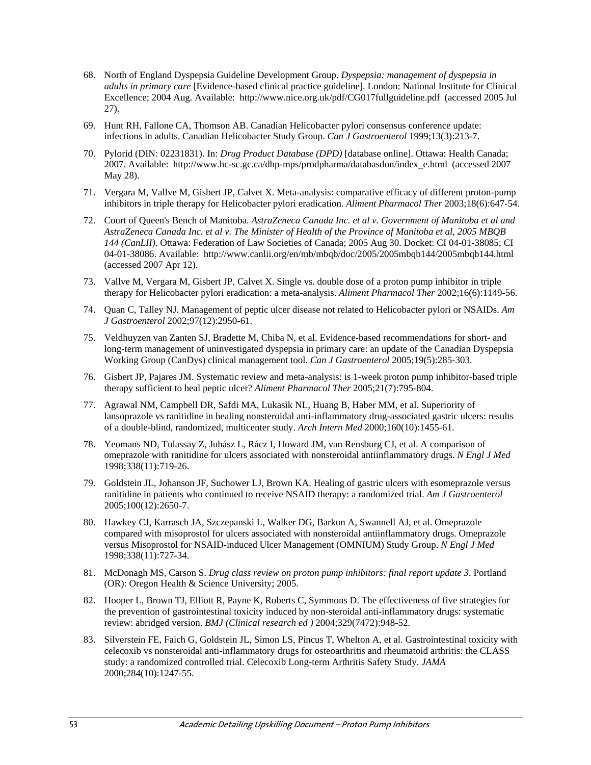- 68. North of England Dyspepsia Guideline Development Group. *Dyspepsia: management of dyspepsia in adults in primary care* [Evidence-based clinical practice guideline]. London: National Institute for Clinical Excellence; 2004 Aug. Available: http://www.nice.org.uk/pdf/CG017fullguideline.pdf (accessed 2005 Jul 27).
- 69. Hunt RH, Fallone CA, Thomson AB. Canadian Helicobacter pylori consensus conference update: infections in adults. Canadian Helicobacter Study Group. *Can J Gastroenterol* 1999;13(3):213-7.
- 70. Pylorid (DIN: 02231831). In: *Drug Product Database (DPD)* [database online]. Ottawa: Health Canada; 2007. Available: http://www.hc-sc.gc.ca/dhp-mps/prodpharma/databasdon/index\_e.html (accessed 2007 May 28).
- 71. Vergara M, Vallve M, Gisbert JP, Calvet X. Meta-analysis: comparative efficacy of different proton-pump inhibitors in triple therapy for Helicobacter pylori eradication. *Aliment Pharmacol Ther* 2003;18(6):647-54.
- 72. Court of Queen's Bench of Manitoba. *AstraZeneca Canada Inc. et al v. Government of Manitoba et al and AstraZeneca Canada Inc. et al v. The Minister of Health of the Province of Manitoba et al, 2005 MBQB 144 (CanLII)*. Ottawa: Federation of Law Societies of Canada; 2005 Aug 30. Docket: CI 04-01-38085; CI 04-01-38086. Available: http://www.canlii.org/en/mb/mbqb/doc/2005/2005mbqb144/2005mbqb144.html (accessed 2007 Apr 12).
- 73. Vallve M, Vergara M, Gisbert JP, Calvet X. Single vs. double dose of a proton pump inhibitor in triple therapy for Helicobacter pylori eradication: a meta-analysis. *Aliment Pharmacol Ther* 2002;16(6):1149-56.
- 74. Quan C, Talley NJ. Management of peptic ulcer disease not related to Helicobacter pylori or NSAIDs. *Am J Gastroenterol* 2002;97(12):2950-61.
- 75. Veldhuyzen van Zanten SJ, Bradette M, Chiba N, et al. Evidence-based recommendations for short- and long-term management of uninvestigated dyspepsia in primary care: an update of the Canadian Dyspepsia Working Group (CanDys) clinical management tool. *Can J Gastroenterol* 2005;19(5):285-303.
- 76. Gisbert JP, Pajares JM. Systematic review and meta-analysis: is 1-week proton pump inhibitor-based triple therapy sufficient to heal peptic ulcer? *Aliment Pharmacol Ther* 2005;21(7):795-804.
- 77. Agrawal NM, Campbell DR, Safdi MA, Lukasik NL, Huang B, Haber MM, et al. Superiority of lansoprazole vs ranitidine in healing nonsteroidal anti-inflammatory drug-associated gastric ulcers: results of a double-blind, randomized, multicenter study. *Arch Intern Med* 2000;160(10):1455-61.
- 78. Yeomans ND, Tulassay Z, Juhász L, Rácz I, Howard JM, van Rensburg CJ, et al. A comparison of omeprazole with ranitidine for ulcers associated with nonsteroidal antiinflammatory drugs. *N Engl J Med* 1998;338(11):719-26.
- 79. Goldstein JL, Johanson JF, Suchower LJ, Brown KA. Healing of gastric ulcers with esomeprazole versus ranitidine in patients who continued to receive NSAID therapy: a randomized trial. *Am J Gastroenterol* 2005;100(12):2650-7.
- 80. Hawkey CJ, Karrasch JA, Szczepanski L, Walker DG, Barkun A, Swannell AJ, et al. Omeprazole compared with misoprostol for ulcers associated with nonsteroidal antiinflammatory drugs. Omeprazole versus Misoprostol for NSAID-induced Ulcer Management (OMNIUM) Study Group. *N Engl J Med* 1998;338(11):727-34.
- 81. McDonagh MS, Carson S. *Drug class review on proton pump inhibitors: final report update 3*. Portland (OR): Oregon Health & Science University; 2005.
- 82. Hooper L, Brown TJ, Elliott R, Payne K, Roberts C, Symmons D. The effectiveness of five strategies for the prevention of gastrointestinal toxicity induced by non-steroidal anti-inflammatory drugs: systematic review: abridged version. *BMJ (Clinical research ed )* 2004;329(7472):948-52.
- 83. Silverstein FE, Faich G, Goldstein JL, Simon LS, Pincus T, Whelton A, et al. Gastrointestinal toxicity with celecoxib vs nonsteroidal anti-inflammatory drugs for osteoarthritis and rheumatoid arthritis: the CLASS study: a randomized controlled trial. Celecoxib Long-term Arthritis Safety Study. *JAMA* 2000;284(10):1247-55.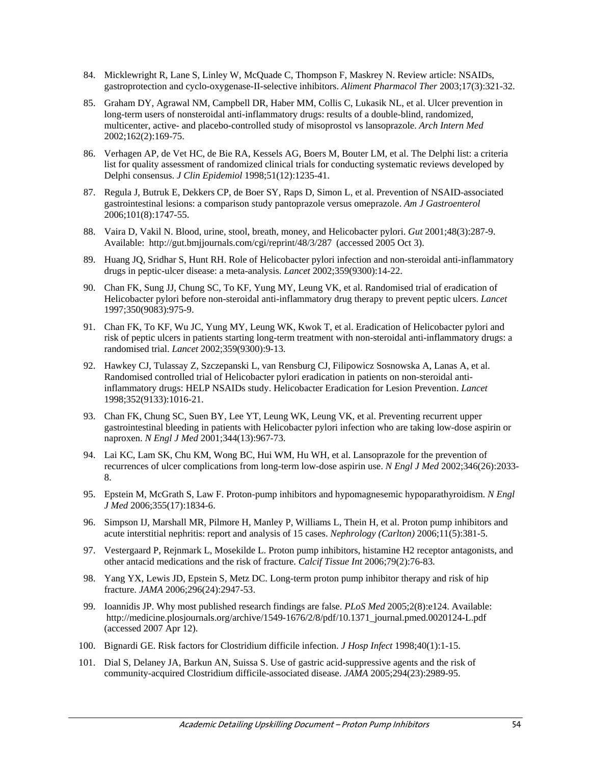- 84. Micklewright R, Lane S, Linley W, McQuade C, Thompson F, Maskrey N. Review article: NSAIDs, gastroprotection and cyclo-oxygenase-II-selective inhibitors. *Aliment Pharmacol Ther* 2003;17(3):321-32.
- 85. Graham DY, Agrawal NM, Campbell DR, Haber MM, Collis C, Lukasik NL, et al. Ulcer prevention in long-term users of nonsteroidal anti-inflammatory drugs: results of a double-blind, randomized, multicenter, active- and placebo-controlled study of misoprostol vs lansoprazole. *Arch Intern Med* 2002;162(2):169-75.
- 86. Verhagen AP, de Vet HC, de Bie RA, Kessels AG, Boers M, Bouter LM, et al. The Delphi list: a criteria list for quality assessment of randomized clinical trials for conducting systematic reviews developed by Delphi consensus. *J Clin Epidemiol* 1998;51(12):1235-41.
- 87. Regula J, Butruk E, Dekkers CP, de Boer SY, Raps D, Simon L, et al. Prevention of NSAID-associated gastrointestinal lesions: a comparison study pantoprazole versus omeprazole. *Am J Gastroenterol* 2006;101(8):1747-55.
- 88. Vaira D, Vakil N. Blood, urine, stool, breath, money, and Helicobacter pylori. *Gut* 2001;48(3):287-9. Available: http://gut.bmjjournals.com/cgi/reprint/48/3/287 (accessed 2005 Oct 3).
- 89. Huang JQ, Sridhar S, Hunt RH. Role of Helicobacter pylori infection and non-steroidal anti-inflammatory drugs in peptic-ulcer disease: a meta-analysis. *Lancet* 2002;359(9300):14-22.
- 90. Chan FK, Sung JJ, Chung SC, To KF, Yung MY, Leung VK, et al. Randomised trial of eradication of Helicobacter pylori before non-steroidal anti-inflammatory drug therapy to prevent peptic ulcers. *Lancet* 1997;350(9083):975-9.
- 91. Chan FK, To KF, Wu JC, Yung MY, Leung WK, Kwok T, et al. Eradication of Helicobacter pylori and risk of peptic ulcers in patients starting long-term treatment with non-steroidal anti-inflammatory drugs: a randomised trial. *Lancet* 2002;359(9300):9-13.
- 92. Hawkey CJ, Tulassay Z, Szczepanski L, van Rensburg CJ, Filipowicz Sosnowska A, Lanas A, et al. Randomised controlled trial of Helicobacter pylori eradication in patients on non-steroidal antiinflammatory drugs: HELP NSAIDs study. Helicobacter Eradication for Lesion Prevention. *Lancet* 1998;352(9133):1016-21.
- 93. Chan FK, Chung SC, Suen BY, Lee YT, Leung WK, Leung VK, et al. Preventing recurrent upper gastrointestinal bleeding in patients with Helicobacter pylori infection who are taking low-dose aspirin or naproxen. *N Engl J Med* 2001;344(13):967-73.
- 94. Lai KC, Lam SK, Chu KM, Wong BC, Hui WM, Hu WH, et al. Lansoprazole for the prevention of recurrences of ulcer complications from long-term low-dose aspirin use. *N Engl J Med* 2002;346(26):2033- 8.
- 95. Epstein M, McGrath S, Law F. Proton-pump inhibitors and hypomagnesemic hypoparathyroidism. *N Engl J Med* 2006;355(17):1834-6.
- 96. Simpson IJ, Marshall MR, Pilmore H, Manley P, Williams L, Thein H, et al. Proton pump inhibitors and acute interstitial nephritis: report and analysis of 15 cases. *Nephrology (Carlton)* 2006;11(5):381-5.
- 97. Vestergaard P, Rejnmark L, Mosekilde L. Proton pump inhibitors, histamine H2 receptor antagonists, and other antacid medications and the risk of fracture. *Calcif Tissue Int* 2006;79(2):76-83.
- 98. Yang YX, Lewis JD, Epstein S, Metz DC. Long-term proton pump inhibitor therapy and risk of hip fracture. *JAMA* 2006;296(24):2947-53.
- 99. Ioannidis JP. Why most published research findings are false. *PLoS Med* 2005;2(8):e124. Available: http://medicine.plosjournals.org/archive/1549-1676/2/8/pdf/10.1371\_journal.pmed.0020124-L.pdf (accessed 2007 Apr 12).
- 100. Bignardi GE. Risk factors for Clostridium difficile infection. *J Hosp Infect* 1998;40(1):1-15.
- 101. Dial S, Delaney JA, Barkun AN, Suissa S. Use of gastric acid-suppressive agents and the risk of community-acquired Clostridium difficile-associated disease. *JAMA* 2005;294(23):2989-95.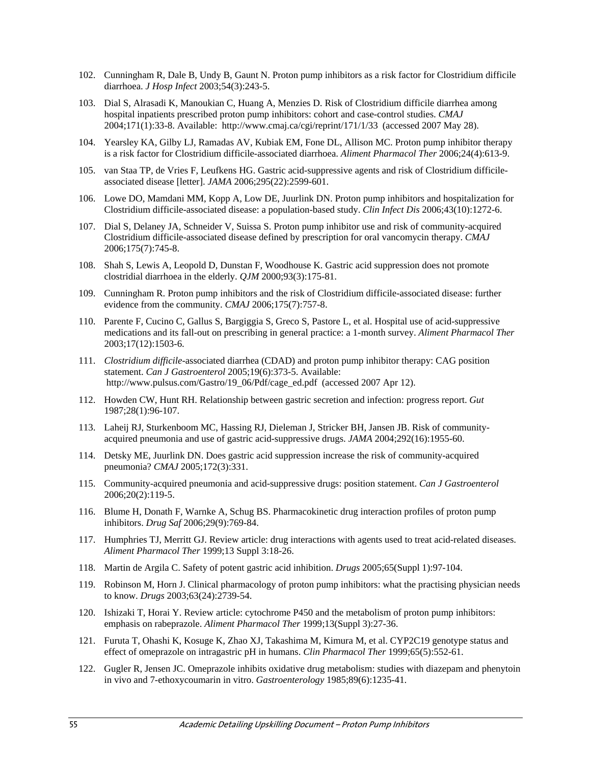- 102. Cunningham R, Dale B, Undy B, Gaunt N. Proton pump inhibitors as a risk factor for Clostridium difficile diarrhoea. *J Hosp Infect* 2003;54(3):243-5.
- 103. Dial S, Alrasadi K, Manoukian C, Huang A, Menzies D. Risk of Clostridium difficile diarrhea among hospital inpatients prescribed proton pump inhibitors: cohort and case-control studies. *CMAJ* 2004;171(1):33-8. Available: http://www.cmaj.ca/cgi/reprint/171/1/33 (accessed 2007 May 28).
- 104. Yearsley KA, Gilby LJ, Ramadas AV, Kubiak EM, Fone DL, Allison MC. Proton pump inhibitor therapy is a risk factor for Clostridium difficile-associated diarrhoea. *Aliment Pharmacol Ther* 2006;24(4):613-9.
- 105. van Staa TP, de Vries F, Leufkens HG. Gastric acid-suppressive agents and risk of Clostridium difficileassociated disease [letter]. *JAMA* 2006;295(22):2599-601.
- 106. Lowe DO, Mamdani MM, Kopp A, Low DE, Juurlink DN. Proton pump inhibitors and hospitalization for Clostridium difficile-associated disease: a population-based study. *Clin Infect Dis* 2006;43(10):1272-6.
- 107. Dial S, Delaney JA, Schneider V, Suissa S. Proton pump inhibitor use and risk of community-acquired Clostridium difficile-associated disease defined by prescription for oral vancomycin therapy. *CMAJ* 2006;175(7):745-8.
- 108. Shah S, Lewis A, Leopold D, Dunstan F, Woodhouse K. Gastric acid suppression does not promote clostridial diarrhoea in the elderly. *QJM* 2000;93(3):175-81.
- 109. Cunningham R. Proton pump inhibitors and the risk of Clostridium difficile-associated disease: further evidence from the community. *CMAJ* 2006;175(7):757-8.
- 110. Parente F, Cucino C, Gallus S, Bargiggia S, Greco S, Pastore L, et al. Hospital use of acid-suppressive medications and its fall-out on prescribing in general practice: a 1-month survey. *Aliment Pharmacol Ther* 2003;17(12):1503-6.
- 111. *Clostridium difficile*-associated diarrhea (CDAD) and proton pump inhibitor therapy: CAG position statement. *Can J Gastroenterol* 2005;19(6):373-5. Available: http://www.pulsus.com/Gastro/19\_06/Pdf/cage\_ed.pdf (accessed 2007 Apr 12).
- 112. Howden CW, Hunt RH. Relationship between gastric secretion and infection: progress report. *Gut* 1987;28(1):96-107.
- 113. Laheij RJ, Sturkenboom MC, Hassing RJ, Dieleman J, Stricker BH, Jansen JB. Risk of communityacquired pneumonia and use of gastric acid-suppressive drugs. *JAMA* 2004;292(16):1955-60.
- 114. Detsky ME, Juurlink DN. Does gastric acid suppression increase the risk of community-acquired pneumonia? *CMAJ* 2005;172(3):331.
- 115. Community-acquired pneumonia and acid-suppressive drugs: position statement. *Can J Gastroenterol* 2006;20(2):119-5.
- 116. Blume H, Donath F, Warnke A, Schug BS. Pharmacokinetic drug interaction profiles of proton pump inhibitors. *Drug Saf* 2006;29(9):769-84.
- 117. Humphries TJ, Merritt GJ. Review article: drug interactions with agents used to treat acid-related diseases. *Aliment Pharmacol Ther* 1999;13 Suppl 3:18-26.
- 118. Martin de Argila C. Safety of potent gastric acid inhibition. *Drugs* 2005;65(Suppl 1):97-104.
- 119. Robinson M, Horn J. Clinical pharmacology of proton pump inhibitors: what the practising physician needs to know. *Drugs* 2003;63(24):2739-54.
- 120. Ishizaki T, Horai Y. Review article: cytochrome P450 and the metabolism of proton pump inhibitors: emphasis on rabeprazole. *Aliment Pharmacol Ther* 1999;13(Suppl 3):27-36.
- 121. Furuta T, Ohashi K, Kosuge K, Zhao XJ, Takashima M, Kimura M, et al. CYP2C19 genotype status and effect of omeprazole on intragastric pH in humans. *Clin Pharmacol Ther* 1999;65(5):552-61.
- 122. Gugler R, Jensen JC. Omeprazole inhibits oxidative drug metabolism: studies with diazepam and phenytoin in vivo and 7-ethoxycoumarin in vitro. *Gastroenterology* 1985;89(6):1235-41.